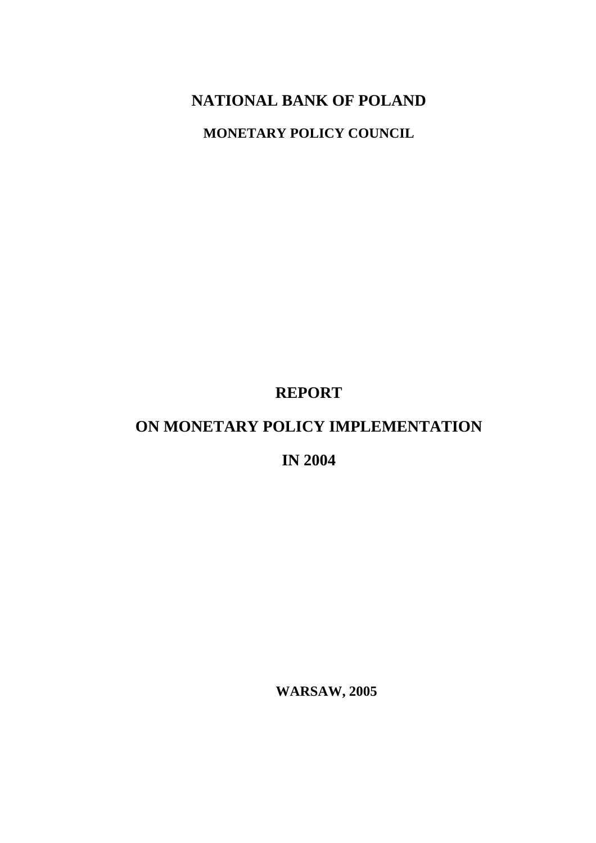## **NATIONAL BANK OF POLAND**

**MONETARY POLICY COUNCIL** 

**REPORT** 

## **ON MONETARY POLICY IMPLEMENTATION**

**IN 2004** 

**WARSAW, 2005**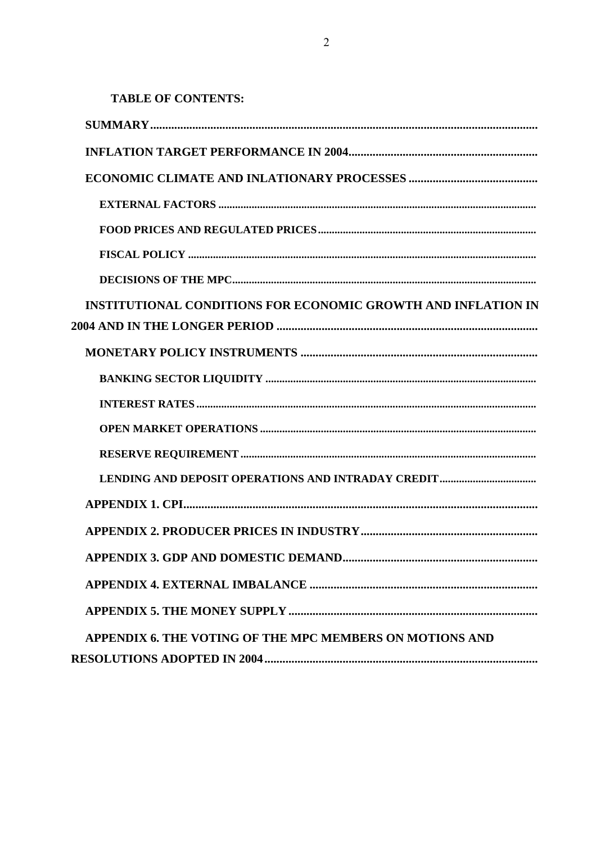**TABLE OF CONTENTS:** 

| <b>INSTITUTIONAL CONDITIONS FOR ECONOMIC GROWTH AND INFLATION IN</b> |
|----------------------------------------------------------------------|
|                                                                      |
|                                                                      |
|                                                                      |
|                                                                      |
|                                                                      |
|                                                                      |
|                                                                      |
|                                                                      |
|                                                                      |
|                                                                      |
|                                                                      |
|                                                                      |
| <b>APPENDIX 6. THE VOTING OF THE MPC MEMBERS ON MOTIONS AND</b>      |
|                                                                      |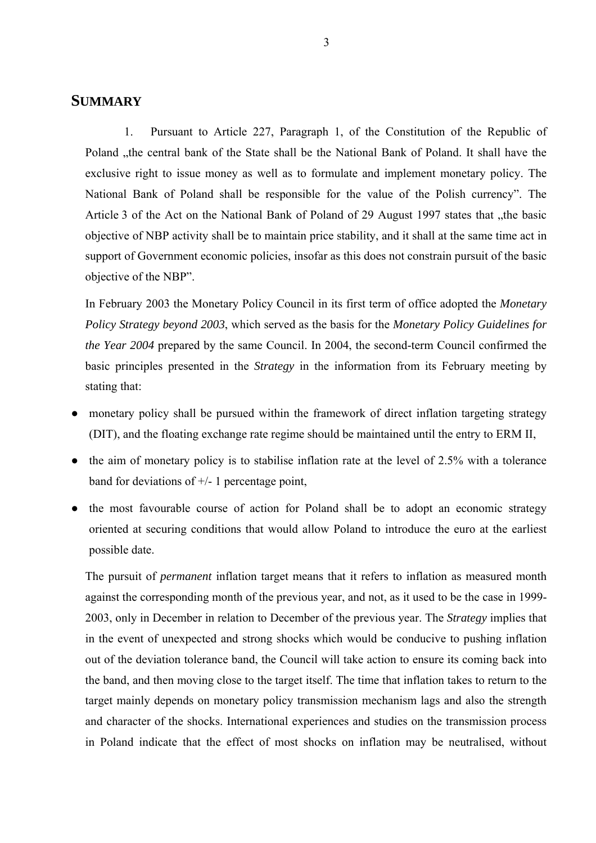## **SUMMARY**

1. Pursuant to Article 227, Paragraph 1, of the Constitution of the Republic of Poland , the central bank of the State shall be the National Bank of Poland. It shall have the exclusive right to issue money as well as to formulate and implement monetary policy. The National Bank of Poland shall be responsible for the value of the Polish currency". The Article 3 of the Act on the National Bank of Poland of 29 August 1997 states that the basic objective of NBP activity shall be to maintain price stability, and it shall at the same time act in support of Government economic policies, insofar as this does not constrain pursuit of the basic objective of the NBP".

In February 2003 the Monetary Policy Council in its first term of office adopted the *Monetary Policy Strategy beyond 2003*, which served as the basis for the *Monetary Policy Guidelines for the Year 2004* prepared by the same Council. In 2004, the second-term Council confirmed the basic principles presented in the *Strategy* in the information from its February meeting by stating that:

- monetary policy shall be pursued within the framework of direct inflation targeting strategy (DIT), and the floating exchange rate regime should be maintained until the entry to ERM II,
- the aim of monetary policy is to stabilise inflation rate at the level of 2.5% with a tolerance band for deviations of +/- 1 percentage point,
- the most favourable course of action for Poland shall be to adopt an economic strategy oriented at securing conditions that would allow Poland to introduce the euro at the earliest possible date.

The pursuit of *permanent* inflation target means that it refers to inflation as measured month against the corresponding month of the previous year, and not, as it used to be the case in 1999- 2003, only in December in relation to December of the previous year. The *Strategy* implies that in the event of unexpected and strong shocks which would be conducive to pushing inflation out of the deviation tolerance band, the Council will take action to ensure its coming back into the band, and then moving close to the target itself. The time that inflation takes to return to the target mainly depends on monetary policy transmission mechanism lags and also the strength and character of the shocks. International experiences and studies on the transmission process in Poland indicate that the effect of most shocks on inflation may be neutralised, without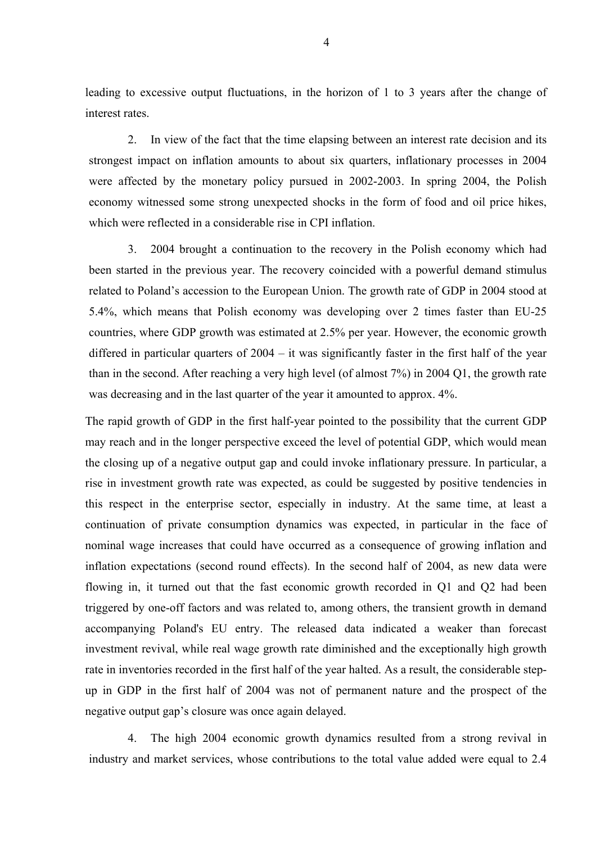leading to excessive output fluctuations, in the horizon of 1 to 3 years after the change of interest rates.

2. In view of the fact that the time elapsing between an interest rate decision and its strongest impact on inflation amounts to about six quarters, inflationary processes in 2004 were affected by the monetary policy pursued in 2002-2003. In spring 2004, the Polish economy witnessed some strong unexpected shocks in the form of food and oil price hikes, which were reflected in a considerable rise in CPI inflation.

3. 2004 brought a continuation to the recovery in the Polish economy which had been started in the previous year. The recovery coincided with a powerful demand stimulus related to Poland's accession to the European Union. The growth rate of GDP in 2004 stood at 5.4%, which means that Polish economy was developing over 2 times faster than EU-25 countries, where GDP growth was estimated at 2.5% per year. However, the economic growth differed in particular quarters of 2004 – it was significantly faster in the first half of the year than in the second. After reaching a very high level (of almost 7%) in 2004 Q1, the growth rate was decreasing and in the last quarter of the year it amounted to approx. 4%.

The rapid growth of GDP in the first half-year pointed to the possibility that the current GDP may reach and in the longer perspective exceed the level of potential GDP, which would mean the closing up of a negative output gap and could invoke inflationary pressure. In particular, a rise in investment growth rate was expected, as could be suggested by positive tendencies in this respect in the enterprise sector, especially in industry. At the same time, at least a continuation of private consumption dynamics was expected, in particular in the face of nominal wage increases that could have occurred as a consequence of growing inflation and inflation expectations (second round effects). In the second half of 2004, as new data were flowing in, it turned out that the fast economic growth recorded in Q1 and Q2 had been triggered by one-off factors and was related to, among others, the transient growth in demand accompanying Poland's EU entry. The released data indicated a weaker than forecast investment revival, while real wage growth rate diminished and the exceptionally high growth rate in inventories recorded in the first half of the year halted. As a result, the considerable stepup in GDP in the first half of 2004 was not of permanent nature and the prospect of the negative output gap's closure was once again delayed.

4. The high 2004 economic growth dynamics resulted from a strong revival in industry and market services, whose contributions to the total value added were equal to 2.4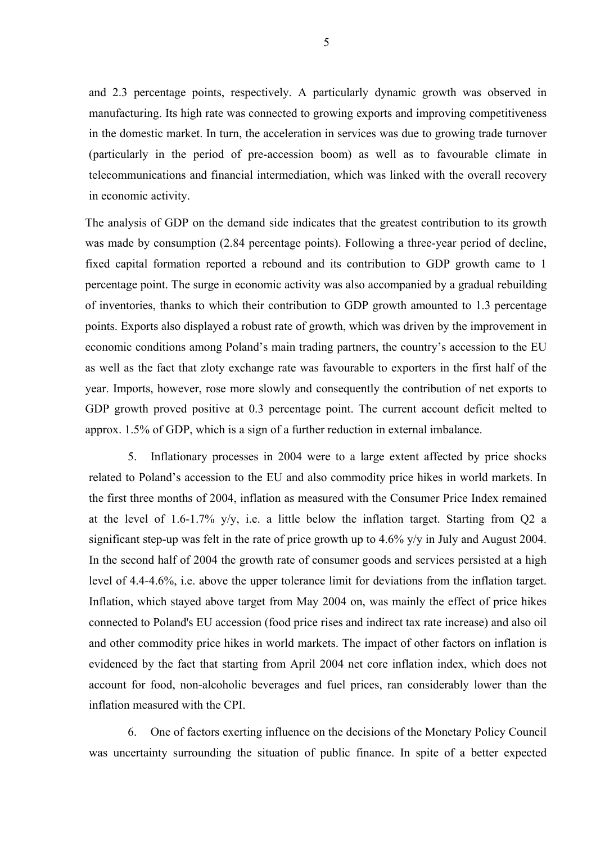and 2.3 percentage points, respectively. A particularly dynamic growth was observed in manufacturing. Its high rate was connected to growing exports and improving competitiveness in the domestic market. In turn, the acceleration in services was due to growing trade turnover (particularly in the period of pre-accession boom) as well as to favourable climate in telecommunications and financial intermediation, which was linked with the overall recovery in economic activity.

The analysis of GDP on the demand side indicates that the greatest contribution to its growth was made by consumption (2.84 percentage points). Following a three-year period of decline, fixed capital formation reported a rebound and its contribution to GDP growth came to 1 percentage point. The surge in economic activity was also accompanied by a gradual rebuilding of inventories, thanks to which their contribution to GDP growth amounted to 1.3 percentage points. Exports also displayed a robust rate of growth, which was driven by the improvement in economic conditions among Poland's main trading partners, the country's accession to the EU as well as the fact that zloty exchange rate was favourable to exporters in the first half of the year. Imports, however, rose more slowly and consequently the contribution of net exports to GDP growth proved positive at 0.3 percentage point. The current account deficit melted to approx. 1.5% of GDP, which is a sign of a further reduction in external imbalance.

5. Inflationary processes in 2004 were to a large extent affected by price shocks related to Poland's accession to the EU and also commodity price hikes in world markets. In the first three months of 2004, inflation as measured with the Consumer Price Index remained at the level of 1.6-1.7% y/y, i.e. a little below the inflation target. Starting from Q2 a significant step-up was felt in the rate of price growth up to 4.6% y/y in July and August 2004. In the second half of 2004 the growth rate of consumer goods and services persisted at a high level of 4.4-4.6%, i.e. above the upper tolerance limit for deviations from the inflation target. Inflation, which stayed above target from May 2004 on, was mainly the effect of price hikes connected to Poland's EU accession (food price rises and indirect tax rate increase) and also oil and other commodity price hikes in world markets. The impact of other factors on inflation is evidenced by the fact that starting from April 2004 net core inflation index, which does not account for food, non-alcoholic beverages and fuel prices, ran considerably lower than the inflation measured with the CPI.

6. One of factors exerting influence on the decisions of the Monetary Policy Council was uncertainty surrounding the situation of public finance. In spite of a better expected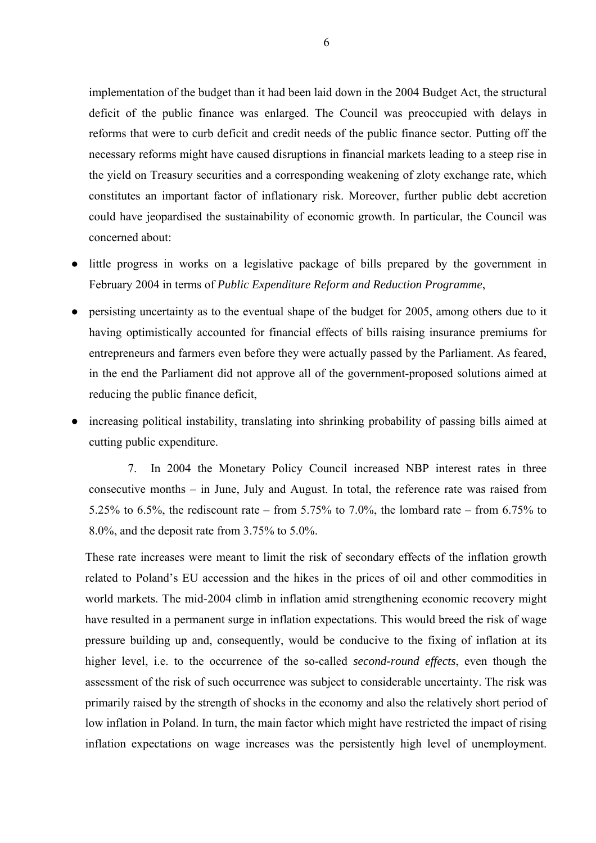implementation of the budget than it had been laid down in the 2004 Budget Act, the structural deficit of the public finance was enlarged. The Council was preoccupied with delays in reforms that were to curb deficit and credit needs of the public finance sector. Putting off the necessary reforms might have caused disruptions in financial markets leading to a steep rise in the yield on Treasury securities and a corresponding weakening of zloty exchange rate, which constitutes an important factor of inflationary risk. Moreover, further public debt accretion could have jeopardised the sustainability of economic growth. In particular, the Council was concerned about:

- little progress in works on a legislative package of bills prepared by the government in February 2004 in terms of *Public Expenditure Reform and Reduction Programme*,
- persisting uncertainty as to the eventual shape of the budget for 2005, among others due to it having optimistically accounted for financial effects of bills raising insurance premiums for entrepreneurs and farmers even before they were actually passed by the Parliament. As feared, in the end the Parliament did not approve all of the government-proposed solutions aimed at reducing the public finance deficit,
- increasing political instability, translating into shrinking probability of passing bills aimed at cutting public expenditure.

7. In 2004 the Monetary Policy Council increased NBP interest rates in three consecutive months – in June, July and August. In total, the reference rate was raised from 5.25% to 6.5%, the rediscount rate – from 5.75% to 7.0%, the lombard rate – from 6.75% to 8.0%, and the deposit rate from 3.75% to 5.0%.

These rate increases were meant to limit the risk of secondary effects of the inflation growth related to Poland's EU accession and the hikes in the prices of oil and other commodities in world markets. The mid-2004 climb in inflation amid strengthening economic recovery might have resulted in a permanent surge in inflation expectations. This would breed the risk of wage pressure building up and, consequently, would be conducive to the fixing of inflation at its higher level, i.e. to the occurrence of the so-called *second-round effects*, even though the assessment of the risk of such occurrence was subject to considerable uncertainty. The risk was primarily raised by the strength of shocks in the economy and also the relatively short period of low inflation in Poland. In turn, the main factor which might have restricted the impact of rising inflation expectations on wage increases was the persistently high level of unemployment.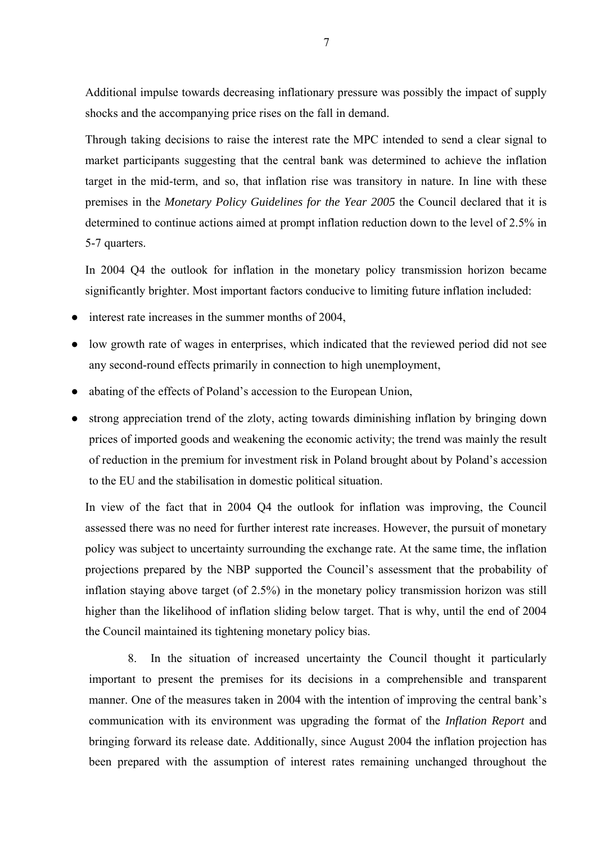Additional impulse towards decreasing inflationary pressure was possibly the impact of supply shocks and the accompanying price rises on the fall in demand.

Through taking decisions to raise the interest rate the MPC intended to send a clear signal to market participants suggesting that the central bank was determined to achieve the inflation target in the mid-term, and so, that inflation rise was transitory in nature. In line with these premises in the *Monetary Policy Guidelines for the Year 2005* the Council declared that it is determined to continue actions aimed at prompt inflation reduction down to the level of 2.5% in 5-7 quarters.

In 2004 Q4 the outlook for inflation in the monetary policy transmission horizon became significantly brighter. Most important factors conducive to limiting future inflation included:

- interest rate increases in the summer months of 2004,
- low growth rate of wages in enterprises, which indicated that the reviewed period did not see any second-round effects primarily in connection to high unemployment,
- abating of the effects of Poland's accession to the European Union,
- strong appreciation trend of the zloty, acting towards diminishing inflation by bringing down prices of imported goods and weakening the economic activity; the trend was mainly the result of reduction in the premium for investment risk in Poland brought about by Poland's accession to the EU and the stabilisation in domestic political situation.

In view of the fact that in 2004 Q4 the outlook for inflation was improving, the Council assessed there was no need for further interest rate increases. However, the pursuit of monetary policy was subject to uncertainty surrounding the exchange rate. At the same time, the inflation projections prepared by the NBP supported the Council's assessment that the probability of inflation staying above target (of 2.5%) in the monetary policy transmission horizon was still higher than the likelihood of inflation sliding below target. That is why, until the end of 2004 the Council maintained its tightening monetary policy bias.

8. In the situation of increased uncertainty the Council thought it particularly important to present the premises for its decisions in a comprehensible and transparent manner. One of the measures taken in 2004 with the intention of improving the central bank's communication with its environment was upgrading the format of the *Inflation Report* and bringing forward its release date. Additionally, since August 2004 the inflation projection has been prepared with the assumption of interest rates remaining unchanged throughout the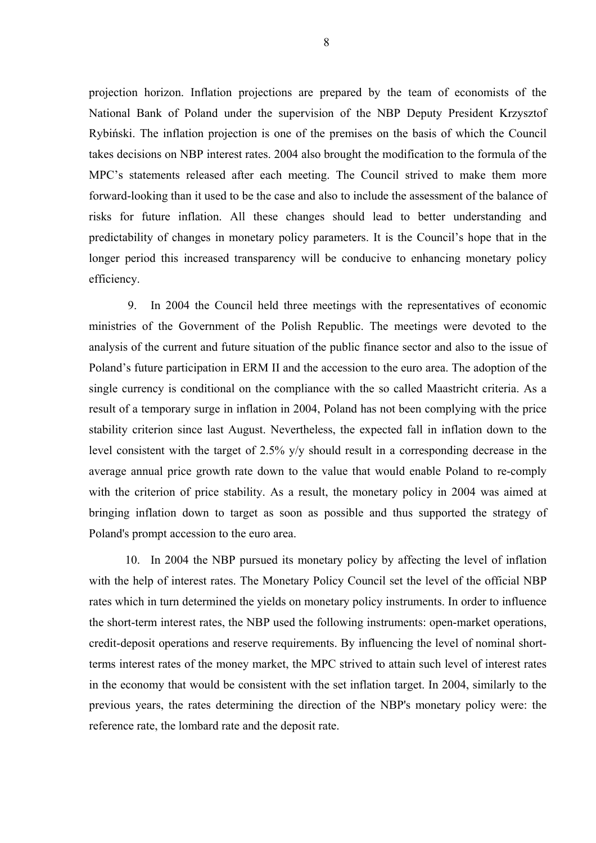projection horizon. Inflation projections are prepared by the team of economists of the National Bank of Poland under the supervision of the NBP Deputy President Krzysztof Rybiński. The inflation projection is one of the premises on the basis of which the Council takes decisions on NBP interest rates. 2004 also brought the modification to the formula of the MPC's statements released after each meeting. The Council strived to make them more forward-looking than it used to be the case and also to include the assessment of the balance of risks for future inflation. All these changes should lead to better understanding and predictability of changes in monetary policy parameters. It is the Council's hope that in the longer period this increased transparency will be conducive to enhancing monetary policy efficiency.

9. In 2004 the Council held three meetings with the representatives of economic ministries of the Government of the Polish Republic. The meetings were devoted to the analysis of the current and future situation of the public finance sector and also to the issue of Poland's future participation in ERM II and the accession to the euro area. The adoption of the single currency is conditional on the compliance with the so called Maastricht criteria. As a result of a temporary surge in inflation in 2004, Poland has not been complying with the price stability criterion since last August. Nevertheless, the expected fall in inflation down to the level consistent with the target of 2.5% y/y should result in a corresponding decrease in the average annual price growth rate down to the value that would enable Poland to re-comply with the criterion of price stability. As a result, the monetary policy in 2004 was aimed at bringing inflation down to target as soon as possible and thus supported the strategy of Poland's prompt accession to the euro area.

10. In 2004 the NBP pursued its monetary policy by affecting the level of inflation with the help of interest rates. The Monetary Policy Council set the level of the official NBP rates which in turn determined the yields on monetary policy instruments. In order to influence the short-term interest rates, the NBP used the following instruments: open-market operations, credit-deposit operations and reserve requirements. By influencing the level of nominal shortterms interest rates of the money market, the MPC strived to attain such level of interest rates in the economy that would be consistent with the set inflation target. In 2004, similarly to the previous years, the rates determining the direction of the NBP's monetary policy were: the reference rate, the lombard rate and the deposit rate.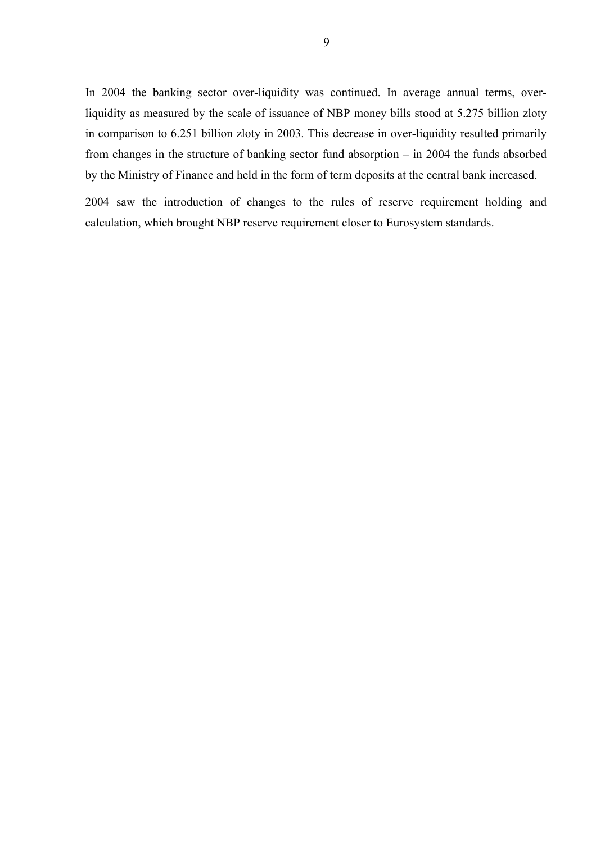In 2004 the banking sector over-liquidity was continued. In average annual terms, overliquidity as measured by the scale of issuance of NBP money bills stood at 5.275 billion zloty in comparison to 6.251 billion zloty in 2003. This decrease in over-liquidity resulted primarily from changes in the structure of banking sector fund absorption – in 2004 the funds absorbed by the Ministry of Finance and held in the form of term deposits at the central bank increased.

2004 saw the introduction of changes to the rules of reserve requirement holding and calculation, which brought NBP reserve requirement closer to Eurosystem standards.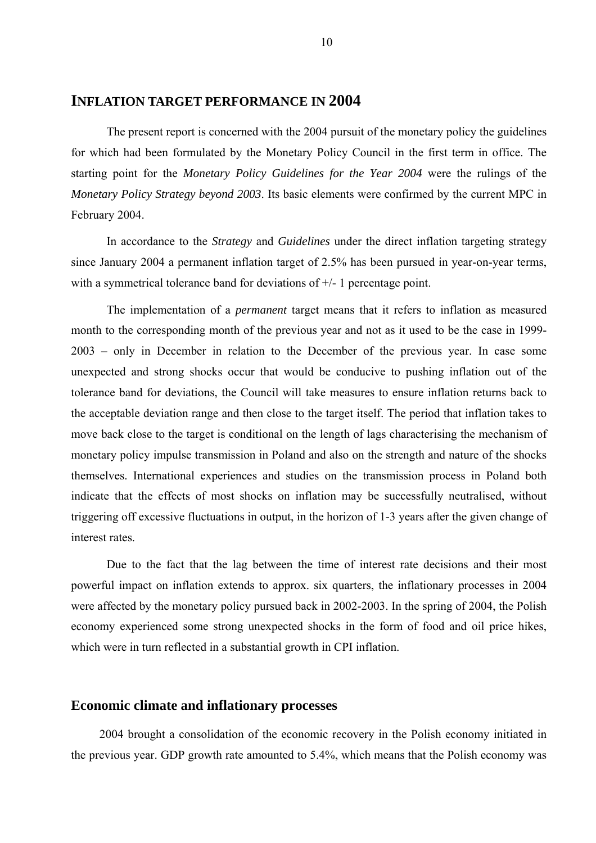### **INFLATION TARGET PERFORMANCE IN 2004**

The present report is concerned with the 2004 pursuit of the monetary policy the guidelines for which had been formulated by the Monetary Policy Council in the first term in office. The starting point for the *Monetary Policy Guidelines for the Year 2004* were the rulings of the *Monetary Policy Strategy beyond 2003*. Its basic elements were confirmed by the current MPC in February 2004.

In accordance to the *Strategy* and *Guidelines* under the direct inflation targeting strategy since January 2004 a permanent inflation target of 2.5% has been pursued in year-on-year terms, with a symmetrical tolerance band for deviations of  $+/-1$  percentage point.

The implementation of a *permanent* target means that it refers to inflation as measured month to the corresponding month of the previous year and not as it used to be the case in 1999- 2003 – only in December in relation to the December of the previous year. In case some unexpected and strong shocks occur that would be conducive to pushing inflation out of the tolerance band for deviations, the Council will take measures to ensure inflation returns back to the acceptable deviation range and then close to the target itself. The period that inflation takes to move back close to the target is conditional on the length of lags characterising the mechanism of monetary policy impulse transmission in Poland and also on the strength and nature of the shocks themselves. International experiences and studies on the transmission process in Poland both indicate that the effects of most shocks on inflation may be successfully neutralised, without triggering off excessive fluctuations in output, in the horizon of 1-3 years after the given change of interest rates.

Due to the fact that the lag between the time of interest rate decisions and their most powerful impact on inflation extends to approx. six quarters, the inflationary processes in 2004 were affected by the monetary policy pursued back in 2002-2003. In the spring of 2004, the Polish economy experienced some strong unexpected shocks in the form of food and oil price hikes, which were in turn reflected in a substantial growth in CPI inflation.

#### **Economic climate and inflationary processes**

2004 brought a consolidation of the economic recovery in the Polish economy initiated in the previous year. GDP growth rate amounted to 5.4%, which means that the Polish economy was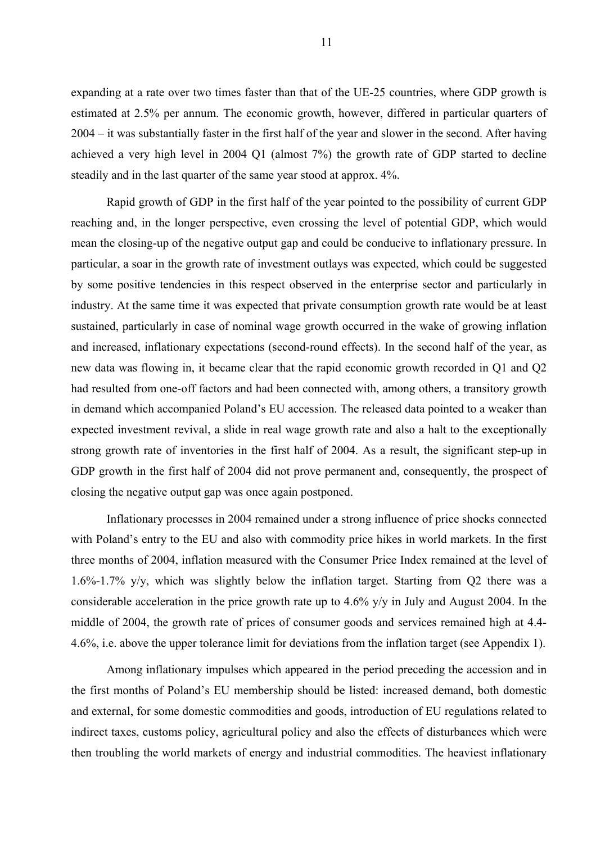expanding at a rate over two times faster than that of the UE-25 countries, where GDP growth is estimated at 2.5% per annum. The economic growth, however, differed in particular quarters of 2004 – it was substantially faster in the first half of the year and slower in the second. After having achieved a very high level in 2004 Q1 (almost 7%) the growth rate of GDP started to decline steadily and in the last quarter of the same year stood at approx. 4%.

Rapid growth of GDP in the first half of the year pointed to the possibility of current GDP reaching and, in the longer perspective, even crossing the level of potential GDP, which would mean the closing-up of the negative output gap and could be conducive to inflationary pressure. In particular, a soar in the growth rate of investment outlays was expected, which could be suggested by some positive tendencies in this respect observed in the enterprise sector and particularly in industry. At the same time it was expected that private consumption growth rate would be at least sustained, particularly in case of nominal wage growth occurred in the wake of growing inflation and increased, inflationary expectations (second-round effects). In the second half of the year, as new data was flowing in, it became clear that the rapid economic growth recorded in Q1 and Q2 had resulted from one-off factors and had been connected with, among others, a transitory growth in demand which accompanied Poland's EU accession. The released data pointed to a weaker than expected investment revival, a slide in real wage growth rate and also a halt to the exceptionally strong growth rate of inventories in the first half of 2004. As a result, the significant step-up in GDP growth in the first half of 2004 did not prove permanent and, consequently, the prospect of closing the negative output gap was once again postponed.

Inflationary processes in 2004 remained under a strong influence of price shocks connected with Poland's entry to the EU and also with commodity price hikes in world markets. In the first three months of 2004, inflation measured with the Consumer Price Index remained at the level of 1.6%-1.7% y/y, which was slightly below the inflation target. Starting from Q2 there was a considerable acceleration in the price growth rate up to 4.6% y/y in July and August 2004. In the middle of 2004, the growth rate of prices of consumer goods and services remained high at 4.4- 4.6%, i.e. above the upper tolerance limit for deviations from the inflation target (see Appendix 1).

Among inflationary impulses which appeared in the period preceding the accession and in the first months of Poland's EU membership should be listed: increased demand, both domestic and external, for some domestic commodities and goods, introduction of EU regulations related to indirect taxes, customs policy, agricultural policy and also the effects of disturbances which were then troubling the world markets of energy and industrial commodities. The heaviest inflationary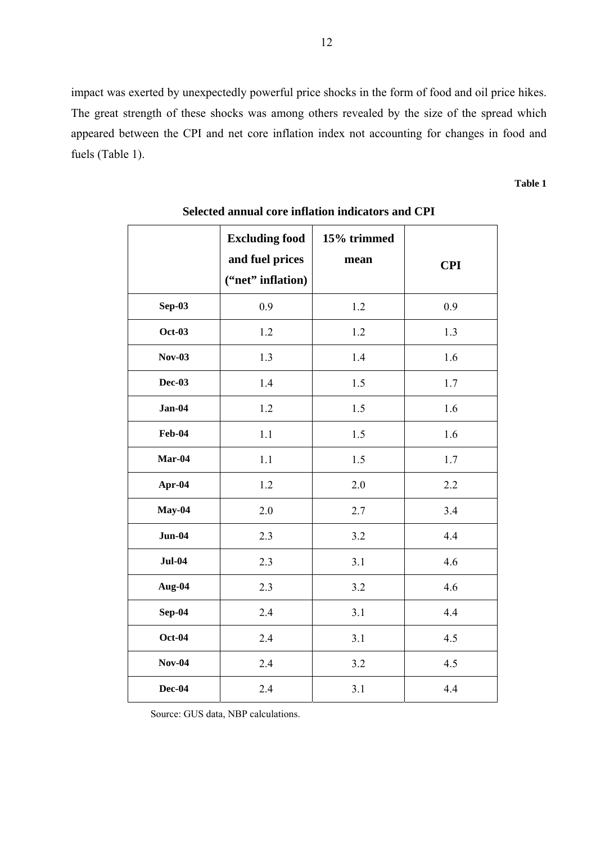impact was exerted by unexpectedly powerful price shocks in the form of food and oil price hikes. The great strength of these shocks was among others revealed by the size of the spread which appeared between the CPI and net core inflation index not accounting for changes in food and fuels (Table 1).

**Table 1**

|               | <b>Excluding food</b><br>and fuel prices<br>("net" inflation) | 15% trimmed<br>mean | <b>CPI</b> |
|---------------|---------------------------------------------------------------|---------------------|------------|
| $Sep-03$      | 0.9                                                           | 1.2                 | 0.9        |
| <b>Oct-03</b> | 1.2                                                           | 1.2                 | 1.3        |
| <b>Nov-03</b> | 1.3                                                           | 1.4                 | 1.6        |
| <b>Dec-03</b> | 1.4                                                           | 1.5                 | 1.7        |
| $Jan-04$      | 1.2                                                           | 1.5                 | 1.6        |
| <b>Feb-04</b> | 1.1                                                           | 1.5                 | 1.6        |
| Mar-04        | 1.1                                                           | 1.5                 | 1.7        |
| Apr-04        | 1.2                                                           | 2.0                 | 2.2        |
| $May-04$      | 2.0                                                           | 2.7                 | 3.4        |
| $Jun-04$      | 2.3                                                           | 3.2                 | 4.4        |
| <b>Jul-04</b> | 2.3                                                           | 3.1                 | 4.6        |
| Aug-04        | 2.3                                                           | 3.2                 | 4.6        |
| $Sep-04$      | 2.4                                                           | 3.1                 | 4.4        |
| <b>Oct-04</b> | 2.4                                                           | 3.1                 | 4.5        |
| <b>Nov-04</b> | 2.4                                                           | 3.2                 | 4.5        |
| Dec-04        | 2.4                                                           | 3.1                 | 4.4        |

**Selected annual core inflation indicators and CPI** 

Source: GUS data, NBP calculations.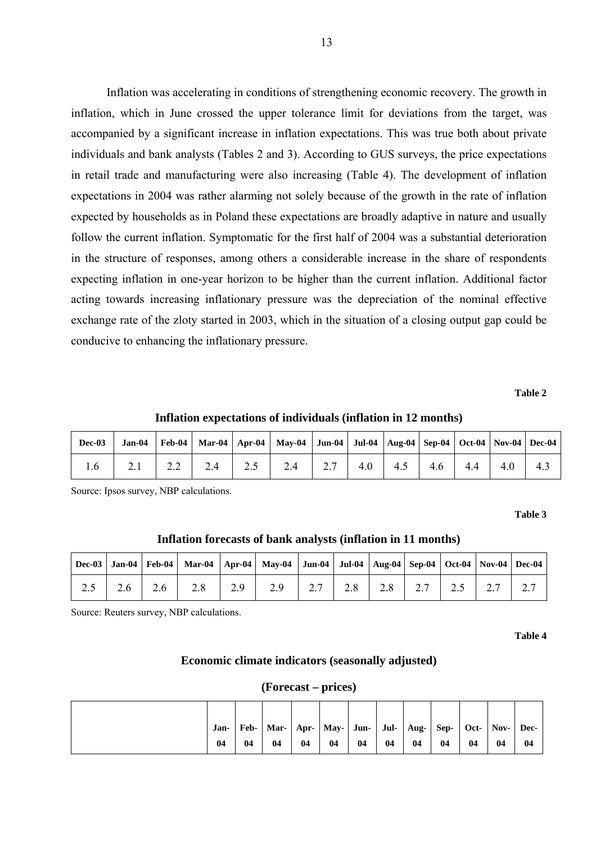Inflation was accelerating in conditions of strengthening economic recovery. The growth in inflation, which in June crossed the upper tolerance limit for deviations from the target, was accompanied by a significant increase in inflation expectations. This was true both about private individuals and bank analysts (Tables 2 and 3). According to GUS surveys, the price expectations in retail trade and manufacturing were also increasing (Table 4). The development of inflation expectations in 2004 was rather alarming not solely because of the growth in the rate of inflation expected by households as in Poland these expectations are broadly adaptive in nature and usually follow the current inflation. Symptomatic for the first half of 2004 was a substantial deterioration in the structure of responses, among others a considerable increase in the share of respondents expecting inflation in one-year horizon to be higher than the current inflation. Additional factor acting towards increasing inflationary pressure was the depreciation of the nominal effective exchange rate of the zloty started in 2003, which in the situation of a closing output gap could be conducive to enhancing the inflationary pressure.

**Table 2** 

**Inflation expectations of individuals (inflation in 12 months)** 

|     | Dec-03   Jan-04   Feb-04   Mar-04   Apr-04   May-04   Jun-04   Jul-04   Aug-04   Sep-04   Oct-04   Nov-04   Dec-04 |           |             |                                                      |                                         |  |  |  |
|-----|--------------------------------------------------------------------------------------------------------------------|-----------|-------------|------------------------------------------------------|-----------------------------------------|--|--|--|
| 1.6 | 2.1                                                                                                                | $2.2$ 2.4 | $\vert$ 2.5 | $\begin{array}{cccccc} 1 & 2.4 & \ldots \end{array}$ | 2.7   4.0   4.5   4.6   4.4   4.0   4.3 |  |  |  |

Source: Ipsos survey, NBP calculations.

**Table 3** 

#### **Inflation forecasts of bank analysts (inflation in 11 months)**

|  |  | Dec-03   Jan-04   Feb-04   Mar-04   Apr-04   May-04   Jun-04   Jul-04   Aug-04   Sep-04   Oct-04   Nov-04   Dec-04 |  |  |  |  |
|--|--|--------------------------------------------------------------------------------------------------------------------|--|--|--|--|
|  |  | 2.5   2.6   2.6   2.8   2.9   2.9   2.7   2.8   2.8   2.7   2.5   2.7   2.7                                        |  |  |  |  |

Source: Reuters survey, NBP calculations.

**Table 4** 

#### **Economic climate indicators (seasonally adjusted)**

#### **(Forecast – prices)**

| Jan- |    | Feb-   Mar-   Apr-   May-   Jun-   Jul-   Aug-   Sep- |    |    |    |    |    |    |    | Oct- $\vert$ Nov- $\vert$ | Dec- |
|------|----|-------------------------------------------------------|----|----|----|----|----|----|----|---------------------------|------|
| 04   | 04 | 04                                                    | 04 | 04 | 04 | 04 | 04 | 04 | 04 | 04                        | 04   |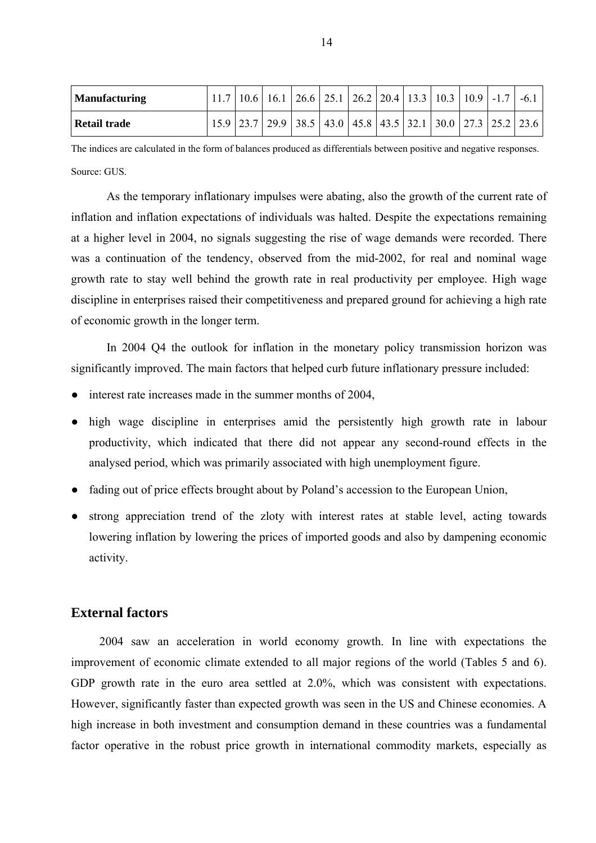| <b>Manufacturing</b> |  | $11.7$   10.6   16.1   26.6   25.1   26.2   20.4   13.3   10.3   10.9   -1.7   -6.1 |  |  |  |  |  |
|----------------------|--|-------------------------------------------------------------------------------------|--|--|--|--|--|
| <b>Retail trade</b>  |  | $15.9$   23.7   29.9   38.5   43.0   45.8   43.5   32.1   30.0   27.3   25.2   23.6 |  |  |  |  |  |

The indices are calculated in the form of balances produced as differentials between positive and negative responses. Source: GUS

As the temporary inflationary impulses were abating, also the growth of the current rate of inflation and inflation expectations of individuals was halted. Despite the expectations remaining at a higher level in 2004, no signals suggesting the rise of wage demands were recorded. There was a continuation of the tendency, observed from the mid-2002, for real and nominal wage growth rate to stay well behind the growth rate in real productivity per employee. High wage discipline in enterprises raised their competitiveness and prepared ground for achieving a high rate of economic growth in the longer term.

In 2004 Q4 the outlook for inflation in the monetary policy transmission horizon was significantly improved. The main factors that helped curb future inflationary pressure included:

- interest rate increases made in the summer months of 2004,
- high wage discipline in enterprises amid the persistently high growth rate in labour productivity, which indicated that there did not appear any second-round effects in the analysed period, which was primarily associated with high unemployment figure.
- fading out of price effects brought about by Poland's accession to the European Union,
- strong appreciation trend of the zloty with interest rates at stable level, acting towards lowering inflation by lowering the prices of imported goods and also by dampening economic activity.

### **External factors**

2004 saw an acceleration in world economy growth. In line with expectations the improvement of economic climate extended to all major regions of the world (Tables 5 and 6). GDP growth rate in the euro area settled at 2.0%, which was consistent with expectations. However, significantly faster than expected growth was seen in the US and Chinese economies. A high increase in both investment and consumption demand in these countries was a fundamental factor operative in the robust price growth in international commodity markets, especially as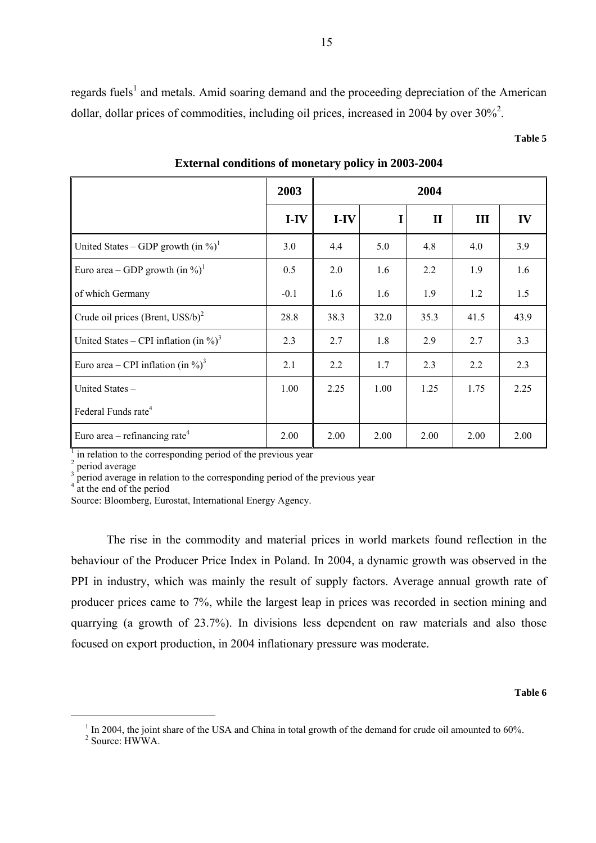regards fuels<sup>1</sup> and metals. Amid soaring demand and the proceeding depreciation of the American dollar, dollar prices of commodities, including oil prices, increased in 2004 by over  $30\%$ <sup>2</sup>.

#### **Table 5**

|                                                        | 2003<br>2004 |        |      |              |      |      |
|--------------------------------------------------------|--------------|--------|------|--------------|------|------|
|                                                        | $I-IV$       | $I-IV$ |      | $\mathbf{I}$ | III  | IV   |
| United States – GDP growth $(in \%)^1$                 | 3.0          | 4.4    | 5.0  | 4.8          | 4.0  | 3.9  |
| Euro area – GDP growth $(in \%)^1$                     | 0.5          | 2.0    | 1.6  | 2.2          | 1.9  | 1.6  |
| of which Germany                                       | $-0.1$       | 1.6    | 1.6  | 1.9          | 1.2  | 1.5  |
| Crude oil prices (Brent, $\text{USS}/b$ ) <sup>2</sup> | 28.8         | 38.3   | 32.0 | 35.3         | 41.5 | 43.9 |
| United States – CPI inflation (in $\%$ ) <sup>3</sup>  | 2.3          | 2.7    | 1.8  | 2.9          | 2.7  | 3.3  |
| Euro area – CPI inflation (in $\%$ ) <sup>3</sup>      | 2.1          | 2.2    | 1.7  | 2.3          | 2.2  | 2.3  |
| United States -                                        | 1.00         | 2.25   | 1.00 | 1.25         | 1.75 | 2.25 |
| Federal Funds rate <sup>4</sup>                        |              |        |      |              |      |      |
| Euro area – refinancing rate <sup>4</sup>              | 2.00         | 2.00   | 2.00 | 2.00         | 2.00 | 2.00 |

**External conditions of monetary policy in 2003-2004** 

 $<sup>1</sup>$  in relation to the corresponding period of the previous year</sup>

 $\frac{2}{3}$  period average

<sup>3</sup> period average in relation to the corresponding period of the previous year  $4<sup>4</sup>$  at the end of the period

Source: Bloomberg, Eurostat, International Energy Agency.

The rise in the commodity and material prices in world markets found reflection in the behaviour of the Producer Price Index in Poland. In 2004, a dynamic growth was observed in the PPI in industry, which was mainly the result of supply factors. Average annual growth rate of producer prices came to 7%, while the largest leap in prices was recorded in section mining and quarrying (a growth of 23.7%). In divisions less dependent on raw materials and also those focused on export production, in 2004 inflationary pressure was moderate.

#### **Table 6**

 $1$  In 2004, the joint share of the USA and China in total growth of the demand for crude oil amounted to 60%.

<sup>2</sup> Source: HWWA.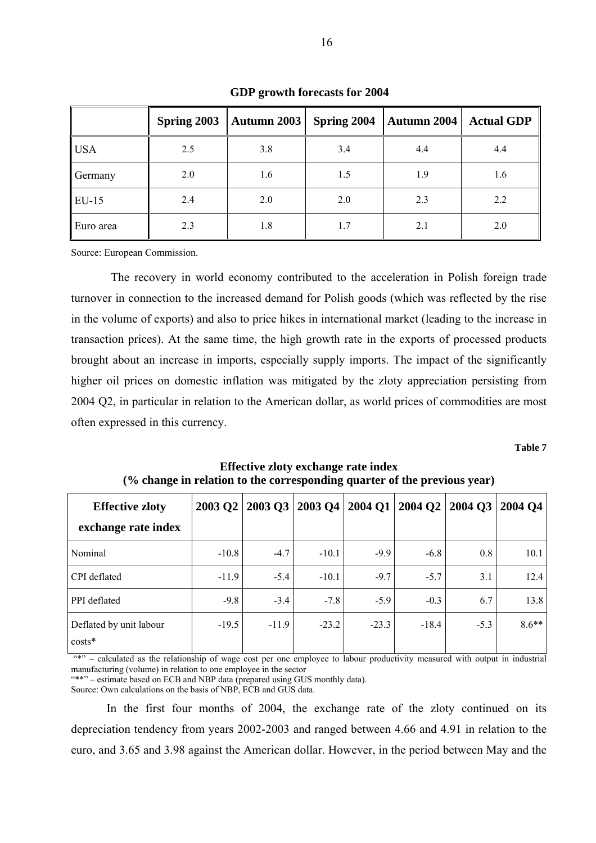|             | Spring 2003 | <b>Autumn 2003</b> | Spring 2004 | <b>Autumn 2004</b> | <b>Actual GDP</b> |
|-------------|-------------|--------------------|-------------|--------------------|-------------------|
| $\big $ USA | 2.5         | 3.8                | 3.4         | 4.4                | 4.4               |
| Germany     | 2.0         | 1.6                | 1.5         | 1.9                | 1.6               |
| $ EU-15$    | 2.4         | 2.0                | 2.0         | 2.3                | 2.2               |
| Euro area   | 2.3         | 1.8                | 1.7         | 2.1                | 2.0               |

**GDP growth forecasts for 2004** 

Source: European Commission.

 The recovery in world economy contributed to the acceleration in Polish foreign trade turnover in connection to the increased demand for Polish goods (which was reflected by the rise in the volume of exports) and also to price hikes in international market (leading to the increase in transaction prices). At the same time, the high growth rate in the exports of processed products brought about an increase in imports, especially supply imports. The impact of the significantly higher oil prices on domestic inflation was mitigated by the zloty appreciation persisting from 2004 Q2, in particular in relation to the American dollar, as world prices of commodities are most often expressed in this currency.

**Table 7** 

| <b>Effective zloty</b><br>exchange rate index | $2003$ Q2 |         | 2003 Q3   2003 Q4   2004 Q1   2004 Q2   2004 Q3 |         |         |        | 2004 O4 |
|-----------------------------------------------|-----------|---------|-------------------------------------------------|---------|---------|--------|---------|
|                                               |           |         |                                                 |         |         |        |         |
| Nominal                                       | $-10.8$   | $-4.7$  | $-10.1$                                         | $-9.9$  | $-6.8$  | 0.8    | 10.1    |
| CPI deflated                                  | $-11.9$   | $-5.4$  | $-10.1$                                         | $-9.7$  | $-5.7$  | 3.1    | 12.4    |
| PPI deflated                                  | $-9.8$    | $-3.4$  | $-7.8$                                          | $-5.9$  | $-0.3$  | 6.7    | 13.8    |
| Deflated by unit labour<br>$costs*$           | $-19.5$   | $-11.9$ | $-23.2$                                         | $-23.3$ | $-18.4$ | $-5.3$ | $8.6**$ |

**Effective zloty exchange rate index (% change in relation to the corresponding quarter of the previous year)**

"\*" – calculated as the relationship of wage cost per one employee to labour productivity measured with output in industrial manufacturing (volume) in relation to one employee in the sector

"\*\*" – estimate based on ECB and NBP data (prepared using GUS monthly data).

Source: Own calculations on the basis of NBP, ECB and GUS data.

In the first four months of 2004, the exchange rate of the zloty continued on its depreciation tendency from years 2002-2003 and ranged between 4.66 and 4.91 in relation to the euro, and 3.65 and 3.98 against the American dollar. However, in the period between May and the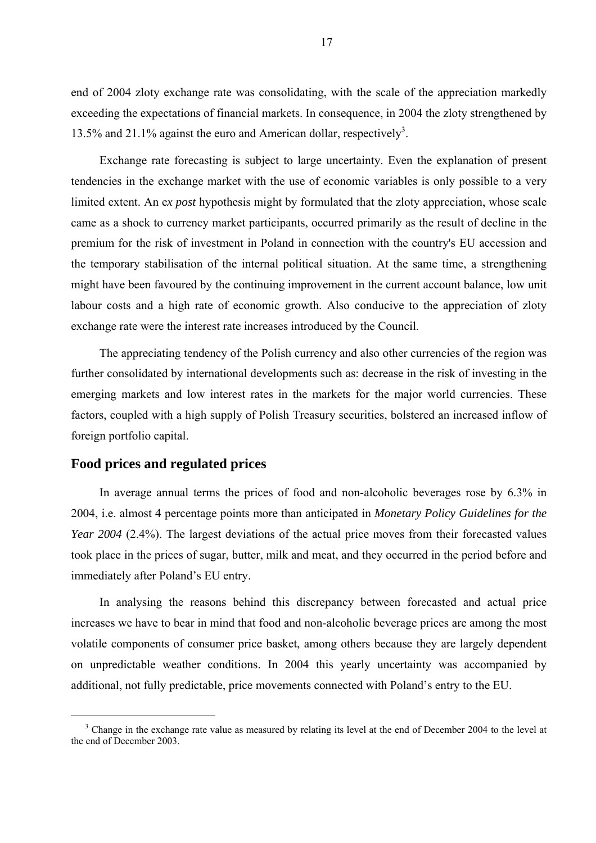end of 2004 zloty exchange rate was consolidating, with the scale of the appreciation markedly exceeding the expectations of financial markets. In consequence, in 2004 the zloty strengthened by 13.5% and 21.1% against the euro and American dollar, respectively<sup>3</sup>.

Exchange rate forecasting is subject to large uncertainty. Even the explanation of present tendencies in the exchange market with the use of economic variables is only possible to a very limited extent. An e*x post* hypothesis might by formulated that the zloty appreciation, whose scale came as a shock to currency market participants, occurred primarily as the result of decline in the premium for the risk of investment in Poland in connection with the country's EU accession and the temporary stabilisation of the internal political situation. At the same time, a strengthening might have been favoured by the continuing improvement in the current account balance, low unit labour costs and a high rate of economic growth. Also conducive to the appreciation of zloty exchange rate were the interest rate increases introduced by the Council.

The appreciating tendency of the Polish currency and also other currencies of the region was further consolidated by international developments such as: decrease in the risk of investing in the emerging markets and low interest rates in the markets for the major world currencies. These factors, coupled with a high supply of Polish Treasury securities, bolstered an increased inflow of foreign portfolio capital.

#### **Food prices and regulated prices**

In average annual terms the prices of food and non-alcoholic beverages rose by 6.3% in 2004, i.e. almost 4 percentage points more than anticipated in *Monetary Policy Guidelines for the Year 2004* (2.4%). The largest deviations of the actual price moves from their forecasted values took place in the prices of sugar, butter, milk and meat, and they occurred in the period before and immediately after Poland's EU entry.

In analysing the reasons behind this discrepancy between forecasted and actual price increases we have to bear in mind that food and non-alcoholic beverage prices are among the most volatile components of consumer price basket, among others because they are largely dependent on unpredictable weather conditions. In 2004 this yearly uncertainty was accompanied by additional, not fully predictable, price movements connected with Poland's entry to the EU.

<sup>&</sup>lt;sup>3</sup> Change in the exchange rate value as measured by relating its level at the end of December 2004 to the level at the end of December 2003.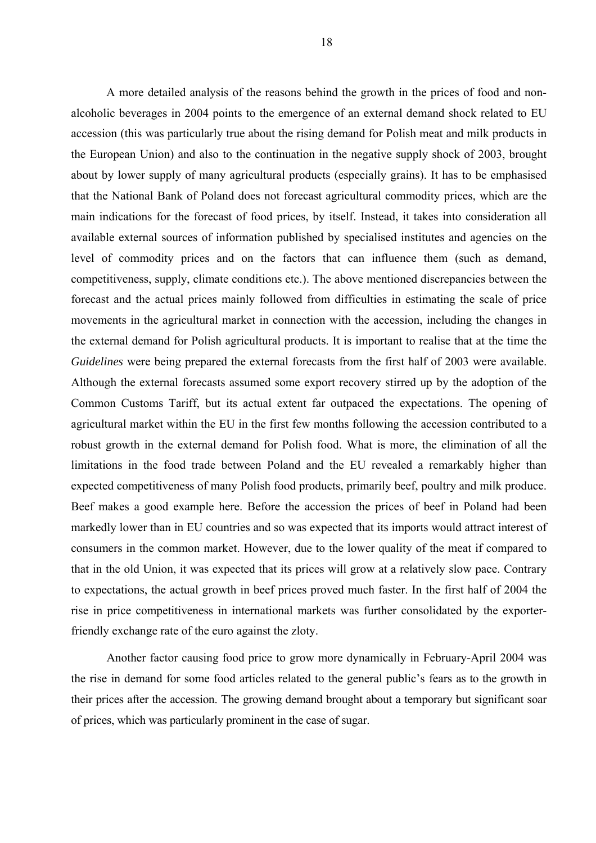A more detailed analysis of the reasons behind the growth in the prices of food and nonalcoholic beverages in 2004 points to the emergence of an external demand shock related to EU accession (this was particularly true about the rising demand for Polish meat and milk products in the European Union) and also to the continuation in the negative supply shock of 2003, brought about by lower supply of many agricultural products (especially grains). It has to be emphasised that the National Bank of Poland does not forecast agricultural commodity prices, which are the main indications for the forecast of food prices, by itself. Instead, it takes into consideration all available external sources of information published by specialised institutes and agencies on the level of commodity prices and on the factors that can influence them (such as demand, competitiveness, supply, climate conditions etc.). The above mentioned discrepancies between the forecast and the actual prices mainly followed from difficulties in estimating the scale of price movements in the agricultural market in connection with the accession, including the changes in the external demand for Polish agricultural products. It is important to realise that at the time the *Guidelines* were being prepared the external forecasts from the first half of 2003 were available. Although the external forecasts assumed some export recovery stirred up by the adoption of the Common Customs Tariff, but its actual extent far outpaced the expectations. The opening of agricultural market within the EU in the first few months following the accession contributed to a robust growth in the external demand for Polish food. What is more, the elimination of all the limitations in the food trade between Poland and the EU revealed a remarkably higher than expected competitiveness of many Polish food products, primarily beef, poultry and milk produce. Beef makes a good example here. Before the accession the prices of beef in Poland had been markedly lower than in EU countries and so was expected that its imports would attract interest of consumers in the common market. However, due to the lower quality of the meat if compared to that in the old Union, it was expected that its prices will grow at a relatively slow pace. Contrary to expectations, the actual growth in beef prices proved much faster. In the first half of 2004 the rise in price competitiveness in international markets was further consolidated by the exporterfriendly exchange rate of the euro against the zloty.

Another factor causing food price to grow more dynamically in February-April 2004 was the rise in demand for some food articles related to the general public's fears as to the growth in their prices after the accession. The growing demand brought about a temporary but significant soar of prices, which was particularly prominent in the case of sugar.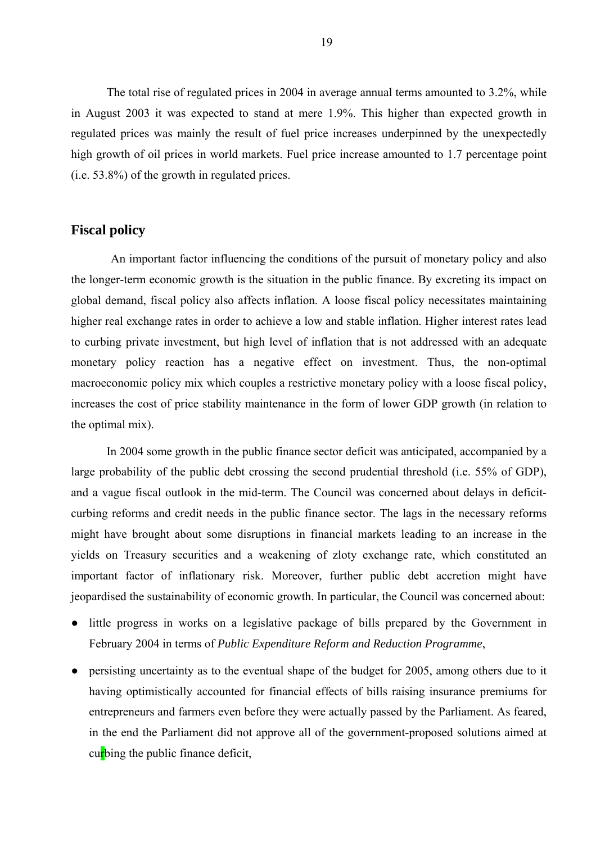The total rise of regulated prices in 2004 in average annual terms amounted to 3.2%, while in August 2003 it was expected to stand at mere 1.9%. This higher than expected growth in regulated prices was mainly the result of fuel price increases underpinned by the unexpectedly high growth of oil prices in world markets. Fuel price increase amounted to 1.7 percentage point (i.e. 53.8%) of the growth in regulated prices.

#### **Fiscal policy**

 An important factor influencing the conditions of the pursuit of monetary policy and also the longer-term economic growth is the situation in the public finance. By excreting its impact on global demand, fiscal policy also affects inflation. A loose fiscal policy necessitates maintaining higher real exchange rates in order to achieve a low and stable inflation. Higher interest rates lead to curbing private investment, but high level of inflation that is not addressed with an adequate monetary policy reaction has a negative effect on investment. Thus, the non-optimal macroeconomic policy mix which couples a restrictive monetary policy with a loose fiscal policy, increases the cost of price stability maintenance in the form of lower GDP growth (in relation to the optimal mix).

In 2004 some growth in the public finance sector deficit was anticipated, accompanied by a large probability of the public debt crossing the second prudential threshold (i.e. 55% of GDP), and a vague fiscal outlook in the mid-term. The Council was concerned about delays in deficitcurbing reforms and credit needs in the public finance sector. The lags in the necessary reforms might have brought about some disruptions in financial markets leading to an increase in the yields on Treasury securities and a weakening of zloty exchange rate, which constituted an important factor of inflationary risk. Moreover, further public debt accretion might have jeopardised the sustainability of economic growth. In particular, the Council was concerned about:

- little progress in works on a legislative package of bills prepared by the Government in February 2004 in terms of *Public Expenditure Reform and Reduction Programme*,
- persisting uncertainty as to the eventual shape of the budget for 2005, among others due to it having optimistically accounted for financial effects of bills raising insurance premiums for entrepreneurs and farmers even before they were actually passed by the Parliament. As feared, in the end the Parliament did not approve all of the government-proposed solutions aimed at curbing the public finance deficit,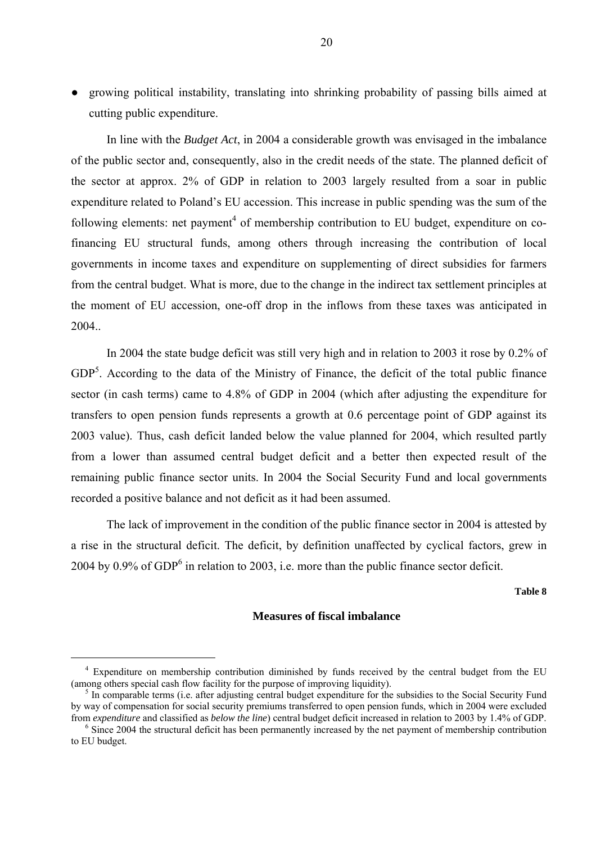● growing political instability, translating into shrinking probability of passing bills aimed at cutting public expenditure.

In line with the *Budget Act*, in 2004 a considerable growth was envisaged in the imbalance of the public sector and, consequently, also in the credit needs of the state. The planned deficit of the sector at approx. 2% of GDP in relation to 2003 largely resulted from a soar in public expenditure related to Poland's EU accession. This increase in public spending was the sum of the following elements: net payment<sup>4</sup> of membership contribution to EU budget, expenditure on cofinancing EU structural funds, among others through increasing the contribution of local governments in income taxes and expenditure on supplementing of direct subsidies for farmers from the central budget. What is more, due to the change in the indirect tax settlement principles at the moment of EU accession, one-off drop in the inflows from these taxes was anticipated in 2004..

In 2004 the state budge deficit was still very high and in relation to 2003 it rose by 0.2% of  $GDP<sup>5</sup>$ . According to the data of the Ministry of Finance, the deficit of the total public finance sector (in cash terms) came to 4.8% of GDP in 2004 (which after adjusting the expenditure for transfers to open pension funds represents a growth at 0.6 percentage point of GDP against its 2003 value). Thus, cash deficit landed below the value planned for 2004, which resulted partly from a lower than assumed central budget deficit and a better then expected result of the remaining public finance sector units. In 2004 the Social Security Fund and local governments recorded a positive balance and not deficit as it had been assumed.

The lack of improvement in the condition of the public finance sector in 2004 is attested by a rise in the structural deficit. The deficit, by definition unaffected by cyclical factors, grew in 2004 by 0.9% of GDP<sup>6</sup> in relation to 2003, i.e. more than the public finance sector deficit.

**Table 8**

#### **Measures of fiscal imbalance**

<sup>&</sup>lt;sup>4</sup> Expenditure on membership contribution diminished by funds received by the central budget from the EU (among others special cash flow facility for the purpose of improving liquidity). 5

 $<sup>5</sup>$  In comparable terms (i.e. after adjusting central budget expenditure for the subsidies to the Social Security Fund</sup> by way of compensation for social security premiums transferred to open pension funds, which in 2004 were excluded from *expenditure* and classified as *below the line*) central budget deficit increased in relation to 2003 by 1.4% of GDP. 6

Since 2004 the structural deficit has been permanently increased by the net payment of membership contribution to EU budget.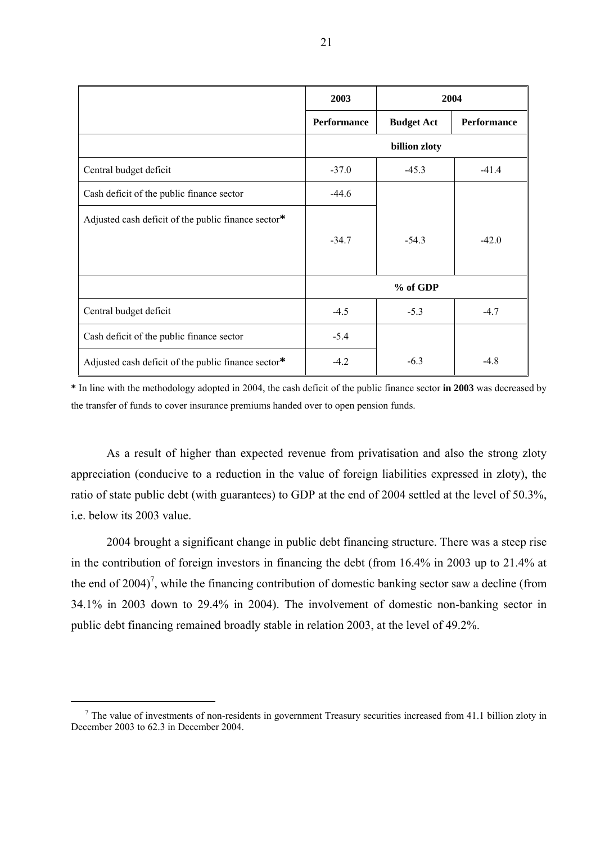|                                                     | 2003               | 2004              |                    |
|-----------------------------------------------------|--------------------|-------------------|--------------------|
|                                                     | <b>Performance</b> | <b>Budget Act</b> | <b>Performance</b> |
|                                                     |                    | billion zloty     |                    |
| Central budget deficit                              | $-37.0$            | $-45.3$           | $-41.4$            |
| Cash deficit of the public finance sector           | $-44.6$            |                   |                    |
| Adjusted cash deficit of the public finance sector* |                    |                   |                    |
|                                                     | $-34.7$            | $-54.3$           | $-42.0$            |
|                                                     |                    |                   |                    |
|                                                     |                    | % of GDP          |                    |
| Central budget deficit                              | $-4.5$             | $-5.3$            | $-4.7$             |
| Cash deficit of the public finance sector           | $-5.4$             |                   |                    |
| Adjusted cash deficit of the public finance sector* | $-4.2$             | $-6.3$            | $-4.8$             |

**\*** In line with the methodology adopted in 2004, the cash deficit of the public finance sector **in 2003** was decreased by the transfer of funds to cover insurance premiums handed over to open pension funds.

As a result of higher than expected revenue from privatisation and also the strong zloty appreciation (conducive to a reduction in the value of foreign liabilities expressed in zloty), the ratio of state public debt (with guarantees) to GDP at the end of 2004 settled at the level of 50.3%, i.e. below its 2003 value.

2004 brought a significant change in public debt financing structure. There was a steep rise in the contribution of foreign investors in financing the debt (from 16.4% in 2003 up to 21.4% at the end of 2004)<sup>7</sup>, while the financing contribution of domestic banking sector saw a decline (from 34.1% in 2003 down to 29.4% in 2004). The involvement of domestic non-banking sector in public debt financing remained broadly stable in relation 2003, at the level of 49.2%.

 $<sup>7</sup>$  The value of investments of non-residents in government Treasury securities increased from 41.1 billion zloty in</sup> December 2003 to 62.3 in December 2004.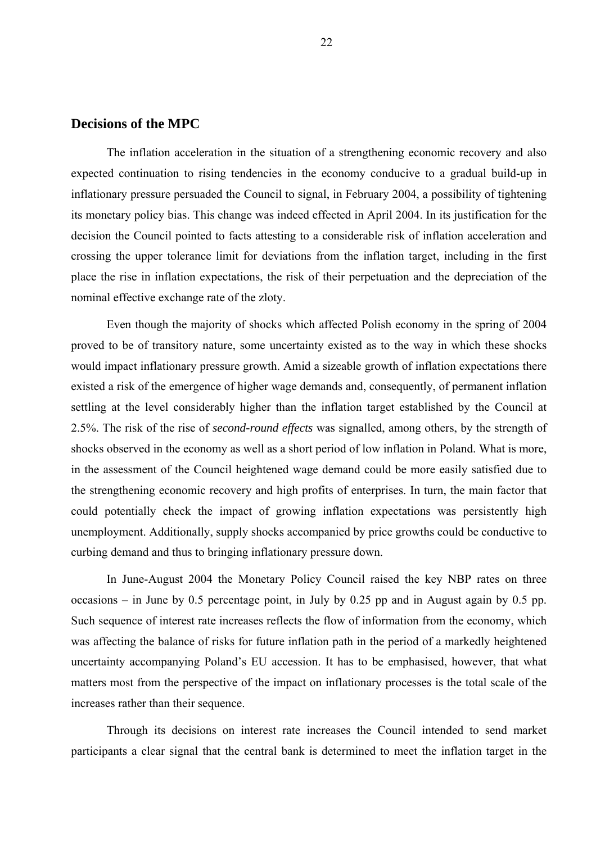## **Decisions of the MPC**

The inflation acceleration in the situation of a strengthening economic recovery and also expected continuation to rising tendencies in the economy conducive to a gradual build-up in inflationary pressure persuaded the Council to signal, in February 2004, a possibility of tightening its monetary policy bias. This change was indeed effected in April 2004. In its justification for the decision the Council pointed to facts attesting to a considerable risk of inflation acceleration and crossing the upper tolerance limit for deviations from the inflation target, including in the first place the rise in inflation expectations, the risk of their perpetuation and the depreciation of the nominal effective exchange rate of the zloty.

Even though the majority of shocks which affected Polish economy in the spring of 2004 proved to be of transitory nature, some uncertainty existed as to the way in which these shocks would impact inflationary pressure growth. Amid a sizeable growth of inflation expectations there existed a risk of the emergence of higher wage demands and, consequently, of permanent inflation settling at the level considerably higher than the inflation target established by the Council at 2.5%. The risk of the rise of *second-round effects* was signalled, among others, by the strength of shocks observed in the economy as well as a short period of low inflation in Poland. What is more, in the assessment of the Council heightened wage demand could be more easily satisfied due to the strengthening economic recovery and high profits of enterprises. In turn, the main factor that could potentially check the impact of growing inflation expectations was persistently high unemployment. Additionally, supply shocks accompanied by price growths could be conductive to curbing demand and thus to bringing inflationary pressure down.

In June-August 2004 the Monetary Policy Council raised the key NBP rates on three occasions – in June by 0.5 percentage point, in July by 0.25 pp and in August again by 0.5 pp. Such sequence of interest rate increases reflects the flow of information from the economy, which was affecting the balance of risks for future inflation path in the period of a markedly heightened uncertainty accompanying Poland's EU accession. It has to be emphasised, however, that what matters most from the perspective of the impact on inflationary processes is the total scale of the increases rather than their sequence.

Through its decisions on interest rate increases the Council intended to send market participants a clear signal that the central bank is determined to meet the inflation target in the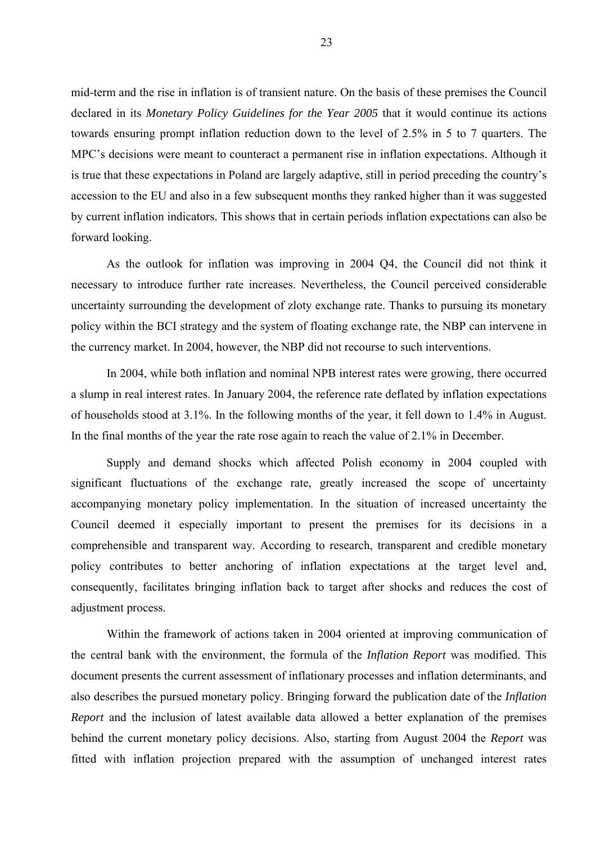mid-term and the rise in inflation is of transient nature. On the basis of these premises the Council declared in its *Monetary Policy Guidelines for the Year 2005* that it would continue its actions towards ensuring prompt inflation reduction down to the level of 2.5% in 5 to 7 quarters. The MPC's decisions were meant to counteract a permanent rise in inflation expectations. Although it is true that these expectations in Poland are largely adaptive, still in period preceding the country's accession to the EU and also in a few subsequent months they ranked higher than it was suggested by current inflation indicators. This shows that in certain periods inflation expectations can also be forward looking.

As the outlook for inflation was improving in 2004 Q4, the Council did not think it necessary to introduce further rate increases. Nevertheless, the Council perceived considerable uncertainty surrounding the development of zloty exchange rate. Thanks to pursuing its monetary policy within the BCI strategy and the system of floating exchange rate, the NBP can intervene in the currency market. In 2004, however, the NBP did not recourse to such interventions.

In 2004, while both inflation and nominal NPB interest rates were growing, there occurred a slump in real interest rates. In January 2004, the reference rate deflated by inflation expectations of households stood at 3.1%. In the following months of the year, it fell down to 1.4% in August. In the final months of the year the rate rose again to reach the value of 2.1% in December.

Supply and demand shocks which affected Polish economy in 2004 coupled with significant fluctuations of the exchange rate, greatly increased the scope of uncertainty accompanying monetary policy implementation. In the situation of increased uncertainty the Council deemed it especially important to present the premises for its decisions in a comprehensible and transparent way. According to research, transparent and credible monetary policy contributes to better anchoring of inflation expectations at the target level and, consequently, facilitates bringing inflation back to target after shocks and reduces the cost of adjustment process.

Within the framework of actions taken in 2004 oriented at improving communication of the central bank with the environment, the formula of the *Inflation Report* was modified. This document presents the current assessment of inflationary processes and inflation determinants, and also describes the pursued monetary policy. Bringing forward the publication date of the *Inflation Report* and the inclusion of latest available data allowed a better explanation of the premises behind the current monetary policy decisions. Also, starting from August 2004 the *Report* was fitted with inflation projection prepared with the assumption of unchanged interest rates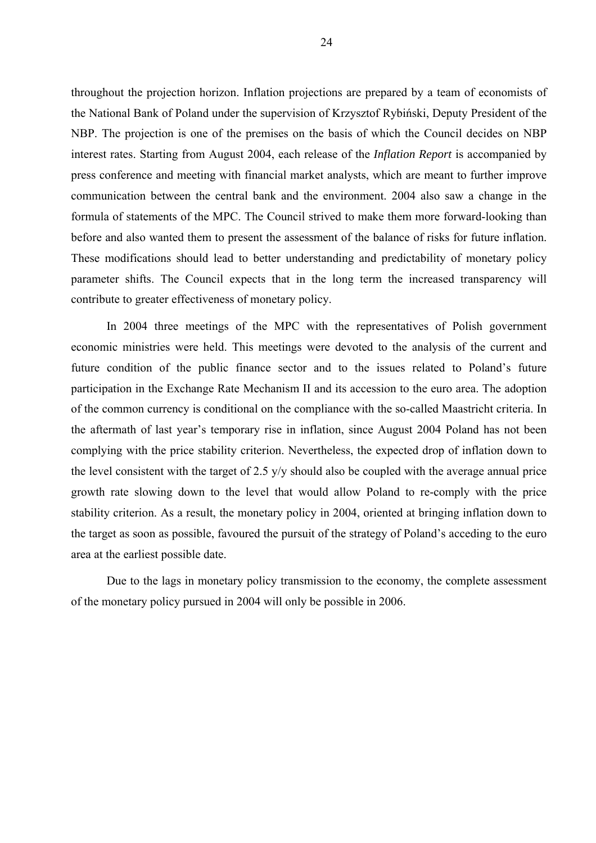throughout the projection horizon. Inflation projections are prepared by a team of economists of the National Bank of Poland under the supervision of Krzysztof Rybiński, Deputy President of the NBP. The projection is one of the premises on the basis of which the Council decides on NBP interest rates. Starting from August 2004, each release of the *Inflation Report* is accompanied by press conference and meeting with financial market analysts, which are meant to further improve communication between the central bank and the environment. 2004 also saw a change in the formula of statements of the MPC. The Council strived to make them more forward-looking than before and also wanted them to present the assessment of the balance of risks for future inflation. These modifications should lead to better understanding and predictability of monetary policy parameter shifts. The Council expects that in the long term the increased transparency will contribute to greater effectiveness of monetary policy.

In 2004 three meetings of the MPC with the representatives of Polish government economic ministries were held. This meetings were devoted to the analysis of the current and future condition of the public finance sector and to the issues related to Poland's future participation in the Exchange Rate Mechanism II and its accession to the euro area. The adoption of the common currency is conditional on the compliance with the so-called Maastricht criteria. In the aftermath of last year's temporary rise in inflation, since August 2004 Poland has not been complying with the price stability criterion. Nevertheless, the expected drop of inflation down to the level consistent with the target of 2.5 y/y should also be coupled with the average annual price growth rate slowing down to the level that would allow Poland to re-comply with the price stability criterion. As a result, the monetary policy in 2004, oriented at bringing inflation down to the target as soon as possible, favoured the pursuit of the strategy of Poland's acceding to the euro area at the earliest possible date.

Due to the lags in monetary policy transmission to the economy, the complete assessment of the monetary policy pursued in 2004 will only be possible in 2006.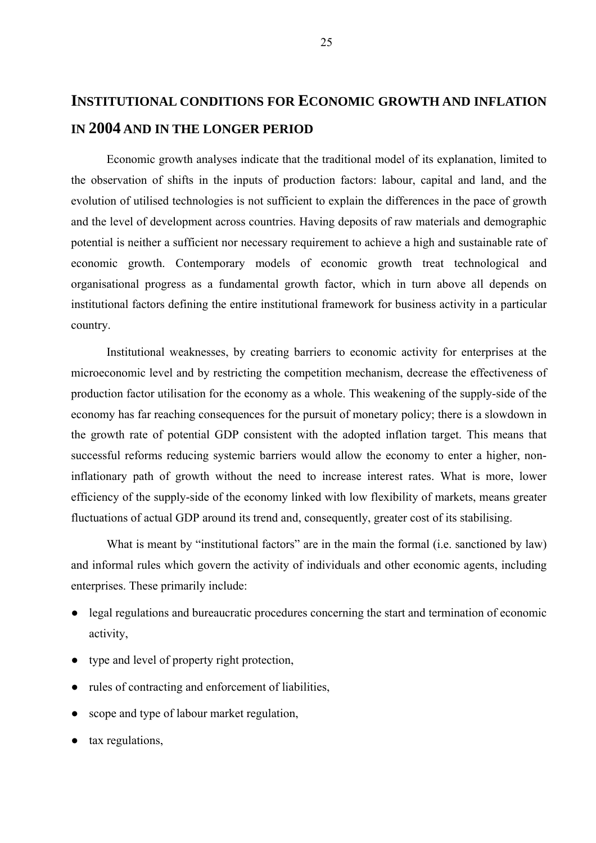# **INSTITUTIONAL CONDITIONS FOR ECONOMIC GROWTH AND INFLATION IN 2004 AND IN THE LONGER PERIOD**

Economic growth analyses indicate that the traditional model of its explanation, limited to the observation of shifts in the inputs of production factors: labour, capital and land, and the evolution of utilised technologies is not sufficient to explain the differences in the pace of growth and the level of development across countries. Having deposits of raw materials and demographic potential is neither a sufficient nor necessary requirement to achieve a high and sustainable rate of economic growth. Contemporary models of economic growth treat technological and organisational progress as a fundamental growth factor, which in turn above all depends on institutional factors defining the entire institutional framework for business activity in a particular country.

Institutional weaknesses, by creating barriers to economic activity for enterprises at the microeconomic level and by restricting the competition mechanism, decrease the effectiveness of production factor utilisation for the economy as a whole. This weakening of the supply-side of the economy has far reaching consequences for the pursuit of monetary policy; there is a slowdown in the growth rate of potential GDP consistent with the adopted inflation target. This means that successful reforms reducing systemic barriers would allow the economy to enter a higher, noninflationary path of growth without the need to increase interest rates. What is more, lower efficiency of the supply-side of the economy linked with low flexibility of markets, means greater fluctuations of actual GDP around its trend and, consequently, greater cost of its stabilising.

What is meant by "institutional factors" are in the main the formal (i.e. sanctioned by law) and informal rules which govern the activity of individuals and other economic agents, including enterprises. These primarily include:

- legal regulations and bureaucratic procedures concerning the start and termination of economic activity,
- type and level of property right protection,
- rules of contracting and enforcement of liabilities,
- scope and type of labour market regulation,
- tax regulations,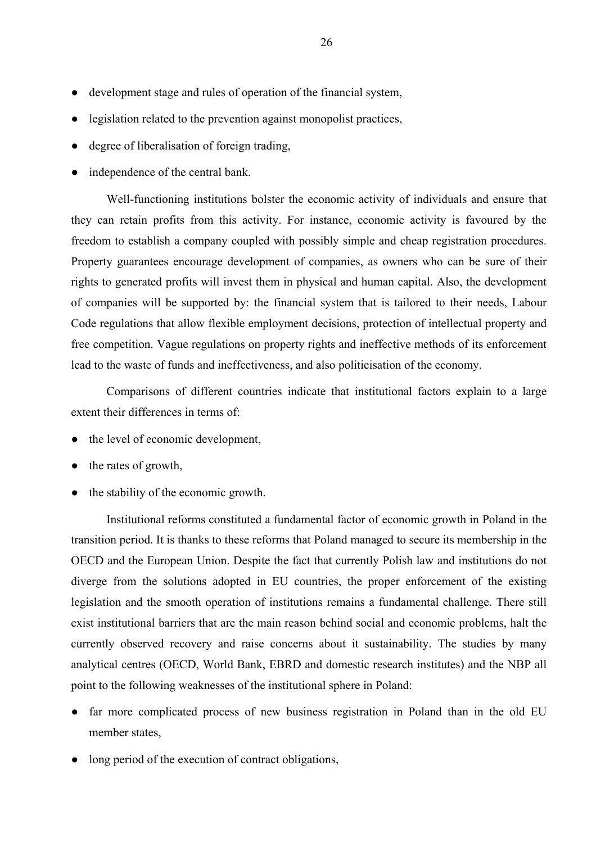- development stage and rules of operation of the financial system,
- legislation related to the prevention against monopolist practices,
- degree of liberalisation of foreign trading,
- independence of the central bank.

Well-functioning institutions bolster the economic activity of individuals and ensure that they can retain profits from this activity. For instance, economic activity is favoured by the freedom to establish a company coupled with possibly simple and cheap registration procedures. Property guarantees encourage development of companies, as owners who can be sure of their rights to generated profits will invest them in physical and human capital. Also, the development of companies will be supported by: the financial system that is tailored to their needs, Labour Code regulations that allow flexible employment decisions, protection of intellectual property and free competition. Vague regulations on property rights and ineffective methods of its enforcement lead to the waste of funds and ineffectiveness, and also politicisation of the economy.

Comparisons of different countries indicate that institutional factors explain to a large extent their differences in terms of:

- the level of economic development.
- the rates of growth,
- the stability of the economic growth.

Institutional reforms constituted a fundamental factor of economic growth in Poland in the transition period. It is thanks to these reforms that Poland managed to secure its membership in the OECD and the European Union. Despite the fact that currently Polish law and institutions do not diverge from the solutions adopted in EU countries, the proper enforcement of the existing legislation and the smooth operation of institutions remains a fundamental challenge. There still exist institutional barriers that are the main reason behind social and economic problems, halt the currently observed recovery and raise concerns about it sustainability. The studies by many analytical centres (OECD, World Bank, EBRD and domestic research institutes) and the NBP all point to the following weaknesses of the institutional sphere in Poland:

- far more complicated process of new business registration in Poland than in the old EU member states,
- long period of the execution of contract obligations,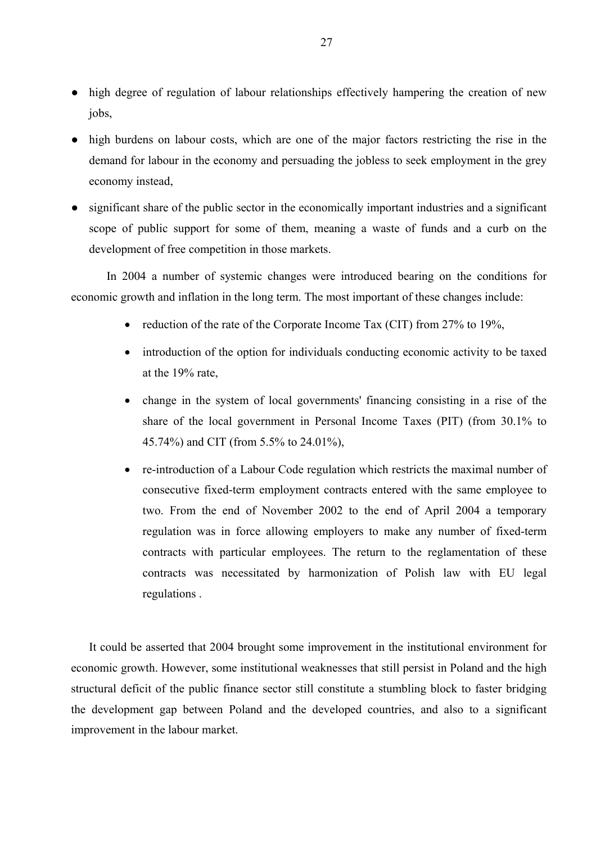- high degree of regulation of labour relationships effectively hampering the creation of new jobs,
- high burdens on labour costs, which are one of the major factors restricting the rise in the demand for labour in the economy and persuading the jobless to seek employment in the grey economy instead,
- significant share of the public sector in the economically important industries and a significant scope of public support for some of them, meaning a waste of funds and a curb on the development of free competition in those markets.

In 2004 a number of systemic changes were introduced bearing on the conditions for economic growth and inflation in the long term. The most important of these changes include:

- reduction of the rate of the Corporate Income Tax (CIT) from 27% to 19%,
- introduction of the option for individuals conducting economic activity to be taxed at the 19% rate,
- change in the system of local governments' financing consisting in a rise of the share of the local government in Personal Income Taxes (PIT) (from 30.1% to 45.74%) and CIT (from 5.5% to 24.01%),
- re-introduction of a Labour Code regulation which restricts the maximal number of consecutive fixed-term employment contracts entered with the same employee to two. From the end of November 2002 to the end of April 2004 a temporary regulation was in force allowing employers to make any number of fixed-term contracts with particular employees. The return to the reglamentation of these contracts was necessitated by harmonization of Polish law with EU legal regulations .

It could be asserted that 2004 brought some improvement in the institutional environment for economic growth. However, some institutional weaknesses that still persist in Poland and the high structural deficit of the public finance sector still constitute a stumbling block to faster bridging the development gap between Poland and the developed countries, and also to a significant improvement in the labour market.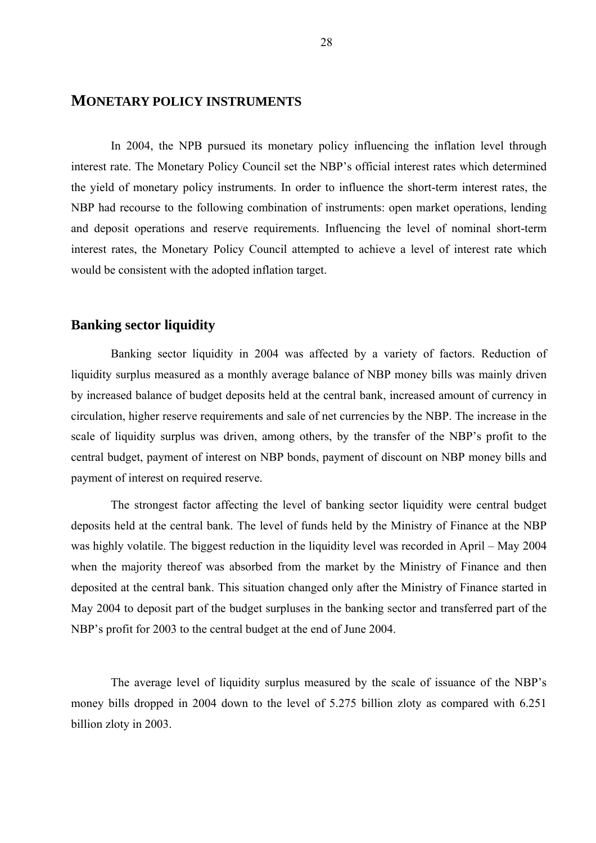## **MONETARY POLICY INSTRUMENTS**

 In 2004, the NPB pursued its monetary policy influencing the inflation level through interest rate. The Monetary Policy Council set the NBP's official interest rates which determined the yield of monetary policy instruments. In order to influence the short-term interest rates, the NBP had recourse to the following combination of instruments: open market operations, lending and deposit operations and reserve requirements. Influencing the level of nominal short-term interest rates, the Monetary Policy Council attempted to achieve a level of interest rate which would be consistent with the adopted inflation target.

## **Banking sector liquidity**

 Banking sector liquidity in 2004 was affected by a variety of factors. Reduction of liquidity surplus measured as a monthly average balance of NBP money bills was mainly driven by increased balance of budget deposits held at the central bank, increased amount of currency in circulation, higher reserve requirements and sale of net currencies by the NBP. The increase in the scale of liquidity surplus was driven, among others, by the transfer of the NBP's profit to the central budget, payment of interest on NBP bonds, payment of discount on NBP money bills and payment of interest on required reserve.

 The strongest factor affecting the level of banking sector liquidity were central budget deposits held at the central bank. The level of funds held by the Ministry of Finance at the NBP was highly volatile. The biggest reduction in the liquidity level was recorded in April – May 2004 when the majority thereof was absorbed from the market by the Ministry of Finance and then deposited at the central bank. This situation changed only after the Ministry of Finance started in May 2004 to deposit part of the budget surpluses in the banking sector and transferred part of the NBP's profit for 2003 to the central budget at the end of June 2004.

 The average level of liquidity surplus measured by the scale of issuance of the NBP's money bills dropped in 2004 down to the level of 5.275 billion zloty as compared with 6.251 billion zloty in 2003.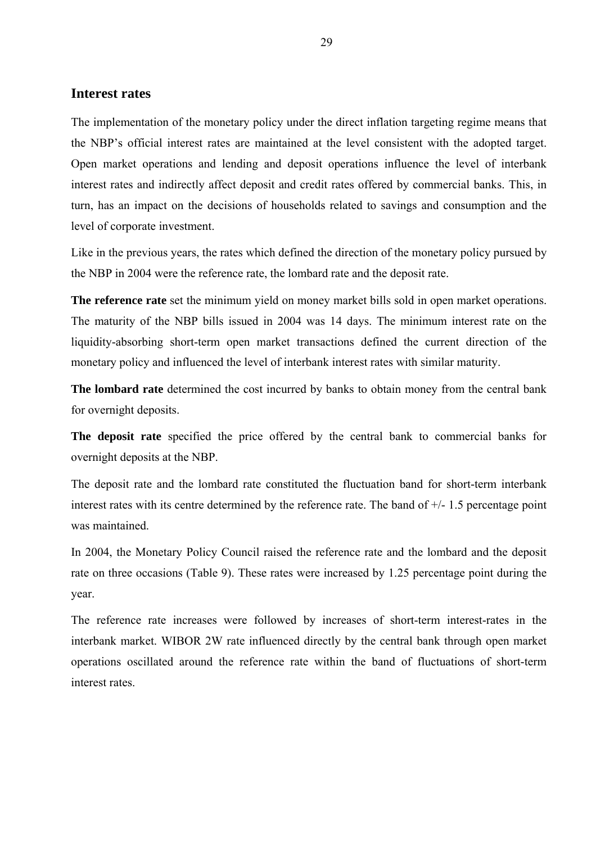## **Interest rates**

The implementation of the monetary policy under the direct inflation targeting regime means that the NBP's official interest rates are maintained at the level consistent with the adopted target. Open market operations and lending and deposit operations influence the level of interbank interest rates and indirectly affect deposit and credit rates offered by commercial banks. This, in turn, has an impact on the decisions of households related to savings and consumption and the level of corporate investment.

Like in the previous years, the rates which defined the direction of the monetary policy pursued by the NBP in 2004 were the reference rate, the lombard rate and the deposit rate.

**The reference rate** set the minimum yield on money market bills sold in open market operations. The maturity of the NBP bills issued in 2004 was 14 days. The minimum interest rate on the liquidity-absorbing short-term open market transactions defined the current direction of the monetary policy and influenced the level of interbank interest rates with similar maturity.

**The lombard rate** determined the cost incurred by banks to obtain money from the central bank for overnight deposits.

**The deposit rate** specified the price offered by the central bank to commercial banks for overnight deposits at the NBP.

The deposit rate and the lombard rate constituted the fluctuation band for short-term interbank interest rates with its centre determined by the reference rate. The band of +/- 1.5 percentage point was maintained.

In 2004, the Monetary Policy Council raised the reference rate and the lombard and the deposit rate on three occasions (Table 9). These rates were increased by 1.25 percentage point during the year.

The reference rate increases were followed by increases of short-term interest-rates in the interbank market. WIBOR 2W rate influenced directly by the central bank through open market operations oscillated around the reference rate within the band of fluctuations of short-term interest rates.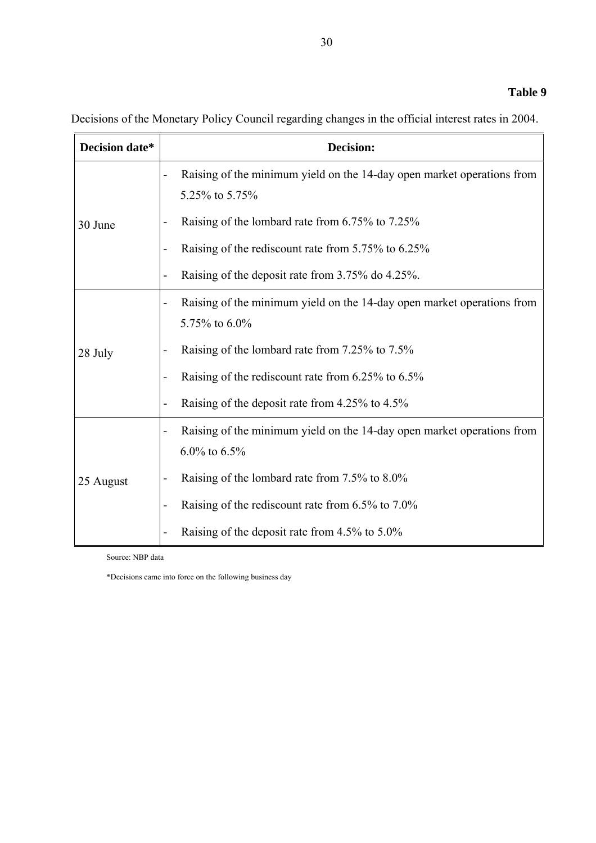Decisions of the Monetary Policy Council regarding changes in the official interest rates in 2004.

| Decision date* | <b>Decision:</b>                                                                                                    |
|----------------|---------------------------------------------------------------------------------------------------------------------|
|                | Raising of the minimum yield on the 14-day open market operations from<br>5.25% to 5.75%                            |
| 30 June        | Raising of the lombard rate from 6.75% to 7.25%                                                                     |
|                | Raising of the rediscount rate from 5.75% to 6.25%                                                                  |
|                | Raising of the deposit rate from 3.75% do 4.25%.                                                                    |
| 28 July        | Raising of the minimum yield on the 14-day open market operations from<br>$\overline{\phantom{0}}$<br>5.75% to 6.0% |
|                | Raising of the lombard rate from 7.25% to 7.5%                                                                      |
|                | Raising of the rediscount rate from 6.25% to 6.5%<br>L,                                                             |
|                | Raising of the deposit rate from 4.25% to 4.5%<br>$\overline{\phantom{0}}$                                          |
|                | Raising of the minimum yield on the 14-day open market operations from<br>-<br>$6.0\%$ to $6.5\%$                   |
| 25 August      | Raising of the lombard rate from 7.5% to 8.0%                                                                       |
|                | Raising of the rediscount rate from 6.5% to 7.0%<br>$\overline{a}$                                                  |
|                | Raising of the deposit rate from 4.5% to 5.0%                                                                       |

Source: NBP data

\*Decisions came into force on the following business day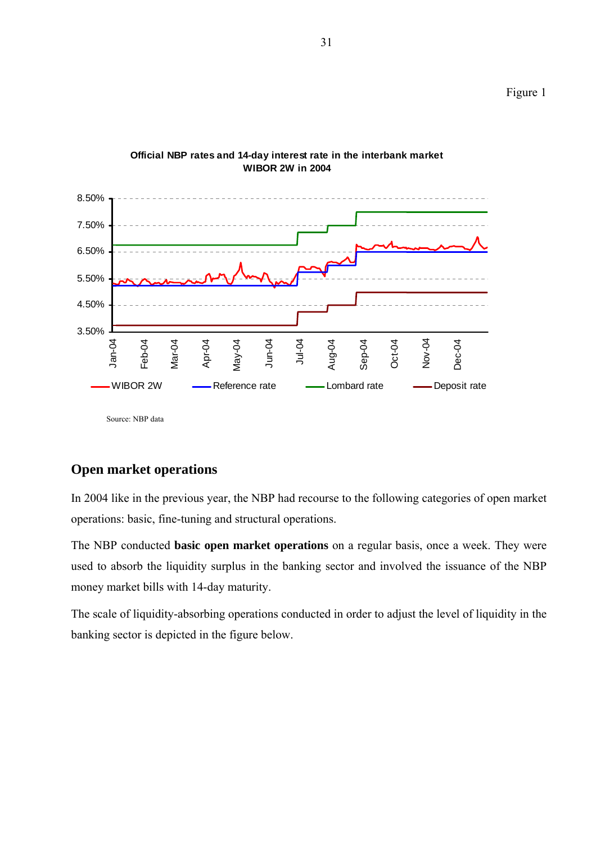

## **Official NBP rates and 14-day interest rate in the interbank market WIBOR 2W in 2004**

Source: NBP data

## **Open market operations**

In 2004 like in the previous year, the NBP had recourse to the following categories of open market operations: basic, fine-tuning and structural operations.

The NBP conducted **basic open market operations** on a regular basis, once a week. They were used to absorb the liquidity surplus in the banking sector and involved the issuance of the NBP money market bills with 14-day maturity.

The scale of liquidity-absorbing operations conducted in order to adjust the level of liquidity in the banking sector is depicted in the figure below.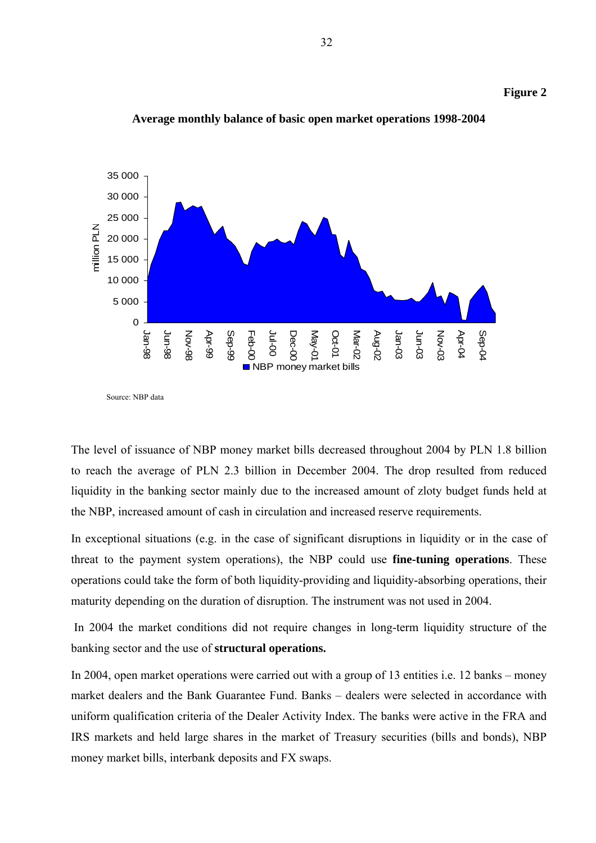



**Average monthly balance of basic open market operations 1998-2004** 

Source: NBP data

The level of issuance of NBP money market bills decreased throughout 2004 by PLN 1.8 billion to reach the average of PLN 2.3 billion in December 2004. The drop resulted from reduced liquidity in the banking sector mainly due to the increased amount of zloty budget funds held at the NBP, increased amount of cash in circulation and increased reserve requirements.

In exceptional situations (e.g. in the case of significant disruptions in liquidity or in the case of threat to the payment system operations), the NBP could use **fine-tuning operations**. These operations could take the form of both liquidity-providing and liquidity-absorbing operations, their maturity depending on the duration of disruption. The instrument was not used in 2004.

 In 2004 the market conditions did not require changes in long-term liquidity structure of the banking sector and the use of **structural operations.**

In 2004, open market operations were carried out with a group of 13 entities i.e. 12 banks – money market dealers and the Bank Guarantee Fund. Banks – dealers were selected in accordance with uniform qualification criteria of the Dealer Activity Index. The banks were active in the FRA and IRS markets and held large shares in the market of Treasury securities (bills and bonds), NBP money market bills, interbank deposits and FX swaps.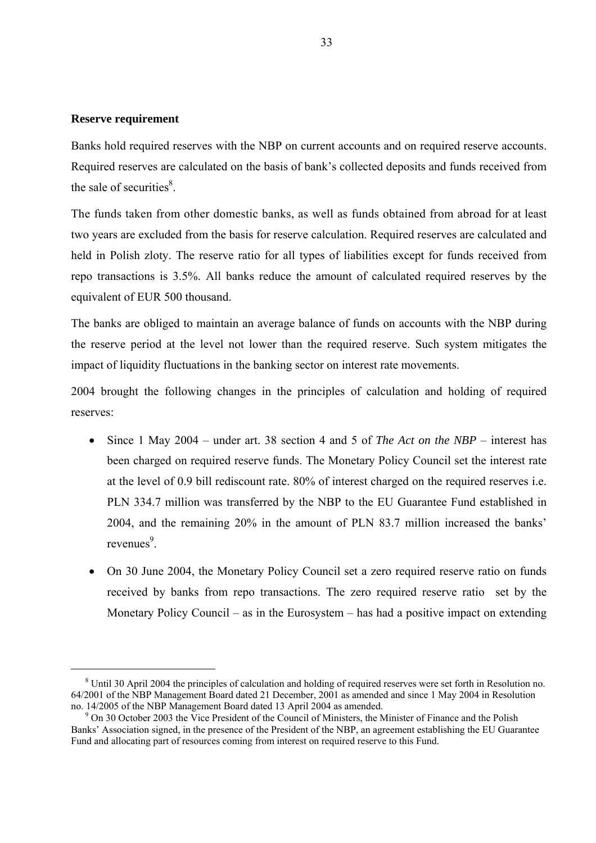#### **Reserve requirement**

Banks hold required reserves with the NBP on current accounts and on required reserve accounts. Required reserves are calculated on the basis of bank's collected deposits and funds received from the sale of securities $8$ .

The funds taken from other domestic banks, as well as funds obtained from abroad for at least two years are excluded from the basis for reserve calculation. Required reserves are calculated and held in Polish zloty. The reserve ratio for all types of liabilities except for funds received from repo transactions is 3.5%. All banks reduce the amount of calculated required reserves by the equivalent of EUR 500 thousand.

The banks are obliged to maintain an average balance of funds on accounts with the NBP during the reserve period at the level not lower than the required reserve. Such system mitigates the impact of liquidity fluctuations in the banking sector on interest rate movements.

2004 brought the following changes in the principles of calculation and holding of required reserves:

- Since 1 May 2004 under art. 38 section 4 and 5 of *The Act on the NBP* interest has been charged on required reserve funds. The Monetary Policy Council set the interest rate at the level of 0.9 bill rediscount rate. 80% of interest charged on the required reserves i.e. PLN 334.7 million was transferred by the NBP to the EU Guarantee Fund established in 2004, and the remaining 20% in the amount of PLN 83.7 million increased the banks' revenues<sup>9</sup>.
- On 30 June 2004, the Monetary Policy Council set a zero required reserve ratio on funds received by banks from repo transactions. The zero required reserve ratio set by the Monetary Policy Council – as in the Eurosystem – has had a positive impact on extending

 $8$  Until 30 April 2004 the principles of calculation and holding of required reserves were set forth in Resolution no. 64/2001 of the NBP Management Board dated 21 December, 2001 as amended and since 1 May 2004 in Resolution no. 14/2005 of the NBP Management Board dated 13 April 2004 as amended.

 $9$  On 30 October 2003 the Vice President of the Council of Ministers, the Minister of Finance and the Polish Banks' Association signed, in the presence of the President of the NBP, an agreement establishing the EU Guarantee Fund and allocating part of resources coming from interest on required reserve to this Fund.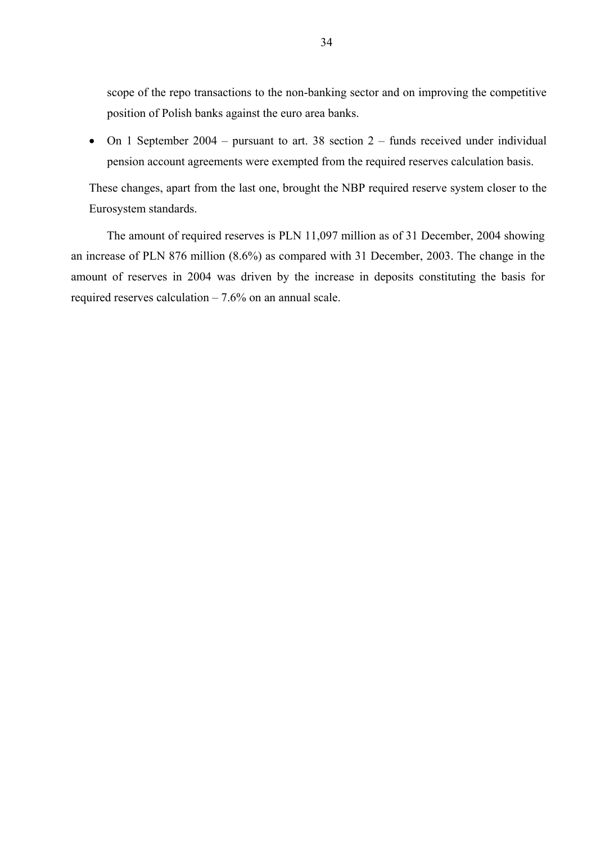scope of the repo transactions to the non-banking sector and on improving the competitive position of Polish banks against the euro area banks.

• On 1 September 2004 – pursuant to art. 38 section 2 – funds received under individual pension account agreements were exempted from the required reserves calculation basis.

These changes, apart from the last one, brought the NBP required reserve system closer to the Eurosystem standards.

The amount of required reserves is PLN 11,097 million as of 31 December, 2004 showing an increase of PLN 876 million (8.6%) as compared with 31 December, 2003. The change in the amount of reserves in 2004 was driven by the increase in deposits constituting the basis for required reserves calculation  $-7.6\%$  on an annual scale.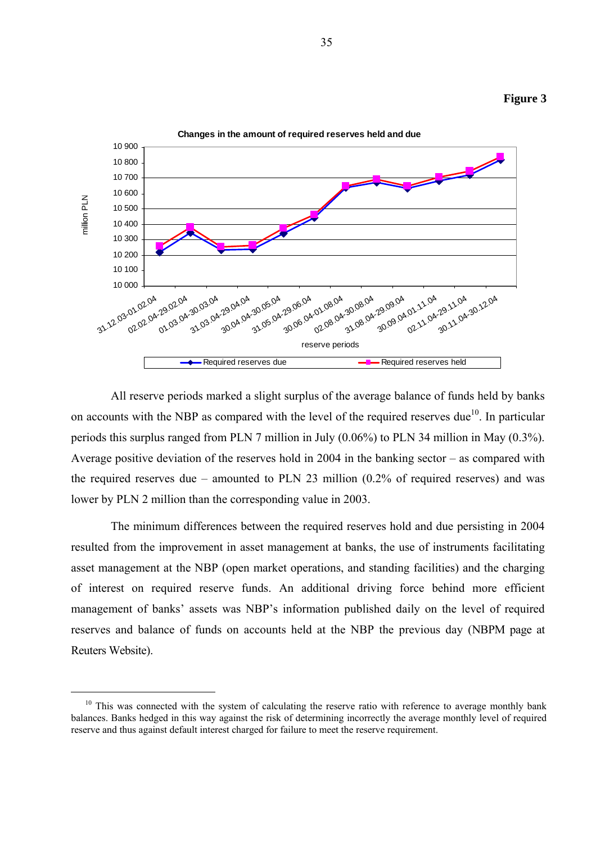



 All reserve periods marked a slight surplus of the average balance of funds held by banks on accounts with the NBP as compared with the level of the required reserves due<sup>10</sup>. In particular periods this surplus ranged from PLN 7 million in July (0.06%) to PLN 34 million in May (0.3%). Average positive deviation of the reserves hold in 2004 in the banking sector – as compared with the required reserves due – amounted to PLN 23 million (0.2% of required reserves) and was lower by PLN 2 million than the corresponding value in 2003.

 The minimum differences between the required reserves hold and due persisting in 2004 resulted from the improvement in asset management at banks, the use of instruments facilitating asset management at the NBP (open market operations, and standing facilities) and the charging of interest on required reserve funds. An additional driving force behind more efficient management of banks' assets was NBP's information published daily on the level of required reserves and balance of funds on accounts held at the NBP the previous day (NBPM page at Reuters Website).

 $10$  This was connected with the system of calculating the reserve ratio with reference to average monthly bank balances. Banks hedged in this way against the risk of determining incorrectly the average monthly level of required reserve and thus against default interest charged for failure to meet the reserve requirement.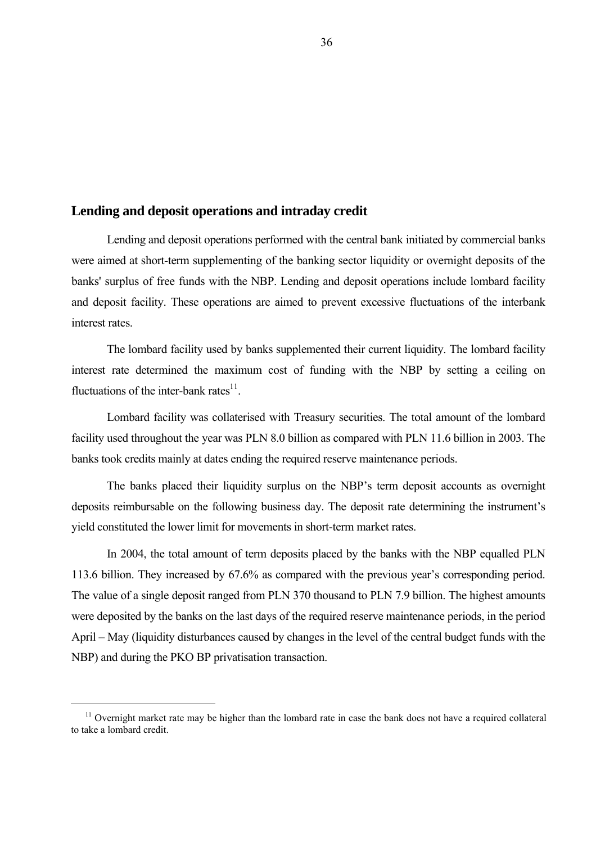#### **Lending and deposit operations and intraday credit**

Lending and deposit operations performed with the central bank initiated by commercial banks were aimed at short-term supplementing of the banking sector liquidity or overnight deposits of the banks' surplus of free funds with the NBP. Lending and deposit operations include lombard facility and deposit facility. These operations are aimed to prevent excessive fluctuations of the interbank interest rates.

The lombard facility used by banks supplemented their current liquidity. The lombard facility interest rate determined the maximum cost of funding with the NBP by setting a ceiling on fluctuations of the inter-bank rates $^{11}$ .

Lombard facility was collaterised with Treasury securities. The total amount of the lombard facility used throughout the year was PLN 8.0 billion as compared with PLN 11.6 billion in 2003. The banks took credits mainly at dates ending the required reserve maintenance periods.

The banks placed their liquidity surplus on the NBP's term deposit accounts as overnight deposits reimbursable on the following business day. The deposit rate determining the instrument's yield constituted the lower limit for movements in short-term market rates.

In 2004, the total amount of term deposits placed by the banks with the NBP equalled PLN 113.6 billion. They increased by 67.6% as compared with the previous year's corresponding period. The value of a single deposit ranged from PLN 370 thousand to PLN 7.9 billion. The highest amounts were deposited by the banks on the last days of the required reserve maintenance periods, in the period April – May (liquidity disturbances caused by changes in the level of the central budget funds with the NBP) and during the PKO BP privatisation transaction.

 $11$  Overnight market rate may be higher than the lombard rate in case the bank does not have a required collateral to take a lombard credit.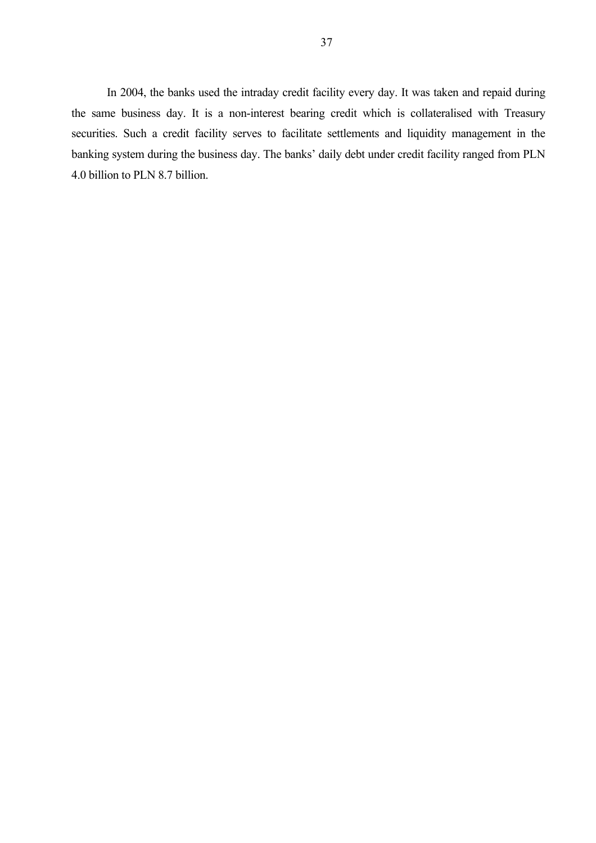In 2004, the banks used the intraday credit facility every day. It was taken and repaid during the same business day. It is a non-interest bearing credit which is collateralised with Treasury securities. Such a credit facility serves to facilitate settlements and liquidity management in the banking system during the business day. The banks' daily debt under credit facility ranged from PLN 4.0 billion to PLN 8.7 billion.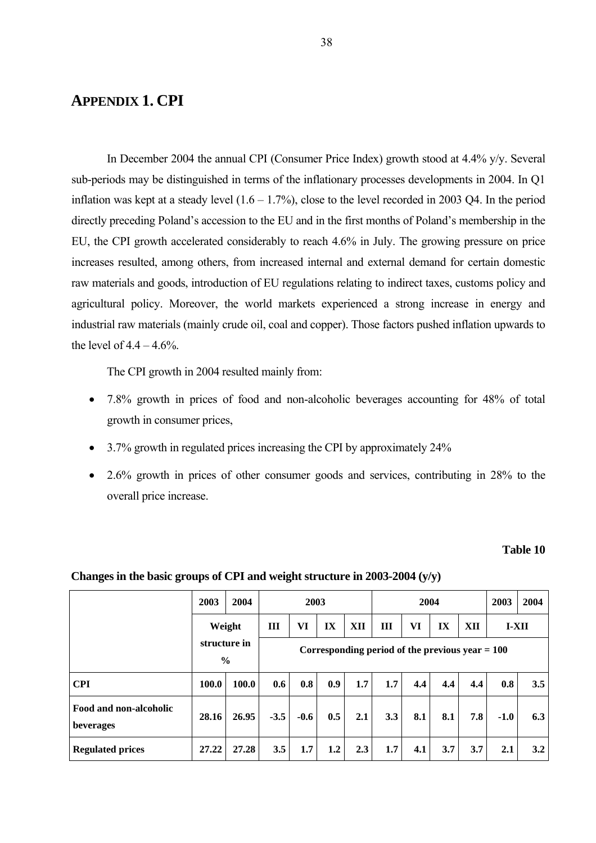# **APPENDIX 1. CPI**

In December 2004 the annual CPI (Consumer Price Index) growth stood at 4.4% y/y. Several sub-periods may be distinguished in terms of the inflationary processes developments in 2004. In Q1 inflation was kept at a steady level  $(1.6 - 1.7%)$ , close to the level recorded in 2003 Q4. In the period directly preceding Poland's accession to the EU and in the first months of Poland's membership in the EU, the CPI growth accelerated considerably to reach 4.6% in July. The growing pressure on price increases resulted, among others, from increased internal and external demand for certain domestic raw materials and goods, introduction of EU regulations relating to indirect taxes, customs policy and agricultural policy. Moreover, the world markets experienced a strong increase in energy and industrial raw materials (mainly crude oil, coal and copper). Those factors pushed inflation upwards to the level of  $4.4 - 4.6%$ .

The CPI growth in 2004 resulted mainly from:

- 7.8% growth in prices of food and non-alcoholic beverages accounting for 48% of total growth in consumer prices,
- 3.7% growth in regulated prices increasing the CPI by approximately 24%
- 2.6% growth in prices of other consumer goods and services, contributing in 28% to the overall price increase.

#### **Table 10**

|                                     | 2003          | 2004         |                                                   | 2003   |                  |     |     | 2004 |     |     | 2003    | 2004 |
|-------------------------------------|---------------|--------------|---------------------------------------------------|--------|------------------|-----|-----|------|-----|-----|---------|------|
|                                     | Weight        |              | Ш                                                 | VI     | IX               | XII | III | VI   | IX  | XII | $I-XII$ |      |
|                                     | $\frac{6}{9}$ | structure in | Corresponding period of the previous year $= 100$ |        |                  |     |     |      |     |     |         |      |
| <b>CPI</b>                          | 100.0         | 100.0        | 0.6                                               | 0.8    | 0.9 <sup>°</sup> | 1.7 | 1.7 | 4.4  | 4.4 | 4.4 | 0.8     | 3.5  |
| Food and non-alcoholic<br>beverages | 28.16         | 26.95        | $-3.5$                                            | $-0.6$ | 0.5              | 2.1 | 3.3 | 8.1  | 8.1 | 7.8 | $-1.0$  | 6.3  |
| <b>Regulated prices</b>             | 27.22         | 27.28        | 3.5                                               | 1.7    | 1.2              | 2.3 | 1.7 | 4.1  | 3.7 | 3.7 | 2.1     | 3.2  |

#### **Changes in the basic groups of CPI and weight structure in 2003-2004 (y/y)**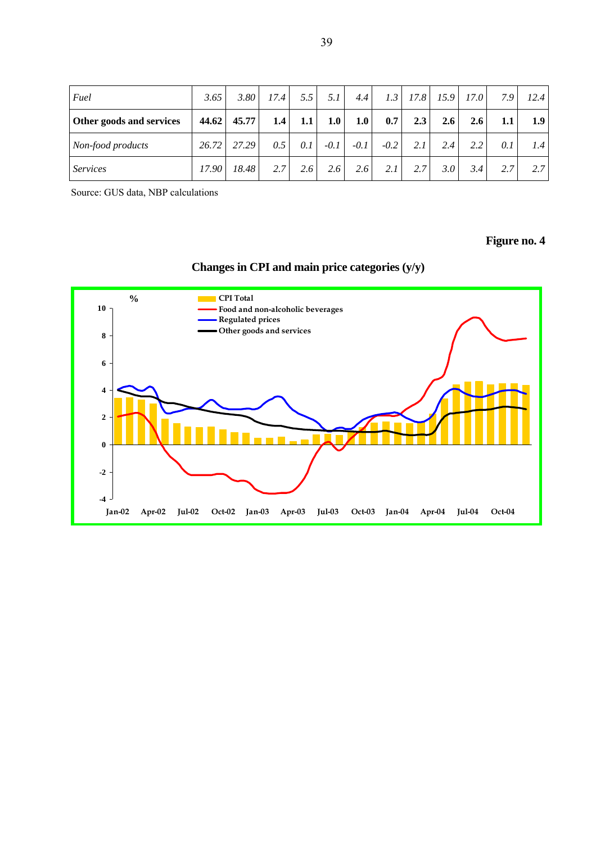| Fuel                     | 3.65  | 3.80  | 17.4 | 5.5 | 5.1    | 4.4    | 1.3    | 17.8 | 15.9 | 17.0          | 7.9     | 12.4 |
|--------------------------|-------|-------|------|-----|--------|--------|--------|------|------|---------------|---------|------|
| Other goods and services | 44.62 | 45.77 | 1.4  | 1.1 | 1.0    | 1.0    | 0.7    | 2.3  | 2.6  | 2.6           | $1.1\,$ | 1.9  |
| Non-food products        | 26.72 | 27.29 | 0.5  | 0.1 | $-0.1$ | $-0.1$ | $-0.2$ | 2.1  | 2.4  | $2.2^{\circ}$ | 0.1     | 1.4  |
| <b>Services</b>          | 17.90 | 18.48 | 2.7  | 2.6 | 2.6    | 2.6    | 2.1    | 2.7  | 3.0  | 3.4           | 2.7     | 2.7  |

Source: GUS data, NBP calculations

# **Figure no. 4**

# **Changes in CPI and main price categories (y/y)**

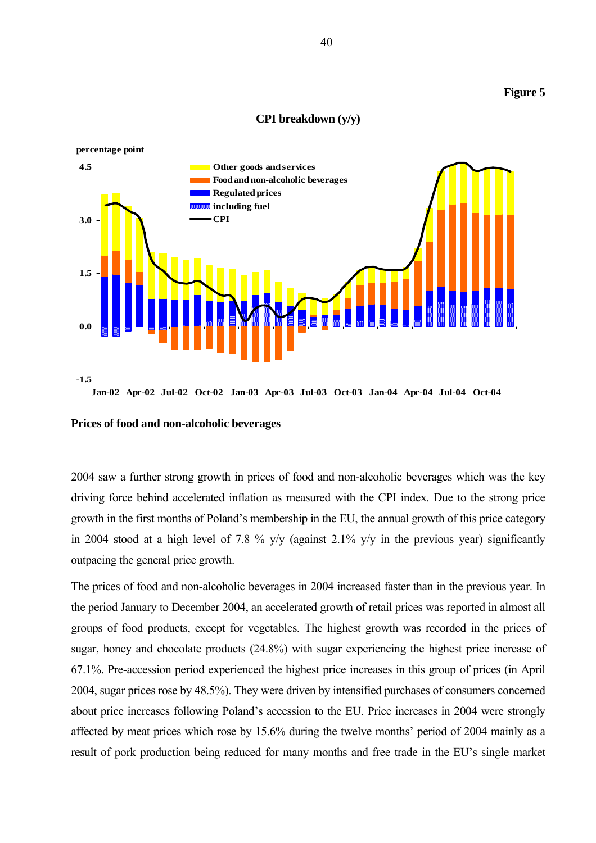#### **Figure 5**

#### **CPI breakdown (y/y)**



**Prices of food and non-alcoholic beverages** 

2004 saw a further strong growth in prices of food and non-alcoholic beverages which was the key driving force behind accelerated inflation as measured with the CPI index. Due to the strong price growth in the first months of Poland's membership in the EU, the annual growth of this price category in 2004 stood at a high level of 7.8 % y/y (against 2.1% y/y in the previous year) significantly outpacing the general price growth.

The prices of food and non-alcoholic beverages in 2004 increased faster than in the previous year. In the period January to December 2004, an accelerated growth of retail prices was reported in almost all groups of food products, except for vegetables. The highest growth was recorded in the prices of sugar, honey and chocolate products (24.8%) with sugar experiencing the highest price increase of 67.1%. Pre-accession period experienced the highest price increases in this group of prices (in April 2004, sugar prices rose by 48.5%). They were driven by intensified purchases of consumers concerned about price increases following Poland's accession to the EU. Price increases in 2004 were strongly affected by meat prices which rose by 15.6% during the twelve months' period of 2004 mainly as a result of pork production being reduced for many months and free trade in the EU's single market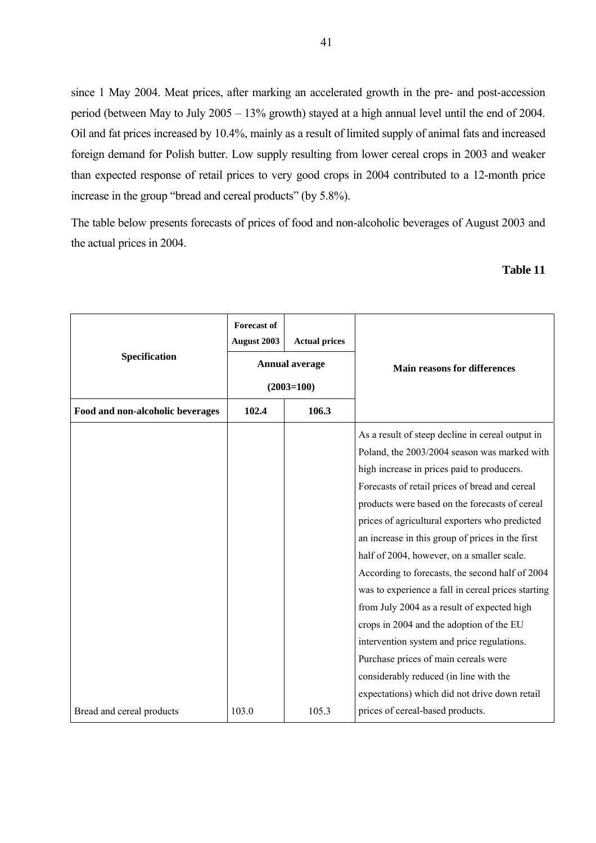since 1 May 2004. Meat prices, after marking an accelerated growth in the pre- and post-accession period (between May to July 2005 – 13% growth) stayed at a high annual level until the end of 2004. Oil and fat prices increased by 10.4%, mainly as a result of limited supply of animal fats and increased foreign demand for Polish butter. Low supply resulting from lower cereal crops in 2003 and weaker than expected response of retail prices to very good crops in 2004 contributed to a 12-month price increase in the group "bread and cereal products" (by 5.8%).

The table below presents forecasts of prices of food and non-alcoholic beverages of August 2003 and the actual prices in 2004.

### **Table 11**

| Specification                    | <b>Forecast of</b><br>August 2003 | <b>Actual prices</b><br><b>Annual average</b> | <b>Main reasons for differences</b>                |  |  |
|----------------------------------|-----------------------------------|-----------------------------------------------|----------------------------------------------------|--|--|
|                                  |                                   | $(2003=100)$                                  |                                                    |  |  |
| Food and non-alcoholic beverages | 102.4                             | 106.3                                         |                                                    |  |  |
|                                  |                                   |                                               | As a result of steep decline in cereal output in   |  |  |
|                                  |                                   |                                               | Poland, the 2003/2004 season was marked with       |  |  |
|                                  |                                   |                                               | high increase in prices paid to producers.         |  |  |
|                                  |                                   |                                               | Forecasts of retail prices of bread and cereal     |  |  |
|                                  |                                   |                                               | products were based on the forecasts of cereal     |  |  |
|                                  |                                   |                                               | prices of agricultural exporters who predicted     |  |  |
|                                  |                                   |                                               | an increase in this group of prices in the first   |  |  |
|                                  |                                   |                                               | half of 2004, however, on a smaller scale.         |  |  |
|                                  |                                   |                                               | According to forecasts, the second half of 2004    |  |  |
|                                  |                                   |                                               | was to experience a fall in cereal prices starting |  |  |
|                                  |                                   |                                               | from July 2004 as a result of expected high        |  |  |
|                                  |                                   |                                               | crops in 2004 and the adoption of the EU           |  |  |
|                                  |                                   |                                               | intervention system and price regulations.         |  |  |
|                                  |                                   |                                               | Purchase prices of main cereals were               |  |  |
|                                  |                                   |                                               | considerably reduced (in line with the             |  |  |
|                                  |                                   |                                               | expectations) which did not drive down retail      |  |  |
| Bread and cereal products        | 103.0                             | 105.3                                         | prices of cereal-based products.                   |  |  |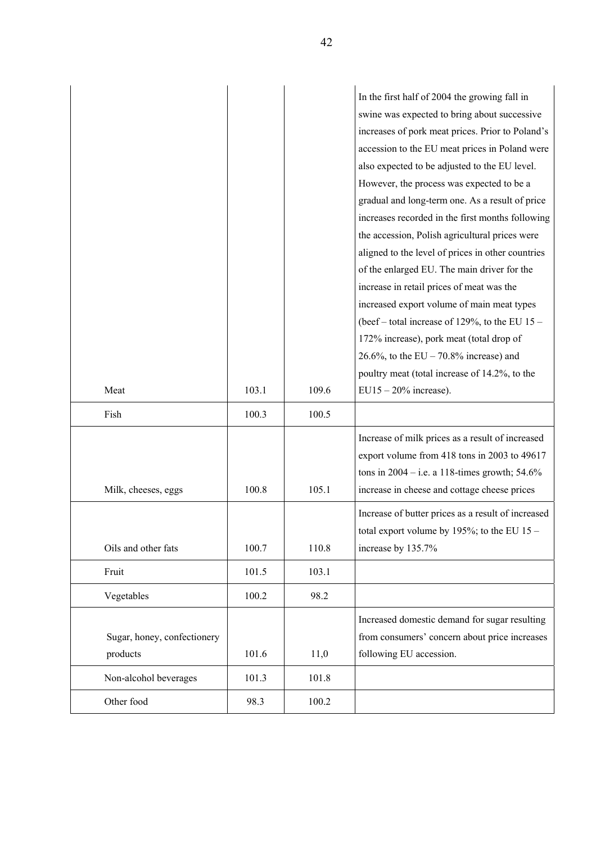| swine was expected to bring about successive<br>increases of pork meat prices. Prior to Poland's<br>accession to the EU meat prices in Poland were<br>also expected to be adjusted to the EU level.<br>However, the process was expected to be a<br>gradual and long-term one. As a result of price<br>increases recorded in the first months following<br>the accession, Polish agricultural prices were<br>aligned to the level of prices in other countries<br>of the enlarged EU. The main driver for the<br>increase in retail prices of meat was the<br>increased export volume of main meat types<br>(beef – total increase of 129%, to the EU $15$ –<br>172% increase), pork meat (total drop of<br>26.6%, to the EU – 70.8% increase) and<br>poultry meat (total increase of 14.2%, to the<br>103.1<br>109.6<br>$EU15 - 20\%$ increase).<br>Meat<br>100.3<br>100.5<br>Fish<br>Increase of milk prices as a result of increased<br>export volume from 418 tons in 2003 to 49617<br>tons in $2004 - i.e.$ a 118-times growth; 54.6%<br>100.8<br>105.1<br>increase in cheese and cottage cheese prices<br>Milk, cheeses, eggs<br>Increase of butter prices as a result of increased<br>total export volume by 195%; to the EU $15 -$<br>Oils and other fats<br>110.8<br>increase by 135.7%<br>100.7<br>101.5<br>103.1<br>Fruit<br>100.2<br>98.2<br>Vegetables<br>Increased domestic demand for sugar resulting<br>from consumers' concern about price increases<br>Sugar, honey, confectionery<br>following EU accession.<br>products<br>101.6<br>11,0<br>101.3<br>101.8 |                       |  | In the first half of 2004 the growing fall in |
|--------------------------------------------------------------------------------------------------------------------------------------------------------------------------------------------------------------------------------------------------------------------------------------------------------------------------------------------------------------------------------------------------------------------------------------------------------------------------------------------------------------------------------------------------------------------------------------------------------------------------------------------------------------------------------------------------------------------------------------------------------------------------------------------------------------------------------------------------------------------------------------------------------------------------------------------------------------------------------------------------------------------------------------------------------------------------------------------------------------------------------------------------------------------------------------------------------------------------------------------------------------------------------------------------------------------------------------------------------------------------------------------------------------------------------------------------------------------------------------------------------------------------------------------------------------------------------|-----------------------|--|-----------------------------------------------|
|                                                                                                                                                                                                                                                                                                                                                                                                                                                                                                                                                                                                                                                                                                                                                                                                                                                                                                                                                                                                                                                                                                                                                                                                                                                                                                                                                                                                                                                                                                                                                                                |                       |  |                                               |
|                                                                                                                                                                                                                                                                                                                                                                                                                                                                                                                                                                                                                                                                                                                                                                                                                                                                                                                                                                                                                                                                                                                                                                                                                                                                                                                                                                                                                                                                                                                                                                                |                       |  |                                               |
|                                                                                                                                                                                                                                                                                                                                                                                                                                                                                                                                                                                                                                                                                                                                                                                                                                                                                                                                                                                                                                                                                                                                                                                                                                                                                                                                                                                                                                                                                                                                                                                |                       |  |                                               |
|                                                                                                                                                                                                                                                                                                                                                                                                                                                                                                                                                                                                                                                                                                                                                                                                                                                                                                                                                                                                                                                                                                                                                                                                                                                                                                                                                                                                                                                                                                                                                                                |                       |  |                                               |
|                                                                                                                                                                                                                                                                                                                                                                                                                                                                                                                                                                                                                                                                                                                                                                                                                                                                                                                                                                                                                                                                                                                                                                                                                                                                                                                                                                                                                                                                                                                                                                                |                       |  |                                               |
|                                                                                                                                                                                                                                                                                                                                                                                                                                                                                                                                                                                                                                                                                                                                                                                                                                                                                                                                                                                                                                                                                                                                                                                                                                                                                                                                                                                                                                                                                                                                                                                |                       |  |                                               |
|                                                                                                                                                                                                                                                                                                                                                                                                                                                                                                                                                                                                                                                                                                                                                                                                                                                                                                                                                                                                                                                                                                                                                                                                                                                                                                                                                                                                                                                                                                                                                                                |                       |  |                                               |
|                                                                                                                                                                                                                                                                                                                                                                                                                                                                                                                                                                                                                                                                                                                                                                                                                                                                                                                                                                                                                                                                                                                                                                                                                                                                                                                                                                                                                                                                                                                                                                                |                       |  |                                               |
|                                                                                                                                                                                                                                                                                                                                                                                                                                                                                                                                                                                                                                                                                                                                                                                                                                                                                                                                                                                                                                                                                                                                                                                                                                                                                                                                                                                                                                                                                                                                                                                |                       |  |                                               |
|                                                                                                                                                                                                                                                                                                                                                                                                                                                                                                                                                                                                                                                                                                                                                                                                                                                                                                                                                                                                                                                                                                                                                                                                                                                                                                                                                                                                                                                                                                                                                                                |                       |  |                                               |
|                                                                                                                                                                                                                                                                                                                                                                                                                                                                                                                                                                                                                                                                                                                                                                                                                                                                                                                                                                                                                                                                                                                                                                                                                                                                                                                                                                                                                                                                                                                                                                                |                       |  |                                               |
|                                                                                                                                                                                                                                                                                                                                                                                                                                                                                                                                                                                                                                                                                                                                                                                                                                                                                                                                                                                                                                                                                                                                                                                                                                                                                                                                                                                                                                                                                                                                                                                |                       |  |                                               |
|                                                                                                                                                                                                                                                                                                                                                                                                                                                                                                                                                                                                                                                                                                                                                                                                                                                                                                                                                                                                                                                                                                                                                                                                                                                                                                                                                                                                                                                                                                                                                                                |                       |  |                                               |
|                                                                                                                                                                                                                                                                                                                                                                                                                                                                                                                                                                                                                                                                                                                                                                                                                                                                                                                                                                                                                                                                                                                                                                                                                                                                                                                                                                                                                                                                                                                                                                                |                       |  |                                               |
|                                                                                                                                                                                                                                                                                                                                                                                                                                                                                                                                                                                                                                                                                                                                                                                                                                                                                                                                                                                                                                                                                                                                                                                                                                                                                                                                                                                                                                                                                                                                                                                |                       |  |                                               |
|                                                                                                                                                                                                                                                                                                                                                                                                                                                                                                                                                                                                                                                                                                                                                                                                                                                                                                                                                                                                                                                                                                                                                                                                                                                                                                                                                                                                                                                                                                                                                                                |                       |  |                                               |
|                                                                                                                                                                                                                                                                                                                                                                                                                                                                                                                                                                                                                                                                                                                                                                                                                                                                                                                                                                                                                                                                                                                                                                                                                                                                                                                                                                                                                                                                                                                                                                                |                       |  |                                               |
|                                                                                                                                                                                                                                                                                                                                                                                                                                                                                                                                                                                                                                                                                                                                                                                                                                                                                                                                                                                                                                                                                                                                                                                                                                                                                                                                                                                                                                                                                                                                                                                |                       |  |                                               |
|                                                                                                                                                                                                                                                                                                                                                                                                                                                                                                                                                                                                                                                                                                                                                                                                                                                                                                                                                                                                                                                                                                                                                                                                                                                                                                                                                                                                                                                                                                                                                                                |                       |  |                                               |
|                                                                                                                                                                                                                                                                                                                                                                                                                                                                                                                                                                                                                                                                                                                                                                                                                                                                                                                                                                                                                                                                                                                                                                                                                                                                                                                                                                                                                                                                                                                                                                                |                       |  |                                               |
|                                                                                                                                                                                                                                                                                                                                                                                                                                                                                                                                                                                                                                                                                                                                                                                                                                                                                                                                                                                                                                                                                                                                                                                                                                                                                                                                                                                                                                                                                                                                                                                |                       |  |                                               |
|                                                                                                                                                                                                                                                                                                                                                                                                                                                                                                                                                                                                                                                                                                                                                                                                                                                                                                                                                                                                                                                                                                                                                                                                                                                                                                                                                                                                                                                                                                                                                                                |                       |  |                                               |
|                                                                                                                                                                                                                                                                                                                                                                                                                                                                                                                                                                                                                                                                                                                                                                                                                                                                                                                                                                                                                                                                                                                                                                                                                                                                                                                                                                                                                                                                                                                                                                                |                       |  |                                               |
|                                                                                                                                                                                                                                                                                                                                                                                                                                                                                                                                                                                                                                                                                                                                                                                                                                                                                                                                                                                                                                                                                                                                                                                                                                                                                                                                                                                                                                                                                                                                                                                |                       |  |                                               |
|                                                                                                                                                                                                                                                                                                                                                                                                                                                                                                                                                                                                                                                                                                                                                                                                                                                                                                                                                                                                                                                                                                                                                                                                                                                                                                                                                                                                                                                                                                                                                                                |                       |  |                                               |
|                                                                                                                                                                                                                                                                                                                                                                                                                                                                                                                                                                                                                                                                                                                                                                                                                                                                                                                                                                                                                                                                                                                                                                                                                                                                                                                                                                                                                                                                                                                                                                                |                       |  |                                               |
|                                                                                                                                                                                                                                                                                                                                                                                                                                                                                                                                                                                                                                                                                                                                                                                                                                                                                                                                                                                                                                                                                                                                                                                                                                                                                                                                                                                                                                                                                                                                                                                |                       |  |                                               |
|                                                                                                                                                                                                                                                                                                                                                                                                                                                                                                                                                                                                                                                                                                                                                                                                                                                                                                                                                                                                                                                                                                                                                                                                                                                                                                                                                                                                                                                                                                                                                                                |                       |  |                                               |
|                                                                                                                                                                                                                                                                                                                                                                                                                                                                                                                                                                                                                                                                                                                                                                                                                                                                                                                                                                                                                                                                                                                                                                                                                                                                                                                                                                                                                                                                                                                                                                                |                       |  |                                               |
|                                                                                                                                                                                                                                                                                                                                                                                                                                                                                                                                                                                                                                                                                                                                                                                                                                                                                                                                                                                                                                                                                                                                                                                                                                                                                                                                                                                                                                                                                                                                                                                |                       |  |                                               |
|                                                                                                                                                                                                                                                                                                                                                                                                                                                                                                                                                                                                                                                                                                                                                                                                                                                                                                                                                                                                                                                                                                                                                                                                                                                                                                                                                                                                                                                                                                                                                                                |                       |  |                                               |
|                                                                                                                                                                                                                                                                                                                                                                                                                                                                                                                                                                                                                                                                                                                                                                                                                                                                                                                                                                                                                                                                                                                                                                                                                                                                                                                                                                                                                                                                                                                                                                                |                       |  |                                               |
|                                                                                                                                                                                                                                                                                                                                                                                                                                                                                                                                                                                                                                                                                                                                                                                                                                                                                                                                                                                                                                                                                                                                                                                                                                                                                                                                                                                                                                                                                                                                                                                | Non-alcohol beverages |  |                                               |
| Other food<br>100.2<br>98.3                                                                                                                                                                                                                                                                                                                                                                                                                                                                                                                                                                                                                                                                                                                                                                                                                                                                                                                                                                                                                                                                                                                                                                                                                                                                                                                                                                                                                                                                                                                                                    |                       |  |                                               |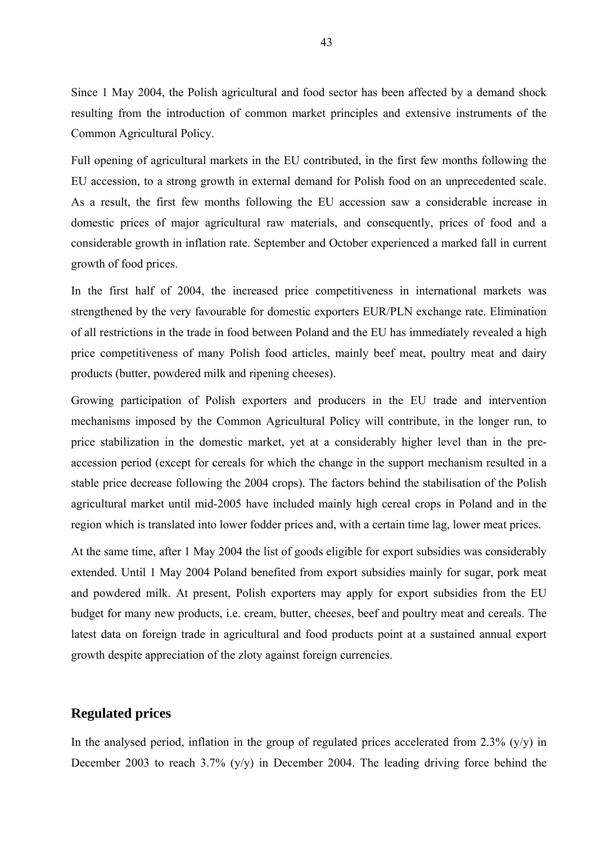Since 1 May 2004, the Polish agricultural and food sector has been affected by a demand shock resulting from the introduction of common market principles and extensive instruments of the Common Agricultural Policy.

Full opening of agricultural markets in the EU contributed, in the first few months following the EU accession, to a strong growth in external demand for Polish food on an unprecedented scale. As a result, the first few months following the EU accession saw a considerable increase in domestic prices of major agricultural raw materials, and consequently, prices of food and a considerable growth in inflation rate. September and October experienced a marked fall in current growth of food prices.

In the first half of 2004, the increased price competitiveness in international markets was strengthened by the very favourable for domestic exporters EUR/PLN exchange rate. Elimination of all restrictions in the trade in food between Poland and the EU has immediately revealed a high price competitiveness of many Polish food articles, mainly beef meat, poultry meat and dairy products (butter, powdered milk and ripening cheeses).

Growing participation of Polish exporters and producers in the EU trade and intervention mechanisms imposed by the Common Agricultural Policy will contribute, in the longer run, to price stabilization in the domestic market, yet at a considerably higher level than in the preaccession period (except for cereals for which the change in the support mechanism resulted in a stable price decrease following the 2004 crops). The factors behind the stabilisation of the Polish agricultural market until mid-2005 have included mainly high cereal crops in Poland and in the region which is translated into lower fodder prices and, with a certain time lag, lower meat prices.

At the same time, after 1 May 2004 the list of goods eligible for export subsidies was considerably extended. Until 1 May 2004 Poland benefited from export subsidies mainly for sugar, pork meat and powdered milk. At present, Polish exporters may apply for export subsidies from the EU budget for many new products, i.e. cream, butter, cheeses, beef and poultry meat and cereals. The latest data on foreign trade in agricultural and food products point at a sustained annual export growth despite appreciation of the zloty against foreign currencies.

### **Regulated prices**

In the analysed period, inflation in the group of regulated prices accelerated from 2.3%  $(y/y)$  in December 2003 to reach 3.7% (y/y) in December 2004. The leading driving force behind the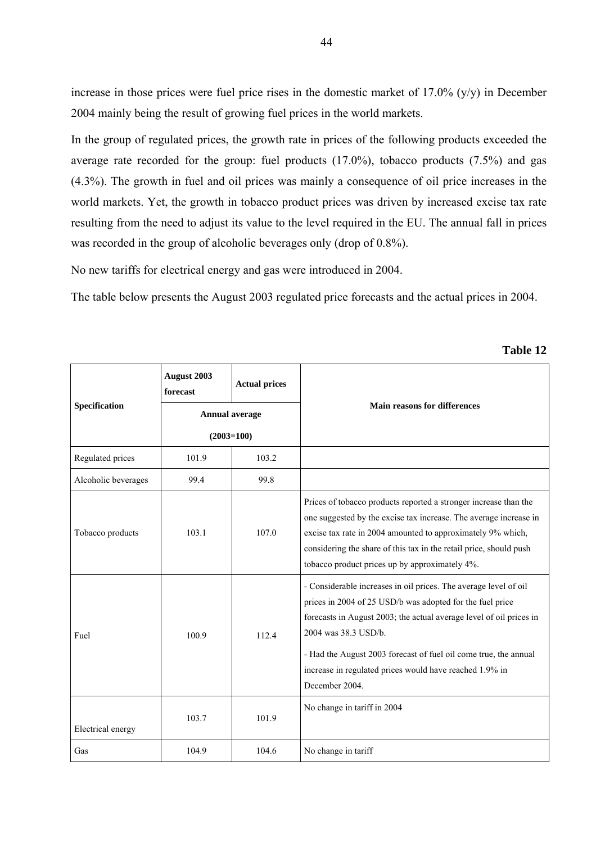increase in those prices were fuel price rises in the domestic market of 17.0% (y/y) in December 2004 mainly being the result of growing fuel prices in the world markets.

In the group of regulated prices, the growth rate in prices of the following products exceeded the average rate recorded for the group: fuel products (17.0%), tobacco products (7.5%) and gas (4.3%). The growth in fuel and oil prices was mainly a consequence of oil price increases in the world markets. Yet, the growth in tobacco product prices was driven by increased excise tax rate resulting from the need to adjust its value to the level required in the EU. The annual fall in prices was recorded in the group of alcoholic beverages only (drop of 0.8%).

No new tariffs for electrical energy and gas were introduced in 2004.

The table below presents the August 2003 regulated price forecasts and the actual prices in 2004.

|                     | August 2003<br>forecast | <b>Actual prices</b> |                                                                                                                                                                                                                                                                                                                                                                               |  |  |  |  |
|---------------------|-------------------------|----------------------|-------------------------------------------------------------------------------------------------------------------------------------------------------------------------------------------------------------------------------------------------------------------------------------------------------------------------------------------------------------------------------|--|--|--|--|
| Specification       | <b>Annual average</b>   |                      | <b>Main reasons for differences</b>                                                                                                                                                                                                                                                                                                                                           |  |  |  |  |
|                     | $(2003=100)$            |                      |                                                                                                                                                                                                                                                                                                                                                                               |  |  |  |  |
| Regulated prices    | 101.9                   | 103.2                |                                                                                                                                                                                                                                                                                                                                                                               |  |  |  |  |
| Alcoholic beverages | 99.4                    | 99.8                 |                                                                                                                                                                                                                                                                                                                                                                               |  |  |  |  |
| Tobacco products    | 103.1                   | 107.0                | Prices of tobacco products reported a stronger increase than the<br>one suggested by the excise tax increase. The average increase in<br>excise tax rate in 2004 amounted to approximately 9% which,<br>considering the share of this tax in the retail price, should push<br>tobacco product prices up by approximately 4%.                                                  |  |  |  |  |
| Fuel                | 100.9                   | 112.4                | - Considerable increases in oil prices. The average level of oil<br>prices in 2004 of 25 USD/b was adopted for the fuel price<br>forecasts in August 2003; the actual average level of oil prices in<br>2004 was 38.3 USD/b.<br>- Had the August 2003 forecast of fuel oil come true, the annual<br>increase in regulated prices would have reached 1.9% in<br>December 2004. |  |  |  |  |
| Electrical energy   | 103.7                   | 101.9                | No change in tariff in 2004                                                                                                                                                                                                                                                                                                                                                   |  |  |  |  |
| Gas                 | 104.9                   | 104.6                | No change in tariff                                                                                                                                                                                                                                                                                                                                                           |  |  |  |  |

**Table 12**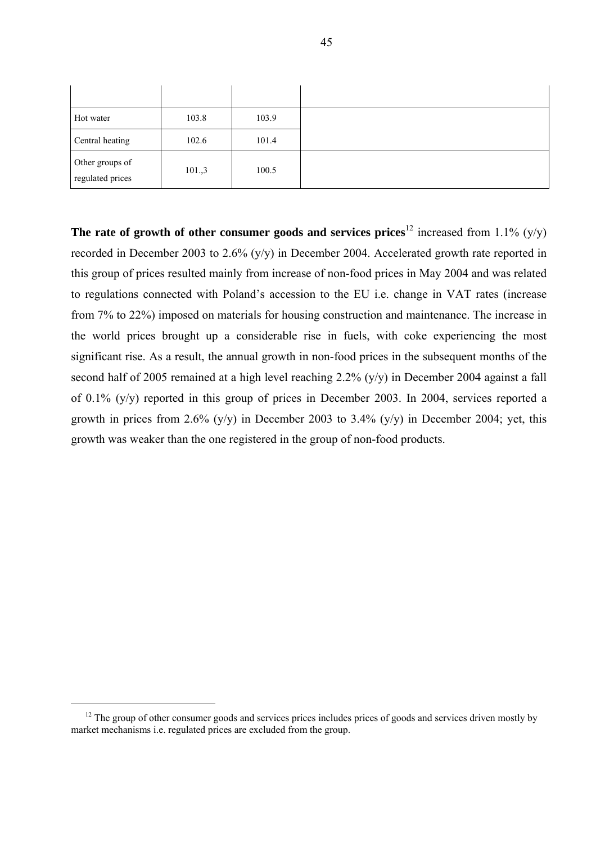| Hot water                           | 103.8  | 103.9 |
|-------------------------------------|--------|-------|
| Central heating                     | 102.6  | 101.4 |
| Other groups of<br>regulated prices | 101.,3 | 100.5 |

**The rate of growth of other consumer goods and services prices<sup>12</sup> increased from 1.1% (y/y)** recorded in December 2003 to 2.6% (y/y) in December 2004. Accelerated growth rate reported in this group of prices resulted mainly from increase of non-food prices in May 2004 and was related to regulations connected with Poland's accession to the EU i.e. change in VAT rates (increase from 7% to 22%) imposed on materials for housing construction and maintenance. The increase in the world prices brought up a considerable rise in fuels, with coke experiencing the most significant rise. As a result, the annual growth in non-food prices in the subsequent months of the second half of 2005 remained at a high level reaching 2.2% (y/y) in December 2004 against a fall of 0.1% (y/y) reported in this group of prices in December 2003. In 2004, services reported a growth in prices from 2.6%  $(y/y)$  in December 2003 to 3.4%  $(y/y)$  in December 2004; yet, this growth was weaker than the one registered in the group of non-food products.

 $12$  The group of other consumer goods and services prices includes prices of goods and services driven mostly by market mechanisms i.e. regulated prices are excluded from the group.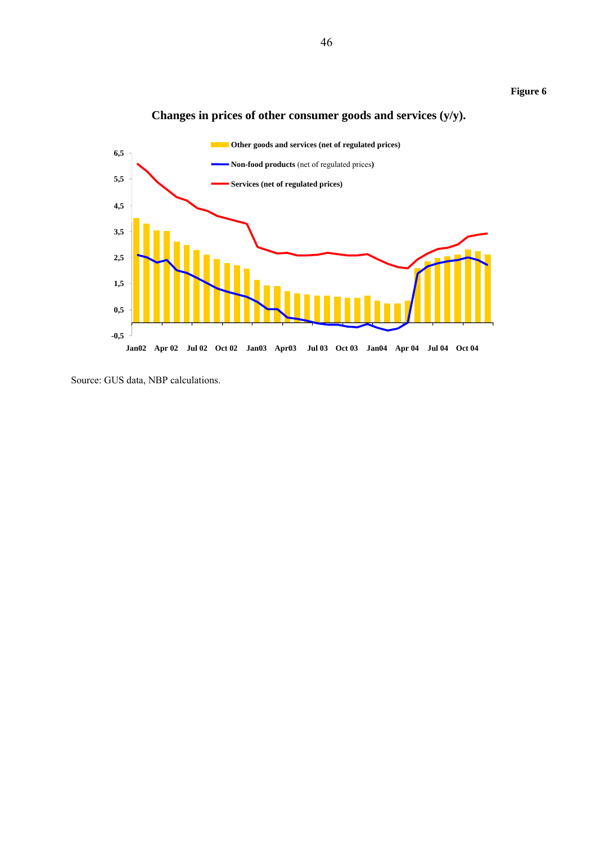



### **Changes in prices of other consumer goods and services (y/y).**

Source: GUS data, NBP calculations.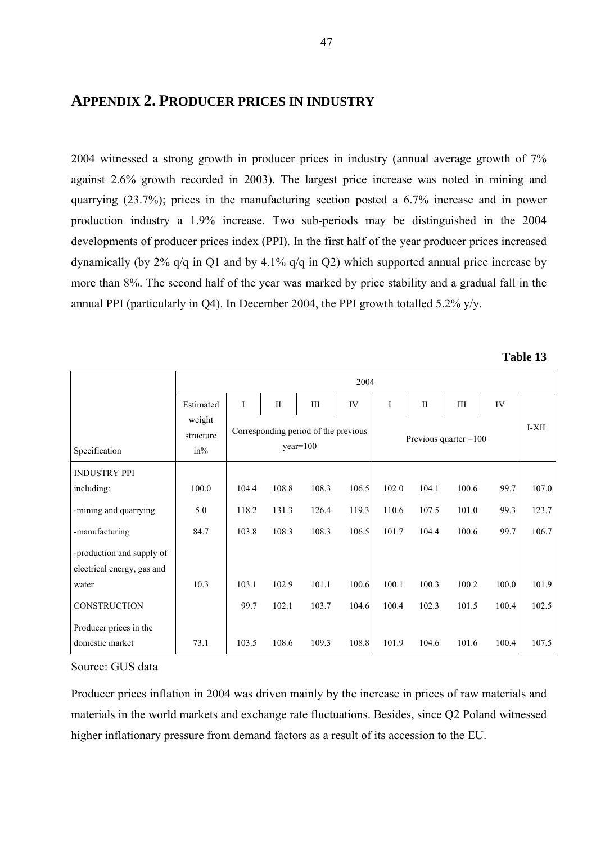# **APPENDIX 2. PRODUCER PRICES IN INDUSTRY**

2004 witnessed a strong growth in producer prices in industry (annual average growth of 7% against 2.6% growth recorded in 2003). The largest price increase was noted in mining and quarrying (23.7%); prices in the manufacturing section posted a 6.7% increase and in power production industry a 1.9% increase. Two sub-periods may be distinguished in the 2004 developments of producer prices index (PPI). In the first half of the year producer prices increased dynamically (by 2% q/q in Q1 and by 4.1% q/q in Q2) which supported annual price increase by more than 8%. The second half of the year was marked by price stability and a gradual fall in the annual PPI (particularly in Q4). In December 2004, the PPI growth totalled 5.2% y/y.

| <b>Table 13</b> |  |
|-----------------|--|
|-----------------|--|

|                                                         |                               | 2004        |              |                                                    |       |       |              |                         |       |       |  |
|---------------------------------------------------------|-------------------------------|-------------|--------------|----------------------------------------------------|-------|-------|--------------|-------------------------|-------|-------|--|
|                                                         | Estimated                     | $\mathbf I$ | $\mathbf{I}$ | Ш                                                  | IV    | I     | $\mathbf{I}$ | Ш                       | IV    |       |  |
| Specification                                           | weight<br>structure<br>$in\%$ |             |              | Corresponding period of the previous<br>$year=100$ |       |       |              | Previous quarter $=100$ |       | I-XII |  |
| <b>INDUSTRY PPI</b>                                     |                               |             |              |                                                    |       |       |              |                         |       |       |  |
| including:                                              | 100.0                         | 104.4       | 108.8        | 108.3                                              | 106.5 | 102.0 | 104.1        | 100.6                   | 99.7  | 107.0 |  |
| -mining and quarrying                                   | 5.0                           | 118.2       | 131.3        | 126.4                                              | 119.3 | 110.6 | 107.5        | 101.0                   | 99.3  | 123.7 |  |
| -manufacturing                                          | 84.7                          | 103.8       | 108.3        | 108.3                                              | 106.5 | 101.7 | 104.4        | 100.6                   | 99.7  | 106.7 |  |
| -production and supply of<br>electrical energy, gas and |                               |             |              |                                                    |       |       |              |                         |       |       |  |
| water                                                   | 10.3                          | 103.1       | 102.9        | 101.1                                              | 100.6 | 100.1 | 100.3        | 100.2                   | 100.0 | 101.9 |  |
| CONSTRUCTION                                            |                               | 99.7        | 102.1        | 103.7                                              | 104.6 | 100.4 | 102.3        | 101.5                   | 100.4 | 102.5 |  |
| Producer prices in the                                  |                               |             |              |                                                    |       |       |              |                         |       |       |  |
| domestic market                                         | 73.1                          | 103.5       | 108.6        | 109.3                                              | 108.8 | 101.9 | 104.6        | 101.6                   | 100.4 | 107.5 |  |

Source: GUS data

Producer prices inflation in 2004 was driven mainly by the increase in prices of raw materials and materials in the world markets and exchange rate fluctuations. Besides, since Q2 Poland witnessed higher inflationary pressure from demand factors as a result of its accession to the EU.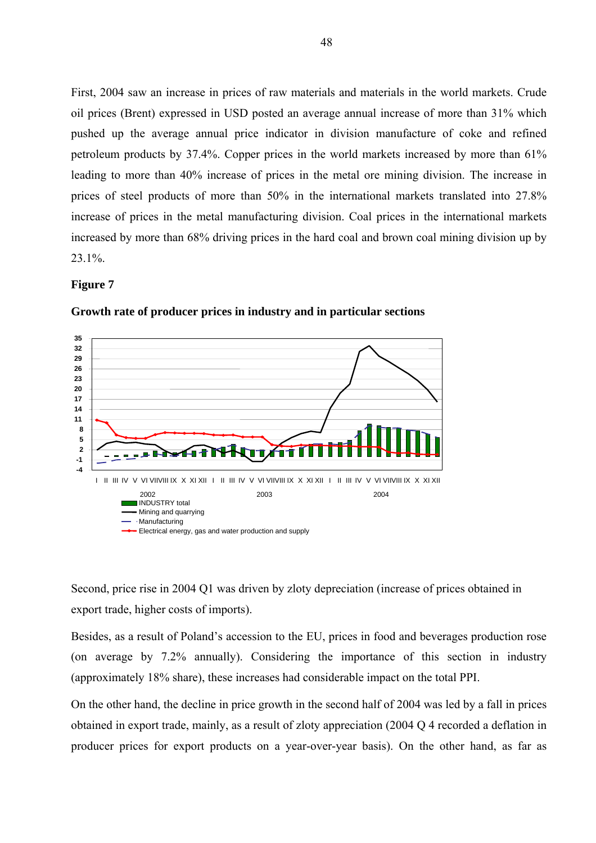First, 2004 saw an increase in prices of raw materials and materials in the world markets. Crude oil prices (Brent) expressed in USD posted an average annual increase of more than 31% which pushed up the average annual price indicator in division manufacture of coke and refined petroleum products by 37.4%. Copper prices in the world markets increased by more than 61% leading to more than 40% increase of prices in the metal ore mining division. The increase in prices of steel products of more than 50% in the international markets translated into 27.8% increase of prices in the metal manufacturing division. Coal prices in the international markets increased by more than 68% driving prices in the hard coal and brown coal mining division up by 23.1%.

#### **Figure 7**



**Growth rate of producer prices in industry and in particular sections** 

Second, price rise in 2004 Q1 was driven by zloty depreciation (increase of prices obtained in export trade, higher costs of imports).

Besides, as a result of Poland's accession to the EU, prices in food and beverages production rose (on average by 7.2% annually). Considering the importance of this section in industry (approximately 18% share), these increases had considerable impact on the total PPI.

On the other hand, the decline in price growth in the second half of 2004 was led by a fall in prices obtained in export trade, mainly, as a result of zloty appreciation (2004 Q 4 recorded a deflation in producer prices for export products on a year-over-year basis). On the other hand, as far as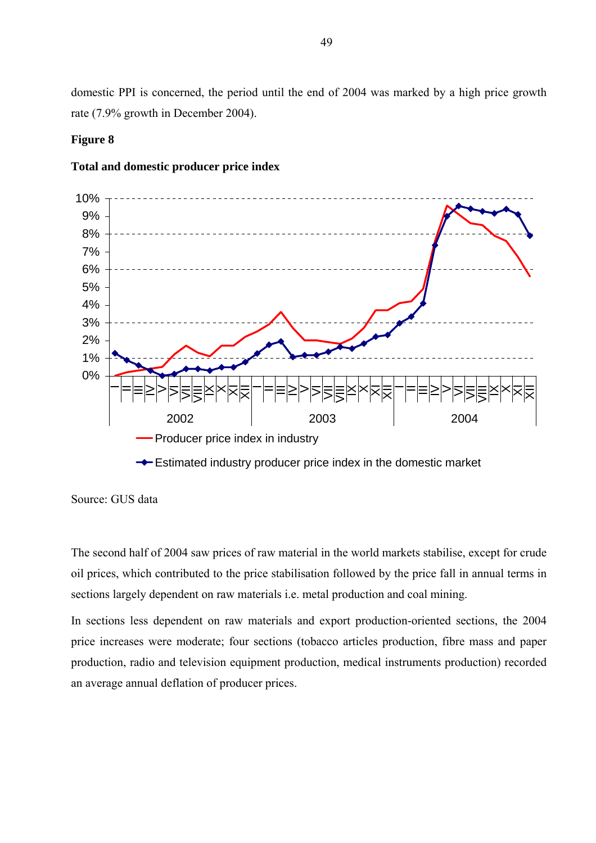domestic PPI is concerned, the period until the end of 2004 was marked by a high price growth rate (7.9% growth in December 2004).

### **Figure 8**

### **Total and domestic producer price index**



Estimated industry producer price index in the domestic market

The second half of 2004 saw prices of raw material in the world markets stabilise, except for crude oil prices, which contributed to the price stabilisation followed by the price fall in annual terms in sections largely dependent on raw materials i.e. metal production and coal mining.

In sections less dependent on raw materials and export production-oriented sections, the 2004 price increases were moderate; four sections (tobacco articles production, fibre mass and paper production, radio and television equipment production, medical instruments production) recorded an average annual deflation of producer prices.

Source: GUS data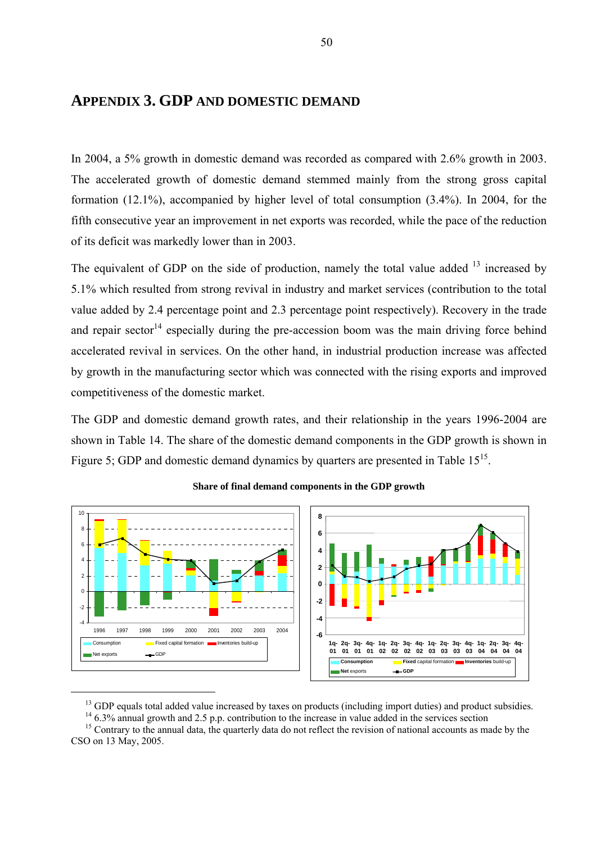# **APPENDIX 3. GDP AND DOMESTIC DEMAND**

In 2004, a 5% growth in domestic demand was recorded as compared with 2.6% growth in 2003. The accelerated growth of domestic demand stemmed mainly from the strong gross capital formation (12.1%), accompanied by higher level of total consumption (3.4%). In 2004, for the fifth consecutive year an improvement in net exports was recorded, while the pace of the reduction of its deficit was markedly lower than in 2003.

The equivalent of GDP on the side of production, namely the total value added  $13$  increased by 5.1% which resulted from strong revival in industry and market services (contribution to the total value added by 2.4 percentage point and 2.3 percentage point respectively). Recovery in the trade and repair sector<sup>14</sup> especially during the pre-accession boom was the main driving force behind accelerated revival in services. On the other hand, in industrial production increase was affected by growth in the manufacturing sector which was connected with the rising exports and improved competitiveness of the domestic market.

The GDP and domestic demand growth rates, and their relationship in the years 1996-2004 are shown in Table 14. The share of the domestic demand components in the GDP growth is shown in Figure 5; GDP and domestic demand dynamics by quarters are presented in Table  $15^{15}$ .



#### **Share of final demand components in the GDP growth**

<sup>&</sup>lt;sup>13</sup> GDP equals total added value increased by taxes on products (including import duties) and product subsidies.

<sup>&</sup>lt;sup>14</sup> 6.3% annual growth and 2.5 p.p. contribution to the increase in value added in the services section

 $15$  Contrary to the annual data, the quarterly data do not reflect the revision of national accounts as made by the CSO on 13 May, 2005.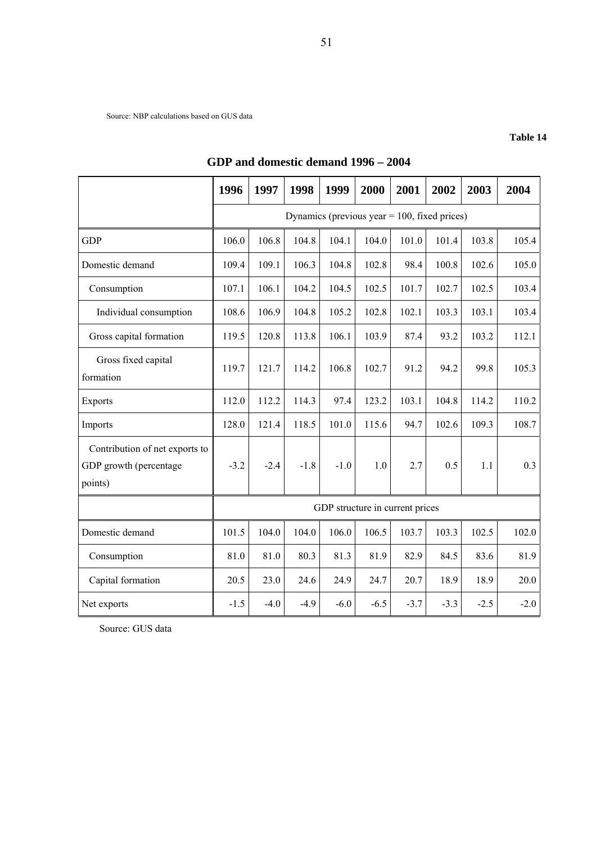Source: NBP calculations based on GUS data

#### **Table 14**

|                                                                     | 1996   | 1997                                            | 1998   | 1999   | 2000                            | 2001   | 2002   | 2003   | 2004   |  |
|---------------------------------------------------------------------|--------|-------------------------------------------------|--------|--------|---------------------------------|--------|--------|--------|--------|--|
|                                                                     |        | Dynamics (previous year $= 100$ , fixed prices) |        |        |                                 |        |        |        |        |  |
| <b>GDP</b>                                                          | 106.0  | 106.8                                           | 104.8  | 104.1  | 104.0                           | 101.0  | 101.4  | 103.8  | 105.4  |  |
| Domestic demand                                                     | 109.4  | 109.1                                           | 106.3  | 104.8  | 102.8                           | 98.4   | 100.8  | 102.6  | 105.0  |  |
| Consumption                                                         | 107.1  | 106.1                                           | 104.2  | 104.5  | 102.5                           | 101.7  | 102.7  | 102.5  | 103.4  |  |
| Individual consumption                                              | 108.6  | 106.9                                           | 104.8  | 105.2  | 102.8                           | 102.1  | 103.3  | 103.1  | 103.4  |  |
| Gross capital formation                                             | 119.5  | 120.8                                           | 113.8  | 106.1  | 103.9                           | 87.4   | 93.2   | 103.2  | 112.1  |  |
| Gross fixed capital<br>formation                                    | 119.7  | 121.7                                           | 114.2  | 106.8  | 102.7                           | 91.2   | 94.2   | 99.8   | 105.3  |  |
| <b>Exports</b>                                                      | 112.0  | 112.2                                           | 114.3  | 97.4   | 123.2                           | 103.1  | 104.8  | 114.2  | 110.2  |  |
| Imports                                                             | 128.0  | 121.4                                           | 118.5  | 101.0  | 115.6                           | 94.7   | 102.6  | 109.3  | 108.7  |  |
| Contribution of net exports to<br>GDP growth (percentage<br>points) | $-3.2$ | $-2.4$                                          | $-1.8$ | $-1.0$ | 1.0                             | 2.7    | 0.5    | 1.1    | 0.3    |  |
|                                                                     |        |                                                 |        |        | GDP structure in current prices |        |        |        |        |  |
| Domestic demand                                                     | 101.5  | 104.0                                           | 104.0  | 106.0  | 106.5                           | 103.7  | 103.3  | 102.5  | 102.0  |  |
| Consumption                                                         | 81.0   | 81.0                                            | 80.3   | 81.3   | 81.9                            | 82.9   | 84.5   | 83.6   | 81.9   |  |
| Capital formation                                                   | 20.5   | 23.0                                            | 24.6   | 24.9   | 24.7                            | 20.7   | 18.9   | 18.9   | 20.0   |  |
| Net exports                                                         | $-1.5$ | $-4.0$                                          | $-4.9$ | $-6.0$ | $-6.5$                          | $-3.7$ | $-3.3$ | $-2.5$ | $-2.0$ |  |

# **GDP and domestic demand 1996 – 2004**

Source: GUS data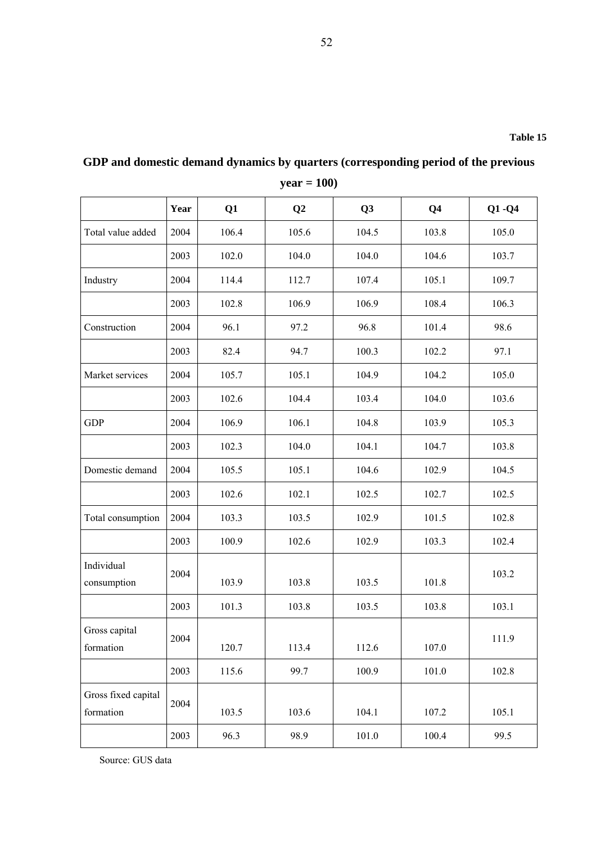|                                  |      |       | $J$ can $-$ 100) |           |                |           |
|----------------------------------|------|-------|------------------|-----------|----------------|-----------|
|                                  | Year | Q1    | Q2               | Q3        | Q <sub>4</sub> | $Q1 - Q4$ |
| Total value added                | 2004 | 106.4 | 105.6            | 104.5     | 103.8          | 105.0     |
|                                  | 2003 | 102.0 | 104.0            | 104.0     | 104.6          | 103.7     |
| Industry                         | 2004 | 114.4 | 112.7            | 107.4     | 105.1          | 109.7     |
|                                  | 2003 | 102.8 | 106.9            | 106.9     | 108.4          | 106.3     |
| Construction                     | 2004 | 96.1  | 97.2             | 96.8      | 101.4          | 98.6      |
|                                  | 2003 | 82.4  | 94.7             | 100.3     | 102.2          | 97.1      |
| Market services                  | 2004 | 105.7 | 105.1            | 104.9     | 104.2          | 105.0     |
|                                  | 2003 | 102.6 | 104.4            | 103.4     | 104.0          | 103.6     |
| <b>GDP</b>                       | 2004 | 106.9 | 106.1            | 104.8     | 103.9          | 105.3     |
|                                  | 2003 | 102.3 | 104.0            | 104.1     | 104.7          | 103.8     |
| Domestic demand                  | 2004 | 105.5 | 105.1            | 104.6     | 102.9          | 104.5     |
|                                  | 2003 | 102.6 | 102.1            | 102.5     | 102.7          | 102.5     |
| Total consumption                | 2004 | 103.3 | 103.5            | 102.9     | 101.5          | 102.8     |
|                                  | 2003 | 100.9 | 102.6            | 102.9     | 103.3          | 102.4     |
| Individual<br>consumption        | 2004 | 103.9 | 103.8            | 103.5     | 101.8          | 103.2     |
|                                  | 2003 | 101.3 | 103.8            | 103.5     | 103.8          | 103.1     |
| Gross capital<br>formation       | 2004 | 120.7 | 113.4            | 112.6     | 107.0          | 111.9     |
|                                  | 2003 | 115.6 | 99.7             | 100.9     | 101.0          | 102.8     |
| Gross fixed capital<br>formation | 2004 | 103.5 | 103.6            | 104.1     | 107.2          | 105.1     |
|                                  | 2003 | 96.3  | 98.9             | $101.0\,$ | 100.4          | 99.5      |

**GDP and domestic demand dynamics by quarters (corresponding period of the previous** 

**year = 100)** 

Source: GUS data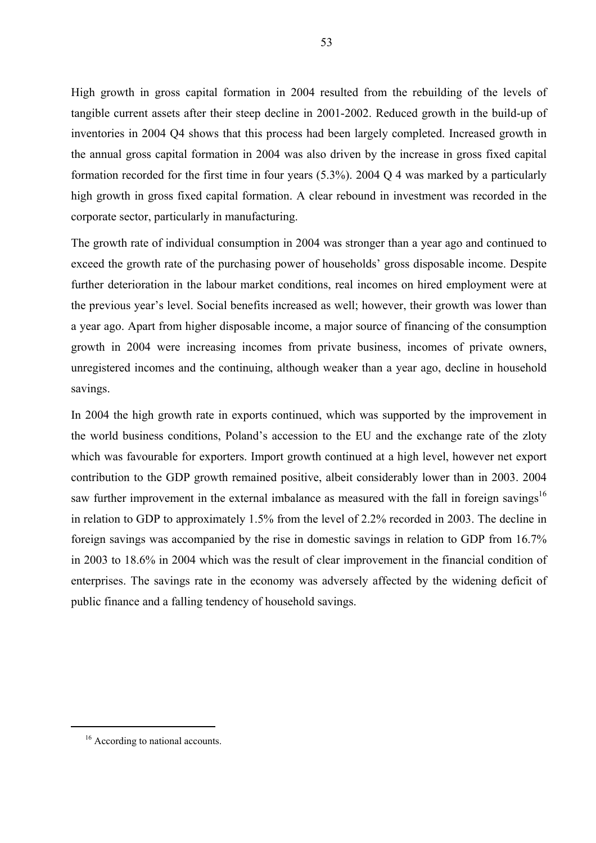High growth in gross capital formation in 2004 resulted from the rebuilding of the levels of tangible current assets after their steep decline in 2001-2002. Reduced growth in the build-up of inventories in 2004 Q4 shows that this process had been largely completed. Increased growth in the annual gross capital formation in 2004 was also driven by the increase in gross fixed capital formation recorded for the first time in four years (5.3%). 2004 Q 4 was marked by a particularly high growth in gross fixed capital formation. A clear rebound in investment was recorded in the corporate sector, particularly in manufacturing.

The growth rate of individual consumption in 2004 was stronger than a year ago and continued to exceed the growth rate of the purchasing power of households' gross disposable income. Despite further deterioration in the labour market conditions, real incomes on hired employment were at the previous year's level. Social benefits increased as well; however, their growth was lower than a year ago. Apart from higher disposable income, a major source of financing of the consumption growth in 2004 were increasing incomes from private business, incomes of private owners, unregistered incomes and the continuing, although weaker than a year ago, decline in household savings.

In 2004 the high growth rate in exports continued, which was supported by the improvement in the world business conditions, Poland's accession to the EU and the exchange rate of the zloty which was favourable for exporters. Import growth continued at a high level, however net export contribution to the GDP growth remained positive, albeit considerably lower than in 2003. 2004 saw further improvement in the external imbalance as measured with the fall in foreign savings<sup>16</sup> in relation to GDP to approximately 1.5% from the level of 2.2% recorded in 2003. The decline in foreign savings was accompanied by the rise in domestic savings in relation to GDP from 16.7% in 2003 to 18.6% in 2004 which was the result of clear improvement in the financial condition of enterprises. The savings rate in the economy was adversely affected by the widening deficit of public finance and a falling tendency of household savings.

<sup>&</sup>lt;sup>16</sup> According to national accounts.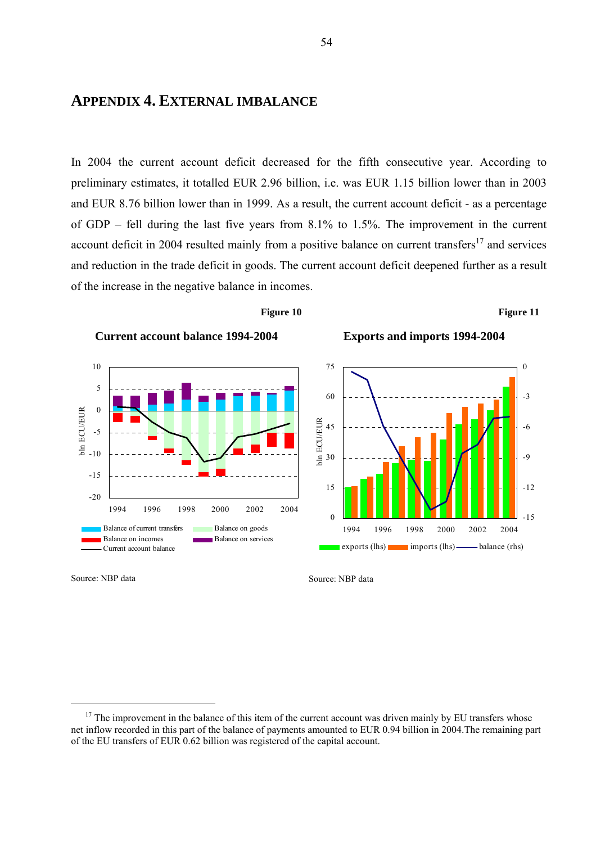# **APPENDIX 4. EXTERNAL IMBALANCE**

In 2004 the current account deficit decreased for the fifth consecutive year. According to preliminary estimates, it totalled EUR 2.96 billion, i.e. was EUR 1.15 billion lower than in 2003 and EUR 8.76 billion lower than in 1999. As a result, the current account deficit - as a percentage of GDP – fell during the last five years from 8.1% to 1.5%. The improvement in the current account deficit in 2004 resulted mainly from a positive balance on current transfers $^{17}$  and services and reduction in the trade deficit in goods. The current account deficit deepened further as a result of the increase in the negative balance in incomes.



Source: NBP data

Source: NBP data

 $17$  The improvement in the balance of this item of the current account was driven mainly by EU transfers whose net inflow recorded in this part of the balance of payments amounted to EUR 0.94 billion in 2004.The remaining part of the EU transfers of EUR 0.62 billion was registered of the capital account.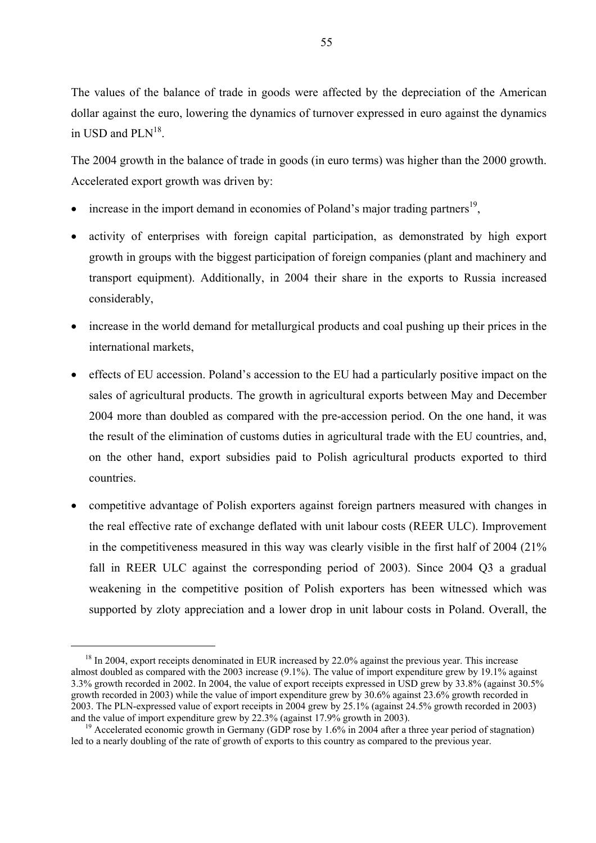The values of the balance of trade in goods were affected by the depreciation of the American dollar against the euro, lowering the dynamics of turnover expressed in euro against the dynamics in USD and PL $N^{18}$ .

The 2004 growth in the balance of trade in goods (in euro terms) was higher than the 2000 growth. Accelerated export growth was driven by:

- $\bullet$  increase in the import demand in economies of Poland's major trading partners<sup>19</sup>,
- activity of enterprises with foreign capital participation, as demonstrated by high export growth in groups with the biggest participation of foreign companies (plant and machinery and transport equipment). Additionally, in 2004 their share in the exports to Russia increased considerably,
- increase in the world demand for metallurgical products and coal pushing up their prices in the international markets,
- effects of EU accession. Poland's accession to the EU had a particularly positive impact on the sales of agricultural products. The growth in agricultural exports between May and December 2004 more than doubled as compared with the pre-accession period. On the one hand, it was the result of the elimination of customs duties in agricultural trade with the EU countries, and, on the other hand, export subsidies paid to Polish agricultural products exported to third countries.
- competitive advantage of Polish exporters against foreign partners measured with changes in the real effective rate of exchange deflated with unit labour costs (REER ULC). Improvement in the competitiveness measured in this way was clearly visible in the first half of 2004 (21% fall in REER ULC against the corresponding period of 2003). Since 2004 Q3 a gradual weakening in the competitive position of Polish exporters has been witnessed which was supported by zloty appreciation and a lower drop in unit labour costs in Poland. Overall, the

 $18 \text{ In } 2004$ , export receipts denominated in EUR increased by 22.0% against the previous year. This increase almost doubled as compared with the 2003 increase (9.1%). The value of import expenditure grew by 19.1% against 3.3% growth recorded in 2002. In 2004, the value of export receipts expressed in USD grew by 33.8% (against 30.5% growth recorded in 2003) while the value of import expenditure grew by 30.6% against 23.6% growth recorded in 2003. The PLN-expressed value of export receipts in 2004 grew by 25.1% (against 24.5% growth recorded in 2003) and the value of import expenditure grew by 22.3% (against 17.9% growth in 2003).

<sup>&</sup>lt;sup>19</sup> Accelerated economic growth in Germany (GDP rose by 1.6% in 2004 after a three year period of stagnation). led to a nearly doubling of the rate of growth of exports to this country as compared to the previous year.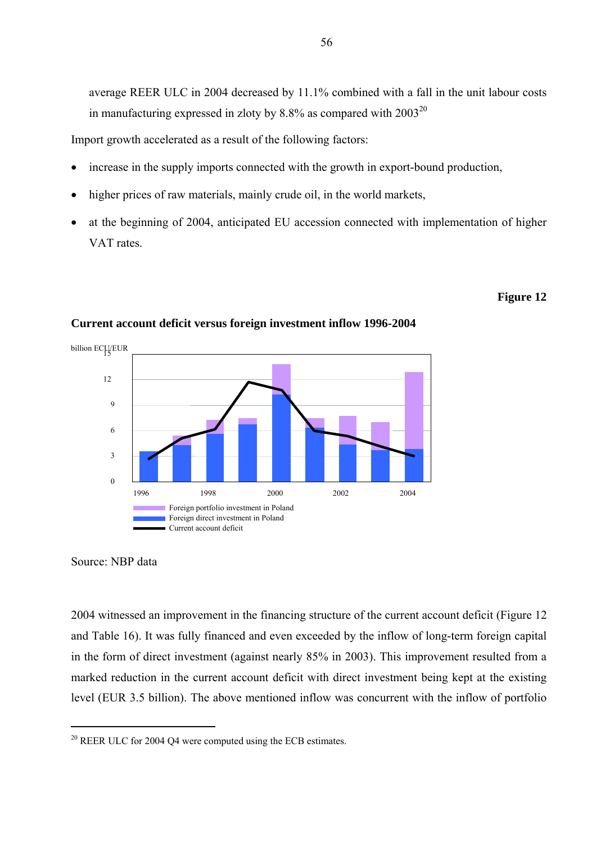average REER ULC in 2004 decreased by 11.1% combined with a fall in the unit labour costs in manufacturing expressed in zloty by 8.8% as compared with 200320

Import growth accelerated as a result of the following factors:

- increase in the supply imports connected with the growth in export-bound production,
- higher prices of raw materials, mainly crude oil, in the world markets,
- at the beginning of 2004, anticipated EU accession connected with implementation of higher VAT rates.

#### **Figure 12**



### **Current account deficit versus foreign investment inflow 1996-2004**



2004 witnessed an improvement in the financing structure of the current account deficit (Figure 12 and Table 16). It was fully financed and even exceeded by the inflow of long-term foreign capital in the form of direct investment (against nearly 85% in 2003). This improvement resulted from a marked reduction in the current account deficit with direct investment being kept at the existing level (EUR 3.5 billion). The above mentioned inflow was concurrent with the inflow of portfolio

 $20$  REER ULC for 2004 Q4 were computed using the ECB estimates.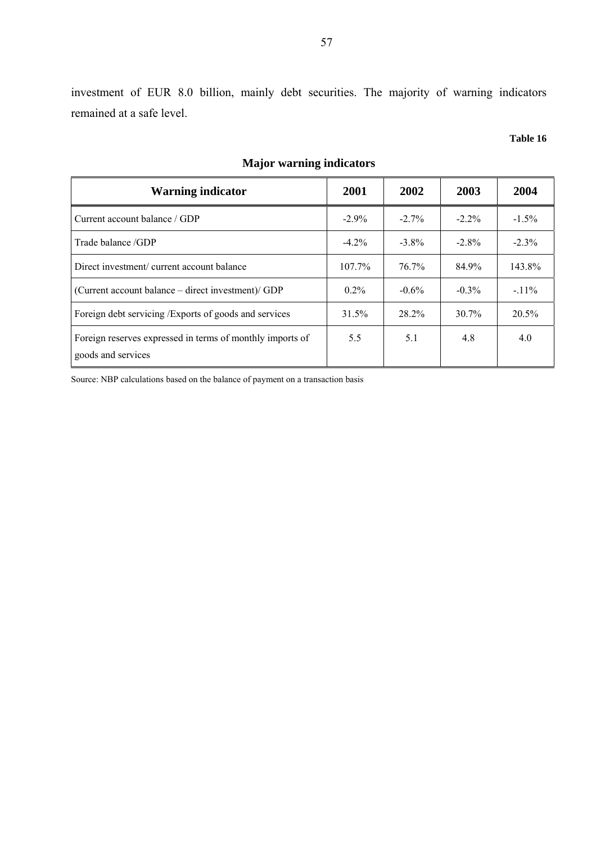investment of EUR 8.0 billion, mainly debt securities. The majority of warning indicators remained at a safe level.

#### **Table 16**

| <b>Warning indicator</b>                                                        | 2001      | 2002     | 2003     | 2004     |
|---------------------------------------------------------------------------------|-----------|----------|----------|----------|
| Current account balance / GDP                                                   | $-2.9\%$  | $-2.7\%$ | $-2.2\%$ | $-1.5\%$ |
| Trade balance /GDP                                                              | $-4.2\%$  | $-3.8\%$ | $-2.8\%$ | $-2.3%$  |
| Direct investment/ current account balance                                      | $107.7\%$ | $76.7\%$ | 84.9%    | 143.8%   |
| (Current account balance – direct investment)/ GDP                              | $0.2\%$   | $-0.6\%$ | $-0.3\%$ | $-11\%$  |
| Foreign debt servicing <i>/Exports</i> of goods and services                    | 31.5%     | 28.2%    | $30.7\%$ | 20.5%    |
| Foreign reserves expressed in terms of monthly imports of<br>goods and services | 5.5       | 5.1      | 4.8      | 4.0      |

# **Major warning indicators**

Source: NBP calculations based on the balance of payment on a transaction basis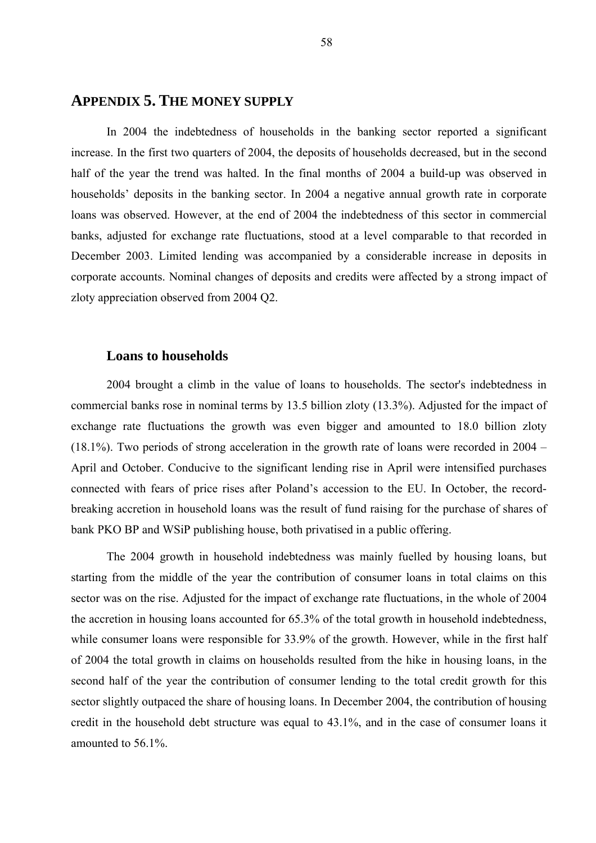# **APPENDIX 5. THE MONEY SUPPLY**

In 2004 the indebtedness of households in the banking sector reported a significant increase. In the first two quarters of 2004, the deposits of households decreased, but in the second half of the year the trend was halted. In the final months of 2004 a build-up was observed in households' deposits in the banking sector. In 2004 a negative annual growth rate in corporate loans was observed. However, at the end of 2004 the indebtedness of this sector in commercial banks, adjusted for exchange rate fluctuations, stood at a level comparable to that recorded in December 2003. Limited lending was accompanied by a considerable increase in deposits in corporate accounts. Nominal changes of deposits and credits were affected by a strong impact of zloty appreciation observed from 2004 Q2.

### **Loans to households**

2004 brought a climb in the value of loans to households. The sector's indebtedness in commercial banks rose in nominal terms by 13.5 billion zloty (13.3%). Adjusted for the impact of exchange rate fluctuations the growth was even bigger and amounted to 18.0 billion zloty (18.1%). Two periods of strong acceleration in the growth rate of loans were recorded in 2004 – April and October. Conducive to the significant lending rise in April were intensified purchases connected with fears of price rises after Poland's accession to the EU. In October, the recordbreaking accretion in household loans was the result of fund raising for the purchase of shares of bank PKO BP and WSiP publishing house, both privatised in a public offering.

The 2004 growth in household indebtedness was mainly fuelled by housing loans, but starting from the middle of the year the contribution of consumer loans in total claims on this sector was on the rise. Adjusted for the impact of exchange rate fluctuations, in the whole of 2004 the accretion in housing loans accounted for 65.3% of the total growth in household indebtedness, while consumer loans were responsible for 33.9% of the growth. However, while in the first half of 2004 the total growth in claims on households resulted from the hike in housing loans, in the second half of the year the contribution of consumer lending to the total credit growth for this sector slightly outpaced the share of housing loans. In December 2004, the contribution of housing credit in the household debt structure was equal to 43.1%, and in the case of consumer loans it amounted to 56.1%.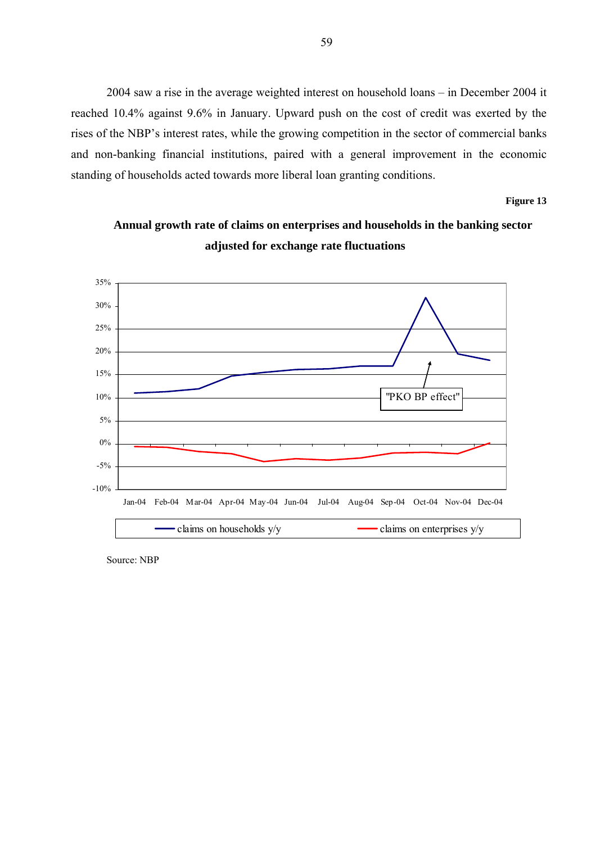2004 saw a rise in the average weighted interest on household loans – in December 2004 it reached 10.4% against 9.6% in January. Upward push on the cost of credit was exerted by the rises of the NBP's interest rates, while the growing competition in the sector of commercial banks and non-banking financial institutions, paired with a general improvement in the economic standing of households acted towards more liberal loan granting conditions.

#### **Figure 13**



# **Annual growth rate of claims on enterprises and households in the banking sector adjusted for exchange rate fluctuations**

Source: NBP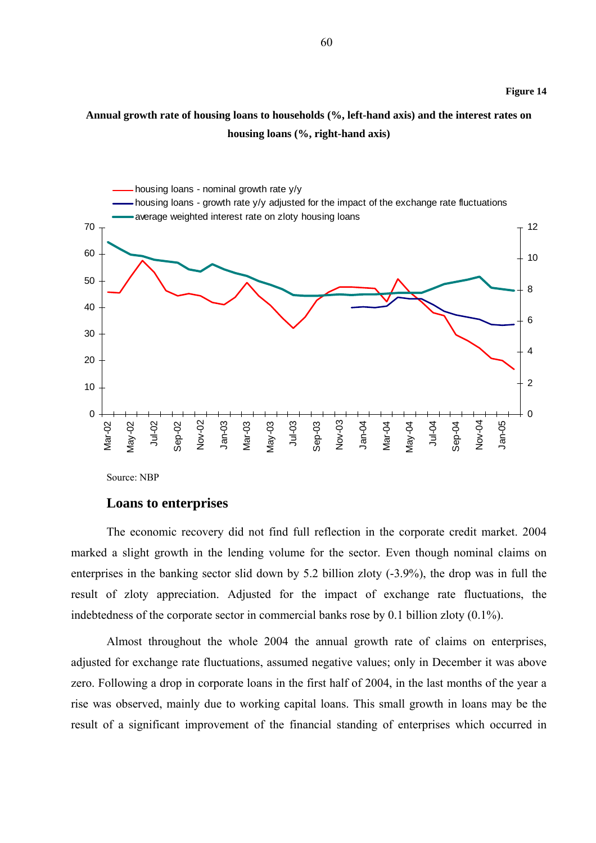# **Annual growth rate of housing loans to households (%, left-hand axis) and the interest rates on housing loans (%, right-hand axis)**



Source: NBP

#### **Loans to enterprises**

The economic recovery did not find full reflection in the corporate credit market. 2004 marked a slight growth in the lending volume for the sector. Even though nominal claims on enterprises in the banking sector slid down by 5.2 billion zloty (-3.9%), the drop was in full the result of zloty appreciation. Adjusted for the impact of exchange rate fluctuations, the indebtedness of the corporate sector in commercial banks rose by 0.1 billion zloty (0.1%).

Almost throughout the whole 2004 the annual growth rate of claims on enterprises, adjusted for exchange rate fluctuations, assumed negative values; only in December it was above zero. Following a drop in corporate loans in the first half of 2004, in the last months of the year a rise was observed, mainly due to working capital loans. This small growth in loans may be the result of a significant improvement of the financial standing of enterprises which occurred in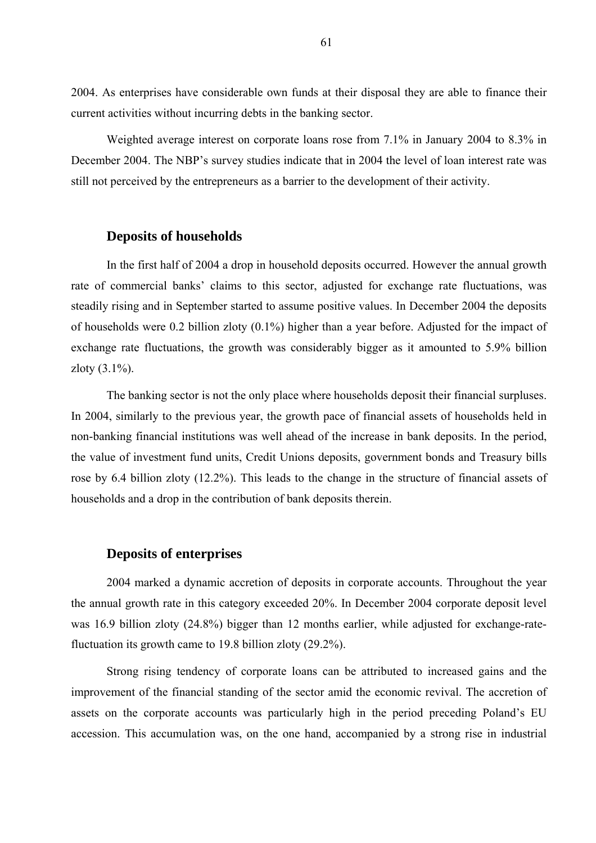2004. As enterprises have considerable own funds at their disposal they are able to finance their current activities without incurring debts in the banking sector.

Weighted average interest on corporate loans rose from 7.1% in January 2004 to 8.3% in December 2004. The NBP's survey studies indicate that in 2004 the level of loan interest rate was still not perceived by the entrepreneurs as a barrier to the development of their activity.

### **Deposits of households**

In the first half of 2004 a drop in household deposits occurred. However the annual growth rate of commercial banks' claims to this sector, adjusted for exchange rate fluctuations, was steadily rising and in September started to assume positive values. In December 2004 the deposits of households were 0.2 billion zloty (0.1%) higher than a year before. Adjusted for the impact of exchange rate fluctuations, the growth was considerably bigger as it amounted to 5.9% billion zloty  $(3.1\%)$ .

The banking sector is not the only place where households deposit their financial surpluses. In 2004, similarly to the previous year, the growth pace of financial assets of households held in non-banking financial institutions was well ahead of the increase in bank deposits. In the period, the value of investment fund units, Credit Unions deposits, government bonds and Treasury bills rose by 6.4 billion zloty (12.2%). This leads to the change in the structure of financial assets of households and a drop in the contribution of bank deposits therein.

### **Deposits of enterprises**

2004 marked a dynamic accretion of deposits in corporate accounts. Throughout the year the annual growth rate in this category exceeded 20%. In December 2004 corporate deposit level was 16.9 billion zloty (24.8%) bigger than 12 months earlier, while adjusted for exchange-ratefluctuation its growth came to 19.8 billion zloty (29.2%).

Strong rising tendency of corporate loans can be attributed to increased gains and the improvement of the financial standing of the sector amid the economic revival. The accretion of assets on the corporate accounts was particularly high in the period preceding Poland's EU accession. This accumulation was, on the one hand, accompanied by a strong rise in industrial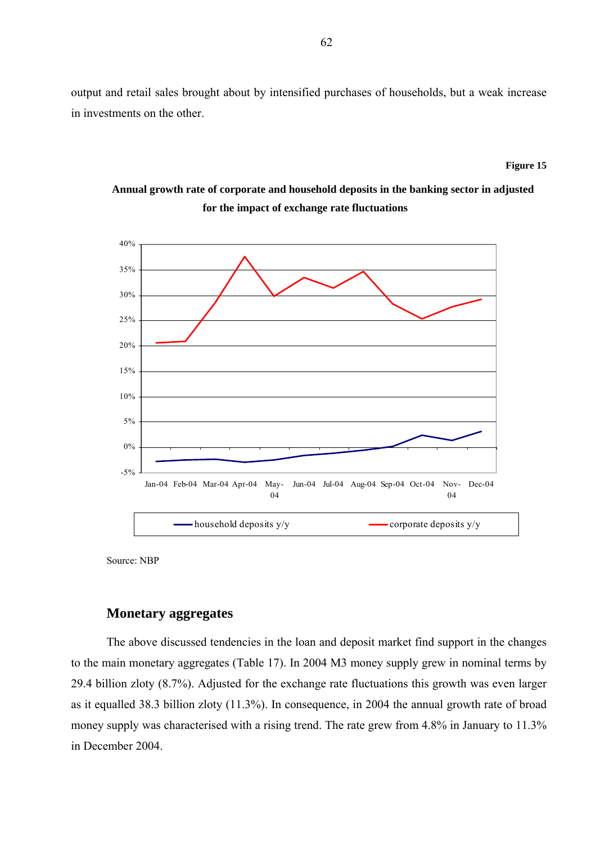output and retail sales brought about by intensified purchases of households, but a weak increase in investments on the other.

#### **Figure 15**

# **Annual growth rate of corporate and household deposits in the banking sector in adjusted for the impact of exchange rate fluctuations**



Source: NBP

### **Monetary aggregates**

The above discussed tendencies in the loan and deposit market find support in the changes to the main monetary aggregates (Table 17). In 2004 M3 money supply grew in nominal terms by 29.4 billion zloty (8.7%). Adjusted for the exchange rate fluctuations this growth was even larger as it equalled 38.3 billion zloty (11.3%). In consequence, in 2004 the annual growth rate of broad money supply was characterised with a rising trend. The rate grew from 4.8% in January to 11.3% in December 2004.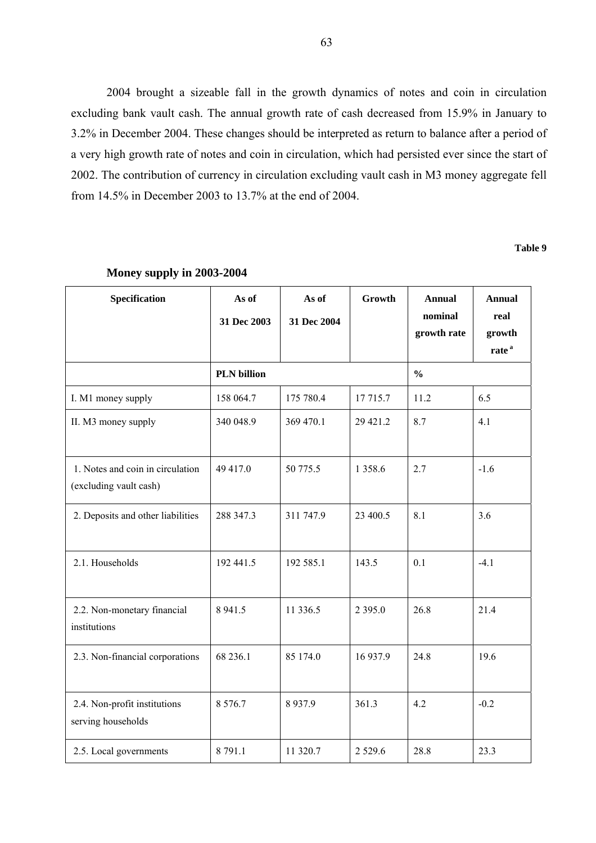2004 brought a sizeable fall in the growth dynamics of notes and coin in circulation excluding bank vault cash. The annual growth rate of cash decreased from 15.9% in January to 3.2% in December 2004. These changes should be interpreted as return to balance after a period of a very high growth rate of notes and coin in circulation, which had persisted ever since the start of 2002. The contribution of currency in circulation excluding vault cash in M3 money aggregate fell from 14.5% in December 2003 to 13.7% at the end of 2004.

**Table 9** 

| Specification                                              | As of<br>31 Dec 2003 | As of<br>31 Dec 2004 | Growth        | <b>Annual</b><br>nominal<br>growth rate | <b>Annual</b><br>real<br>growth<br>rate <sup>a</sup> |
|------------------------------------------------------------|----------------------|----------------------|---------------|-----------------------------------------|------------------------------------------------------|
|                                                            | <b>PLN</b> billion   |                      | $\frac{0}{0}$ |                                         |                                                      |
| I. M1 money supply                                         | 158 064.7            | 175 780.4            | 17 715.7      | 11.2                                    | 6.5                                                  |
| II. M3 money supply                                        | 340 048.9            | 369 470.1            | 29 421.2      | 8.7                                     | 4.1                                                  |
| 1. Notes and coin in circulation<br>(excluding vault cash) | 49 417.0             | 50 775.5             | 1 3 5 8 . 6   | 2.7                                     | $-1.6$                                               |
| 2. Deposits and other liabilities                          | 288 347.3            | 311 747.9            | 23 400.5      | 8.1                                     | 3.6                                                  |
| 2.1. Households                                            | 192 441.5            | 192 585.1            | 143.5         | 0.1                                     | $-4.1$                                               |
| 2.2. Non-monetary financial<br>institutions                | 8 9 4 1.5            | 11 336.5             | 2 3 9 5 .0    | 26.8                                    | 21.4                                                 |
| 2.3. Non-financial corporations                            | 68 236.1             | 85 174.0             | 16 937.9      | 24.8                                    | 19.6                                                 |
| 2.4. Non-profit institutions<br>serving households         | 8 5 7 6 .7           | 8937.9               | 361.3         | 4.2                                     | $-0.2$                                               |
| 2.5. Local governments                                     | 8 791.1              | 11 320.7             | 2 5 2 9 . 6   | 28.8                                    | 23.3                                                 |

#### **Money supply in 2003-2004**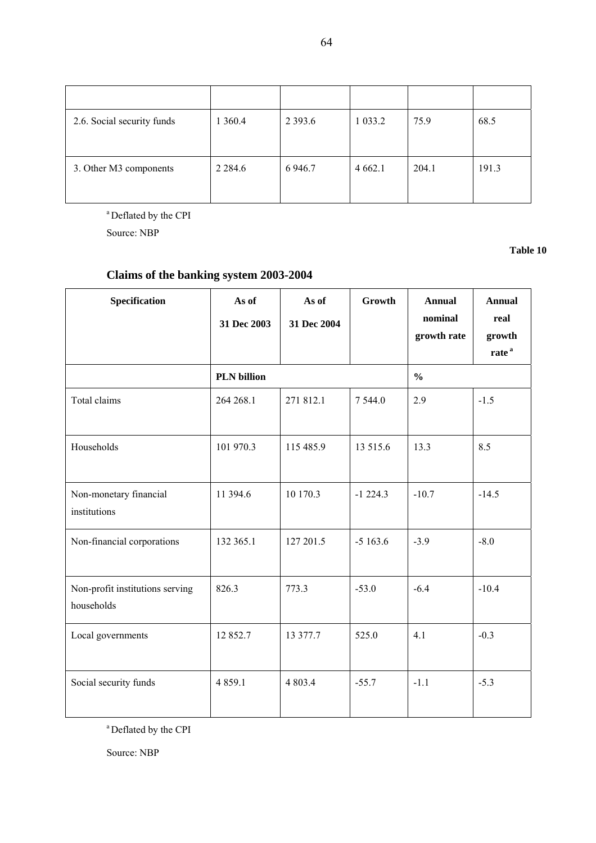| 2.6. Social security funds | 1 3 6 0.4   | 2 3 9 3 .6 | 1 0 3 3 .2  | 75.9  | 68.5  |
|----------------------------|-------------|------------|-------------|-------|-------|
| 3. Other M3 components     | 2 2 8 4 . 6 | 6 9 4 6.7  | 4 6 6 2 . 1 | 204.1 | 191.3 |

<sup>a</sup> Deflated by the CPI

Source: NBP

**Table 10** 

# **Claims of the banking system 2003-2004**

| <b>Specification</b>                          | As of<br>31 Dec 2003 | As of<br>31 Dec 2004 | Growth    | <b>Annual</b><br>nominal<br>growth rate | <b>Annual</b><br>real<br>growth<br>rate <sup>a</sup> |  |
|-----------------------------------------------|----------------------|----------------------|-----------|-----------------------------------------|------------------------------------------------------|--|
|                                               | <b>PLN</b> billion   |                      |           | $\frac{0}{0}$                           |                                                      |  |
| Total claims                                  | 264 268.1            | 271 812.1            | 7 5 4 4.0 | 2.9                                     | $-1.5$                                               |  |
| Households                                    | 101 970.3            | 115 485.9            | 13 515.6  | 13.3                                    | 8.5                                                  |  |
| Non-monetary financial<br>institutions        | 11 394.6             | 10 170.3             | $-1224.3$ | $-10.7$                                 | $-14.5$                                              |  |
| Non-financial corporations                    | 132 365.1            | 127 201.5            | $-5163.6$ | $-3.9$                                  | $-8.0$                                               |  |
| Non-profit institutions serving<br>households | 826.3                | 773.3                | $-53.0$   | $-6.4$                                  | $-10.4$                                              |  |
| Local governments                             | 12 852.7             | 13 377.7             | 525.0     | 4.1                                     | $-0.3$                                               |  |
| Social security funds                         | 4 8 5 9.1            | 4 803.4              | $-55.7$   | $-1.1$                                  | $-5.3$                                               |  |

a Deflated by the CPI

Source: NBP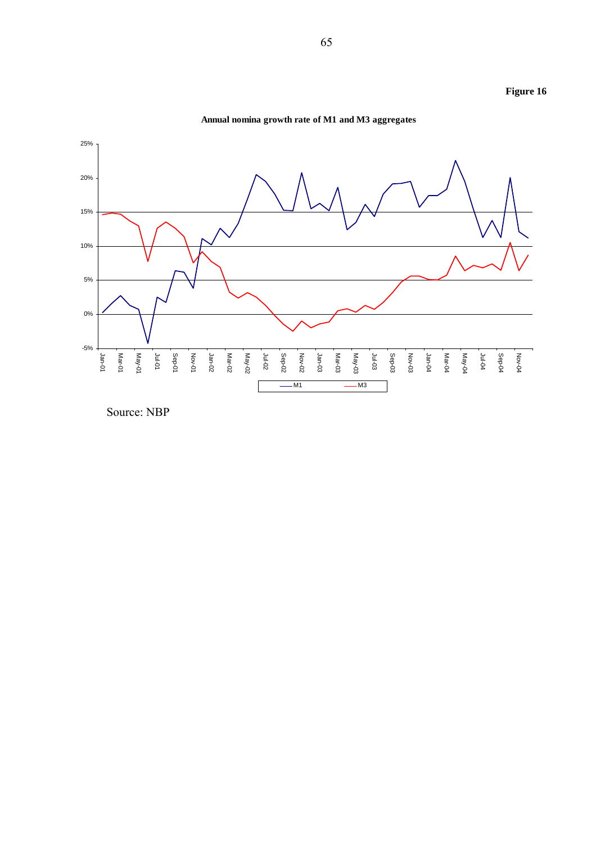

**Annual nomina growth rate of M1 and M3 aggregates**

Source: NBP

**Figure 16**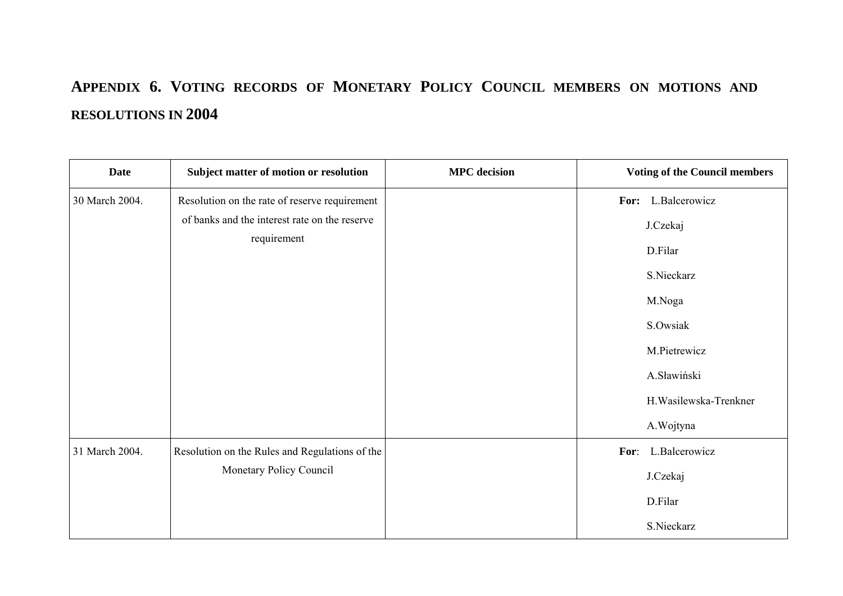# **APPENDIX 6. VOTING RECORDS OF MONETARY POLICY COUNCIL MEMBERS ON MOTIONS AND RESOLUTIONS IN 2004**

| <b>Date</b>    | Subject matter of motion or resolution         | <b>MPC</b> decision |      | <b>Voting of the Council members</b> |
|----------------|------------------------------------------------|---------------------|------|--------------------------------------|
| 30 March 2004. | Resolution on the rate of reserve requirement  |                     |      | For: L.Balcerowicz                   |
|                | of banks and the interest rate on the reserve  |                     |      | J.Czekaj                             |
| requirement    |                                                |                     |      | D.Filar                              |
|                |                                                |                     |      | S.Nieckarz                           |
|                |                                                |                     |      | M.Noga                               |
|                |                                                |                     |      | S.Owsiak                             |
|                |                                                |                     |      | M.Pietrewicz                         |
|                |                                                |                     |      | A.Sławiński                          |
|                |                                                |                     |      | H. Wasilewska-Trenkner               |
|                |                                                |                     |      | A. Wojtyna                           |
| 31 March 2004. | Resolution on the Rules and Regulations of the |                     | For: | L.Balcerowicz                        |
|                | Monetary Policy Council                        |                     |      | J.Czekaj                             |
|                |                                                |                     |      | D.Filar                              |
|                |                                                |                     |      | S.Nieckarz                           |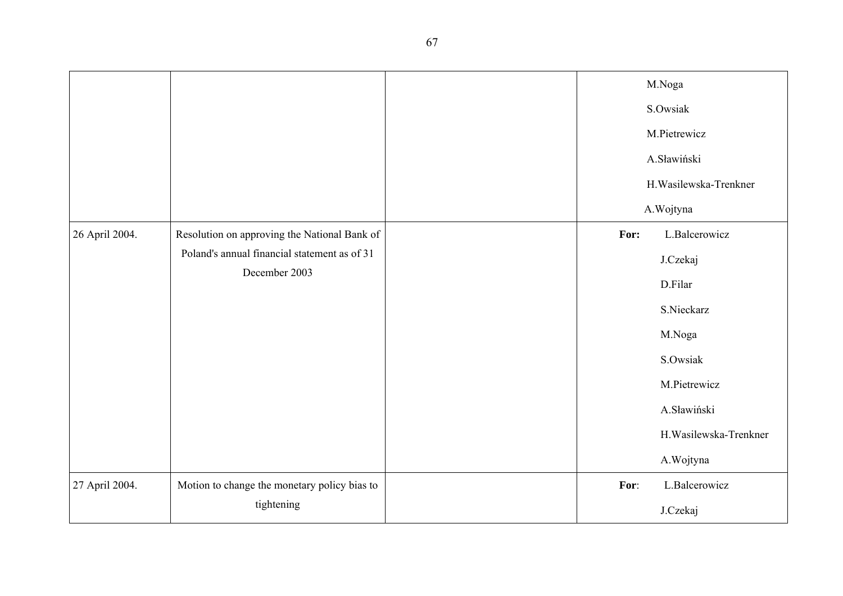|                |                                                               |  |          | M.Noga                 |
|----------------|---------------------------------------------------------------|--|----------|------------------------|
|                |                                                               |  | S.Owsiak |                        |
|                |                                                               |  |          | M.Pietrewicz           |
|                |                                                               |  |          | A.Sławiński            |
|                |                                                               |  |          | H. Wasilewska-Trenkner |
|                |                                                               |  |          | A.Wojtyna              |
| 26 April 2004. | Resolution on approving the National Bank of                  |  | For:     | L.Balcerowicz          |
|                | Poland's annual financial statement as of 31<br>December 2003 |  |          | J.Czekaj               |
|                |                                                               |  |          | D.Filar                |
|                |                                                               |  |          | S.Nieckarz             |
|                |                                                               |  |          | M.Noga                 |
|                |                                                               |  |          | S.Owsiak               |
|                |                                                               |  |          | M.Pietrewicz           |
|                |                                                               |  |          | A.Sławiński            |
|                |                                                               |  |          | H. Wasilewska-Trenkner |
|                |                                                               |  |          | A.Wojtyna              |
| 27 April 2004. | Motion to change the monetary policy bias to                  |  | For:     | L.Balcerowicz          |
|                | tightening                                                    |  |          | J.Czekaj               |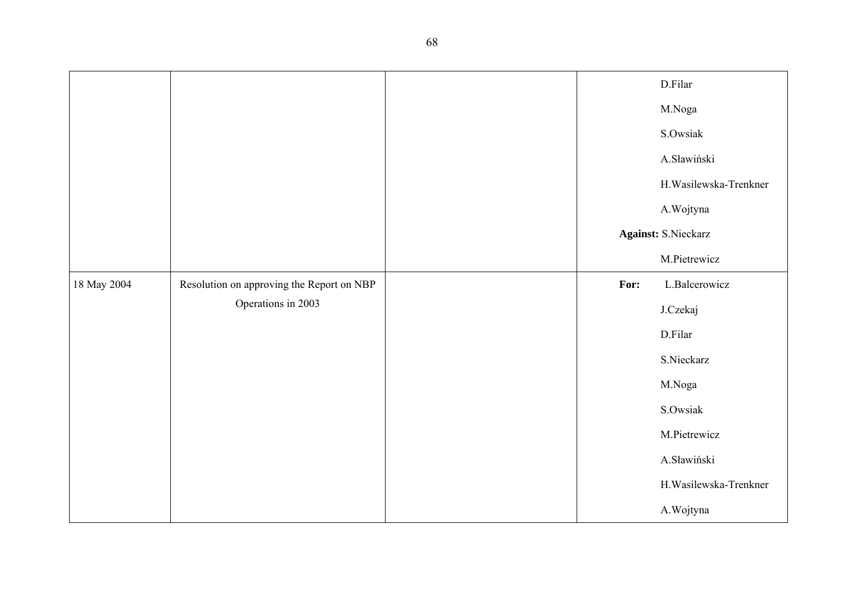|             |                                           |  |      | D.Filar                    |
|-------------|-------------------------------------------|--|------|----------------------------|
|             |                                           |  |      | M.Noga                     |
|             |                                           |  |      | S.Owsiak                   |
|             |                                           |  |      | A.Sławiński                |
|             |                                           |  |      | H.Wasilewska-Trenkner      |
|             |                                           |  |      | A.Wojtyna                  |
|             |                                           |  |      | <b>Against: S.Nieckarz</b> |
|             |                                           |  |      | M.Pietrewicz               |
| 18 May 2004 | Resolution on approving the Report on NBP |  | For: | L.Balcerowicz              |
|             | Operations in 2003                        |  |      | J.Czekaj                   |
|             |                                           |  |      | D.Filar                    |
|             |                                           |  |      | S.Nieckarz                 |
|             |                                           |  |      | M.Noga                     |
|             |                                           |  |      | S.Owsiak                   |
|             |                                           |  |      | M.Pietrewicz               |
|             |                                           |  |      | A.Sławiński                |
|             |                                           |  |      | H.Wasilewska-Trenkner      |
|             |                                           |  |      | A.Wojtyna                  |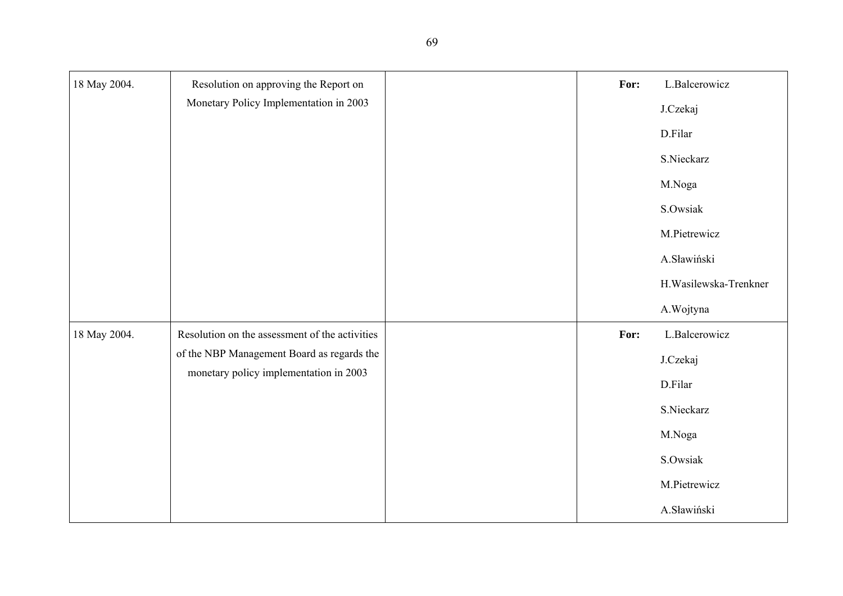| 18 May 2004. | Resolution on approving the Report on          | For: | L.Balcerowicz         |
|--------------|------------------------------------------------|------|-----------------------|
|              | Monetary Policy Implementation in 2003         |      | J.Czekaj              |
|              |                                                |      | D.Filar               |
|              |                                                |      | S.Nieckarz            |
|              |                                                |      | M.Noga                |
|              |                                                |      | S.Owsiak              |
|              |                                                |      | M.Pietrewicz          |
|              |                                                |      | A.Sławiński           |
|              |                                                |      | H.Wasilewska-Trenkner |
|              |                                                |      | A.Wojtyna             |
| 18 May 2004. | Resolution on the assessment of the activities | For: | L.Balcerowicz         |
|              | of the NBP Management Board as regards the     |      | J.Czekaj              |
|              | monetary policy implementation in 2003         |      | D.Filar               |
|              |                                                |      | S.Nieckarz            |
|              |                                                |      | M.Noga                |
|              |                                                |      | S.Owsiak              |
|              |                                                |      | M.Pietrewicz          |
|              |                                                |      | A.Sławiński           |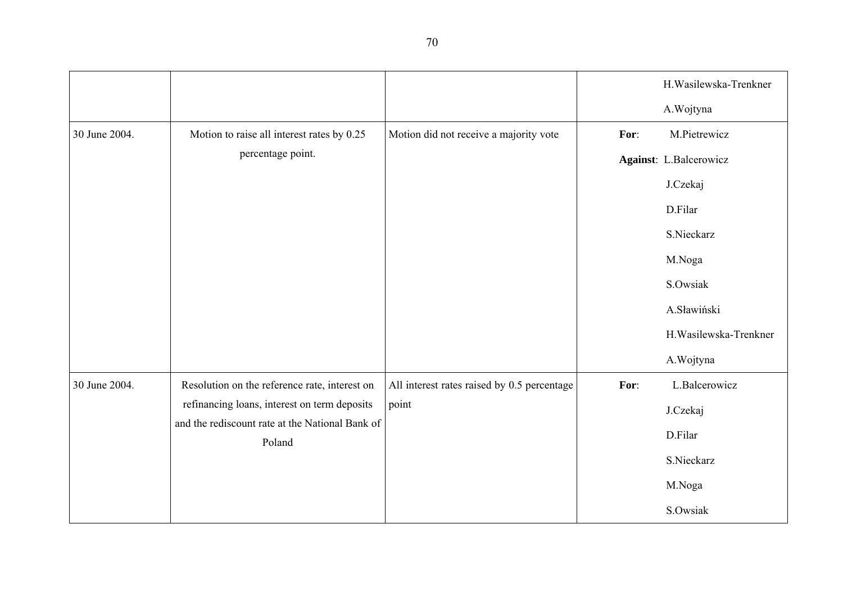|               |                                                           |                                             |      | H. Wasilewska-Trenkner |
|---------------|-----------------------------------------------------------|---------------------------------------------|------|------------------------|
|               |                                                           |                                             |      | A.Wojtyna              |
| 30 June 2004. | Motion to raise all interest rates by 0.25                | Motion did not receive a majority vote      | For: | M.Pietrewicz           |
|               | percentage point.                                         |                                             |      | Against: L.Balcerowicz |
|               |                                                           |                                             |      | J.Czekaj               |
|               |                                                           |                                             |      | D.Filar                |
|               |                                                           |                                             |      | S.Nieckarz             |
|               |                                                           |                                             |      | M.Noga                 |
|               |                                                           |                                             |      | S.Owsiak               |
|               |                                                           |                                             |      | A.Sławiński            |
|               |                                                           |                                             |      | H. Wasilewska-Trenkner |
|               |                                                           |                                             |      | A.Wojtyna              |
| 30 June 2004. | Resolution on the reference rate, interest on             | All interest rates raised by 0.5 percentage | For: | L.Balcerowicz          |
|               | refinancing loans, interest on term deposits              | point                                       |      | J.Czekaj               |
|               | and the rediscount rate at the National Bank of<br>Poland |                                             |      | D.Filar                |
|               |                                                           |                                             |      | S.Nieckarz             |
|               |                                                           |                                             |      | M.Noga                 |
|               |                                                           |                                             |      | S.Owsiak               |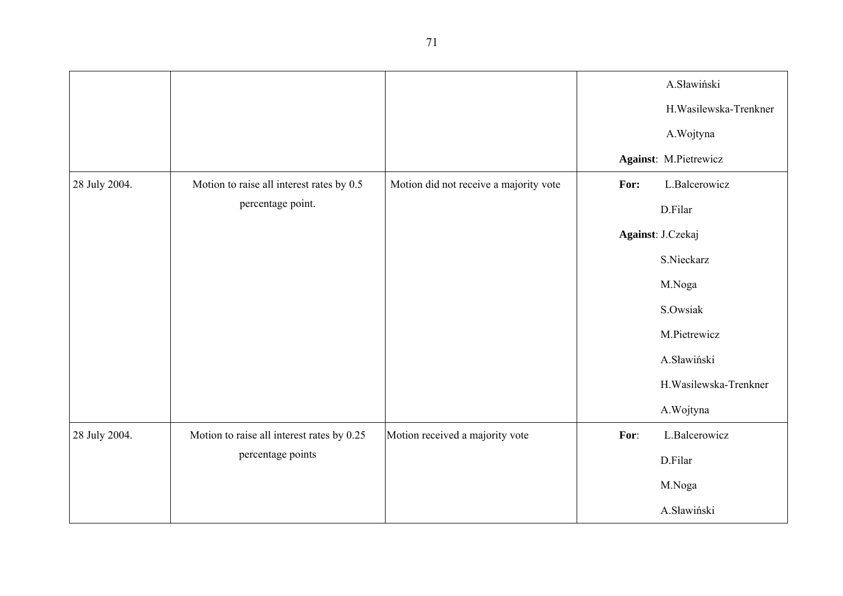|               |                                            |                                        |      | A.Sławiński            |
|---------------|--------------------------------------------|----------------------------------------|------|------------------------|
|               |                                            |                                        |      | H.Wasilewska-Trenkner  |
|               |                                            |                                        |      | A.Wojtyna              |
|               |                                            |                                        |      | Against: M.Pietrewicz  |
| 28 July 2004. | Motion to raise all interest rates by 0.5  | Motion did not receive a majority vote | For: | L.Balcerowicz          |
|               | percentage point.                          |                                        |      | D.Filar                |
|               |                                            |                                        |      | Against: J.Czekaj      |
|               |                                            |                                        |      | S.Nieckarz             |
|               |                                            |                                        |      | M.Noga                 |
|               |                                            |                                        |      | S.Owsiak               |
|               |                                            |                                        |      | M.Pietrewicz           |
|               |                                            |                                        |      | A.Sławiński            |
|               |                                            |                                        |      | H. Wasilewska-Trenkner |
|               |                                            |                                        |      | A.Wojtyna              |
| 28 July 2004. | Motion to raise all interest rates by 0.25 | Motion received a majority vote        | For: | L.Balcerowicz          |
|               | percentage points                          |                                        |      | D.Filar                |
|               |                                            |                                        |      | M.Noga                 |
|               |                                            |                                        |      | A.Sławiński            |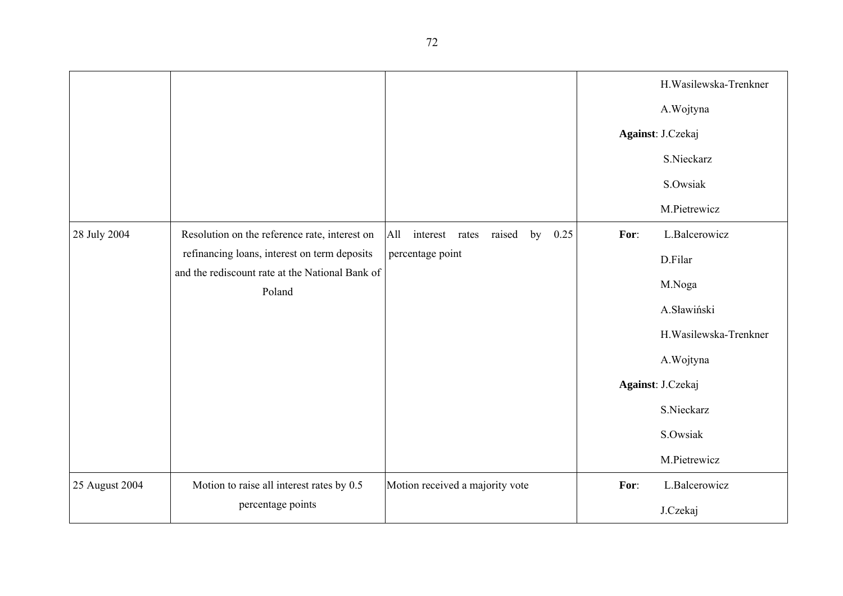|                |                                                                                                 |                                               |      | H. Wasilewska-Trenkner |
|----------------|-------------------------------------------------------------------------------------------------|-----------------------------------------------|------|------------------------|
|                |                                                                                                 |                                               |      | A.Wojtyna              |
|                |                                                                                                 |                                               |      | Against: J.Czekaj      |
|                |                                                                                                 |                                               |      | S.Nieckarz             |
|                |                                                                                                 |                                               |      | S.Owsiak               |
|                |                                                                                                 |                                               |      | M.Pietrewicz           |
| 28 July 2004   | Resolution on the reference rate, interest on                                                   | All<br>interest rates<br>raised<br>by<br>0.25 | For: | L.Balcerowicz          |
|                | refinancing loans, interest on term deposits<br>and the rediscount rate at the National Bank of | percentage point                              |      | D.Filar                |
|                | Poland                                                                                          |                                               |      | M.Noga                 |
|                |                                                                                                 |                                               |      | A.Sławiński            |
|                |                                                                                                 |                                               |      | H. Wasilewska-Trenkner |
|                |                                                                                                 |                                               |      | A.Wojtyna              |
|                |                                                                                                 |                                               |      | Against: J.Czekaj      |
|                |                                                                                                 |                                               |      | S.Nieckarz             |
|                |                                                                                                 |                                               |      | S.Owsiak               |
|                |                                                                                                 |                                               |      | M.Pietrewicz           |
| 25 August 2004 | Motion to raise all interest rates by 0.5                                                       | Motion received a majority vote               | For: | L.Balcerowicz          |
|                | percentage points                                                                               |                                               |      | J.Czekaj               |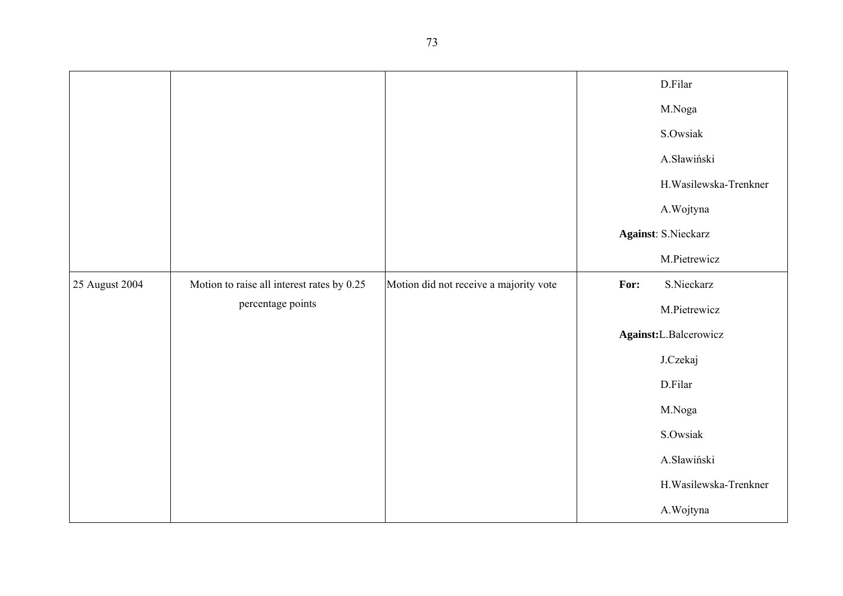|                |                                            |                                        |                       | D.Filar                    |
|----------------|--------------------------------------------|----------------------------------------|-----------------------|----------------------------|
|                |                                            |                                        |                       |                            |
|                |                                            |                                        |                       | M.Noga                     |
|                |                                            |                                        |                       | S.Owsiak                   |
|                |                                            |                                        |                       | A.Sławiński                |
|                |                                            |                                        |                       | H. Wasilewska-Trenkner     |
|                |                                            |                                        |                       | A.Wojtyna                  |
|                |                                            |                                        |                       | <b>Against: S.Nieckarz</b> |
|                |                                            |                                        |                       | M.Pietrewicz               |
| 25 August 2004 | Motion to raise all interest rates by 0.25 | Motion did not receive a majority vote | For:                  | S.Nieckarz                 |
|                | percentage points                          |                                        |                       | M.Pietrewicz               |
|                |                                            |                                        | Against:L.Balcerowicz |                            |
|                |                                            |                                        |                       | J.Czekaj                   |
|                |                                            |                                        |                       | D.Filar                    |
|                |                                            |                                        |                       | M.Noga                     |
|                |                                            |                                        |                       | S.Owsiak                   |
|                |                                            |                                        |                       | A.Sławiński                |
|                |                                            |                                        |                       | H.Wasilewska-Trenkner      |
|                |                                            |                                        |                       | A.Wojtyna                  |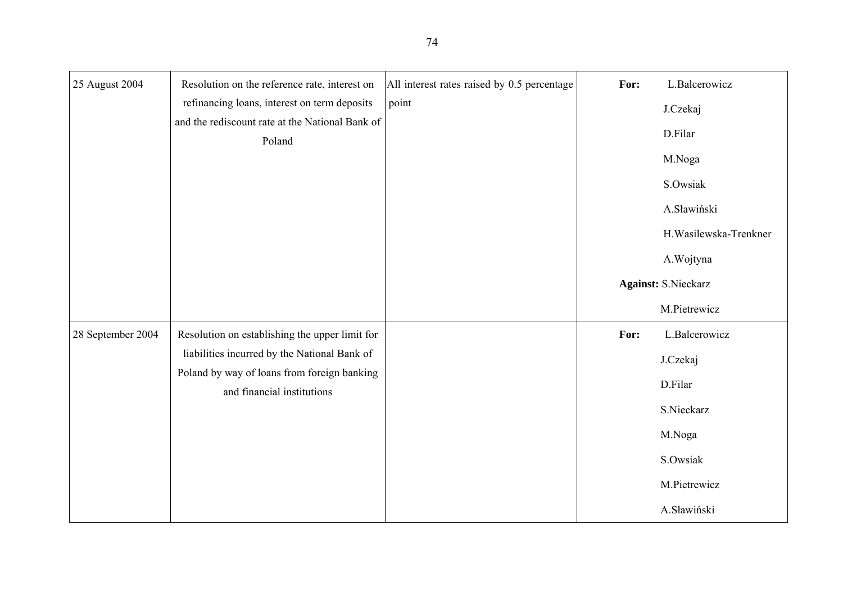| 25 August 2004    | Resolution on the reference rate, interest on                             | All interest rates raised by 0.5 percentage | For: | L.Balcerowicz              |
|-------------------|---------------------------------------------------------------------------|---------------------------------------------|------|----------------------------|
|                   | refinancing loans, interest on term deposits                              | point                                       |      | J.Czekaj                   |
|                   | and the rediscount rate at the National Bank of<br>Poland                 |                                             |      | D.Filar                    |
|                   |                                                                           |                                             |      | M.Noga                     |
|                   |                                                                           |                                             |      | S.Owsiak                   |
|                   |                                                                           |                                             |      | A.Sławiński                |
|                   |                                                                           |                                             |      | H. Wasilewska-Trenkner     |
|                   |                                                                           |                                             |      | A. Wojtyna                 |
|                   |                                                                           |                                             |      | <b>Against: S.Nieckarz</b> |
|                   |                                                                           |                                             |      | M.Pietrewicz               |
| 28 September 2004 | Resolution on establishing the upper limit for                            |                                             | For: | L.Balcerowicz              |
|                   | liabilities incurred by the National Bank of                              |                                             |      | J.Czekaj                   |
|                   | Poland by way of loans from foreign banking<br>and financial institutions |                                             |      | D.Filar                    |
|                   |                                                                           |                                             |      | S.Nieckarz                 |
|                   |                                                                           |                                             |      | M.Noga                     |
|                   |                                                                           |                                             |      | S.Owsiak                   |
|                   |                                                                           |                                             |      | M.Pietrewicz               |
|                   |                                                                           |                                             |      | A.Sławiński                |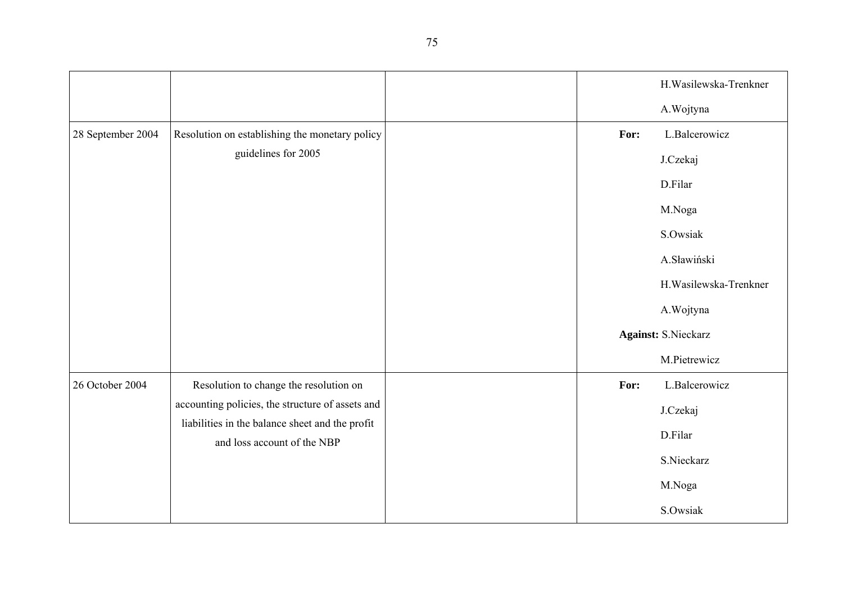|                   |                                                                                                                                    |  |      | H. Wasilewska-Trenkner     |
|-------------------|------------------------------------------------------------------------------------------------------------------------------------|--|------|----------------------------|
|                   |                                                                                                                                    |  |      | A.Wojtyna                  |
| 28 September 2004 | Resolution on establishing the monetary policy                                                                                     |  | For: | L.Balcerowicz              |
|                   | guidelines for 2005                                                                                                                |  |      | J.Czekaj                   |
|                   |                                                                                                                                    |  |      | D.Filar                    |
|                   |                                                                                                                                    |  |      | M.Noga                     |
|                   |                                                                                                                                    |  |      | S.Owsiak                   |
|                   |                                                                                                                                    |  |      | A.Sławiński                |
|                   |                                                                                                                                    |  |      | H. Wasilewska-Trenkner     |
|                   |                                                                                                                                    |  |      | A.Wojtyna                  |
|                   |                                                                                                                                    |  |      | <b>Against: S.Nieckarz</b> |
|                   |                                                                                                                                    |  |      | M.Pietrewicz               |
| 26 October 2004   | Resolution to change the resolution on                                                                                             |  | For: | L.Balcerowicz              |
|                   | accounting policies, the structure of assets and<br>liabilities in the balance sheet and the profit<br>and loss account of the NBP |  |      | J.Czekaj                   |
|                   |                                                                                                                                    |  |      | D.Filar                    |
|                   |                                                                                                                                    |  |      | S.Nieckarz                 |
|                   |                                                                                                                                    |  |      | M.Noga                     |
|                   |                                                                                                                                    |  |      | S.Owsiak                   |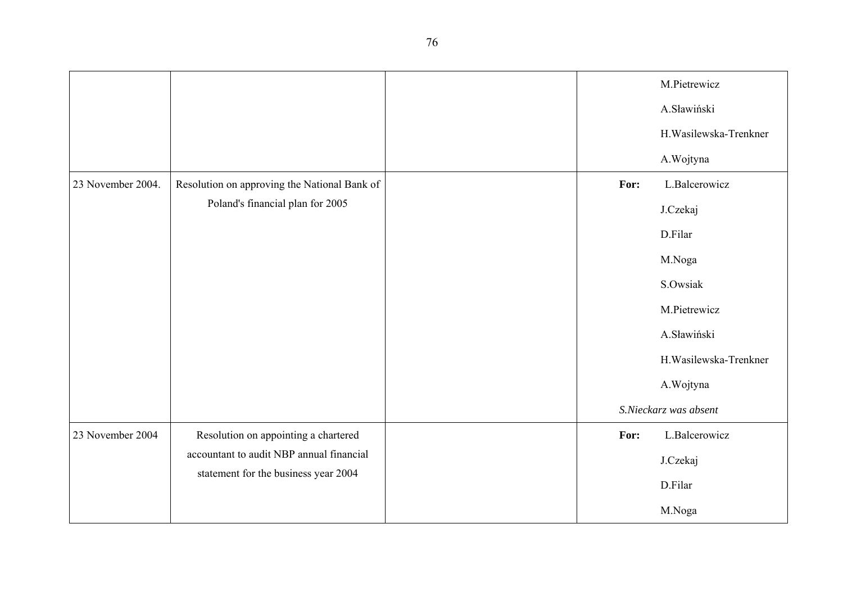|                   |                                              |      | M.Pietrewicz           |
|-------------------|----------------------------------------------|------|------------------------|
|                   |                                              |      | A.Sławiński            |
|                   |                                              |      | H. Wasilewska-Trenkner |
|                   |                                              |      | A.Wojtyna              |
| 23 November 2004. | Resolution on approving the National Bank of | For: | L.Balcerowicz          |
|                   | Poland's financial plan for 2005             |      | J.Czekaj               |
|                   |                                              |      | D.Filar                |
|                   |                                              |      | M.Noga                 |
|                   |                                              |      | S.Owsiak               |
|                   |                                              |      | M.Pietrewicz           |
|                   |                                              |      | A.Sławiński            |
|                   |                                              |      | H. Wasilewska-Trenkner |
|                   |                                              |      | A.Wojtyna              |
|                   |                                              |      | S.Nieckarz was absent  |
| 23 November 2004  | Resolution on appointing a chartered         | For: | L.Balcerowicz          |
|                   | accountant to audit NBP annual financial     |      | J.Czekaj               |
|                   | statement for the business year 2004         |      | D.Filar                |
|                   |                                              |      | M.Noga                 |